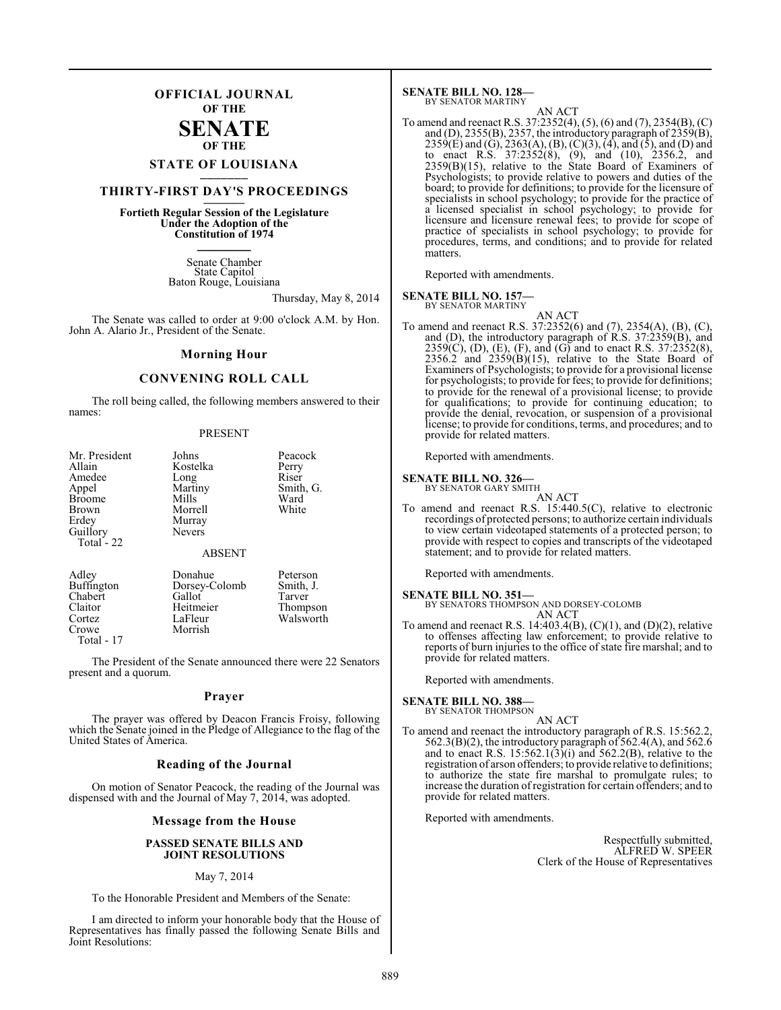### **OFFICIAL JOURNAL OF THE**

#### **SENATE OF THE**

## **STATE OF LOUISIANA \_\_\_\_\_\_\_**

### **THIRTY-FIRST DAY'S PROCEEDINGS \_\_\_\_\_\_\_**

**Fortieth Regular Session of the Legislature Under the Adoption of the Constitution of 1974 \_\_\_\_\_\_\_**

> Senate Chamber State Capitol Baton Rouge, Louisiana

> > Thursday, May 8, 2014

The Senate was called to order at 9:00 o'clock A.M. by Hon. John A. Alario Jr., President of the Senate.

#### **Morning Hour**

### **CONVENING ROLL CALL**

The roll being called, the following members answered to their names:

#### PRESENT

| Mr. President                              | Johns                       | Peacock   |
|--------------------------------------------|-----------------------------|-----------|
| Allain                                     | Kostelka                    | Perry     |
| Amedee                                     | Long                        | Riser     |
| Appel                                      | Martiny                     | Smith, G. |
| <b>Broome</b>                              | Mills                       | Ward      |
| Brown<br>Erdey<br>Guillory<br>Total - $22$ | Morrell<br>Murray<br>Nevers | White     |
|                                            | <b>ABSENT</b>               |           |
| Adley                                      | Donahue                     | Peterson  |
| <b>Buffington</b>                          | Dorsey-Colomb               | Smith, J. |
| Chabert                                    | Gallot                      | Tarver    |
| Claitor                                    | Heitmeier                   | Thompson  |

Cortez LaFleur Walsworth<br>
Crowe Morrish Morrish

Total - 17

The President of the Senate announced there were 22 Senators present and a quorum.

#### **Prayer**

The prayer was offered by Deacon Francis Froisy, following which the Senate joined in the Pledge of Allegiance to the flag of the United States of America.

#### **Reading of the Journal**

On motion of Senator Peacock, the reading of the Journal was dispensed with and the Journal of May 7, 2014, was adopted.

#### **Message from the House**

#### **PASSED SENATE BILLS AND JOINT RESOLUTIONS**

#### May 7, 2014

To the Honorable President and Members of the Senate:

I am directed to inform your honorable body that the House of Representatives has finally passed the following Senate Bills and Joint Resolutions:

**SENATE BILL NO. 128—** BY SENATOR MARTINY

AN ACT To amend and reenact R.S. 37:2352(4), (5), (6) and (7), 2354(B), (C) and (D), 2355(B), 2357, the introductory paragraph of 2359(B), 2359(E) and (G), 2363(A), (B), (C)(3), (4), and (5), and (D) and to enact R.S. 37:2352(8), (9), and (10), 2356.2, and 2359(B)(15), relative to the State Board of Examiners of Psychologists; to provide relative to powers and duties of the board; to provide for definitions; to provide for the licensure of specialists in school psychology; to provide for the practice of a licensed specialist in school psychology; to provide for licensure and licensure renewal fees; to provide for scope of practice of specialists in school psychology; to provide for procedures, terms, and conditions; and to provide for related matters.

Reported with amendments.

**SENATE BILL NO. 157—**

BY SENATOR MARTINY AN ACT

To amend and reenact R.S. 37:2352(6) and (7), 2354(A), (B), (C), and (D), the introductory paragraph of R.S. 37:2359(B), and  $2359(C)$ , (D), (E), (F), and (G) and to enact R.S. 37:2352(8),  $2356.2$  and  $2359(B)(15)$ , relative to the State Board of Examiners of Psychologists; to provide for a provisional license for psychologists; to provide for fees; to provide for definitions; to provide for the renewal of a provisional license; to provide for qualifications; to provide for continuing education; to provide the denial, revocation, or suspension of a provisional license; to provide for conditions, terms, and procedures; and to provide for related matters.

Reported with amendments.

#### **SENATE BILL NO. 326—** BY SENATOR GARY SMITH

AN ACT

To amend and reenact R.S. 15:440.5(C), relative to electronic recordings of protected persons; to authorize certain individuals to view certain videotaped statements of a protected person; to provide with respect to copies and transcripts of the videotaped statement; and to provide for related matters.

Reported with amendments.

#### **SENATE BILL NO. 351—**

BY SENATORS THOMPSON AND DORSEY-COLOMB AN ACT

To amend and reenact R.S. 14:403.4 $(B)$ ,  $(C)(1)$ , and  $(D)(2)$ , relative to offenses affecting law enforcement; to provide relative to reports of burn injuries to the office of state fire marshal; and to provide for related matters.

Reported with amendments.

**SENATE BILL NO. 388—**<br>BY SENATOR THOMPSON

AN ACT

To amend and reenact the introductory paragraph of R.S. 15:562.2, 562.3(B)(2), the introductory paragraph of 562.4(A), and 562.6 and to enact R.S.  $15:562.1(3)(i)$  and  $562.2(B)$ , relative to the registration of arson offenders; to provide relative to definitions; to authorize the state fire marshal to promulgate rules; to increase the duration of registration for certain offenders; and to provide for related matters.

Reported with amendments.

Respectfully submitted, ALFRED W. SPEER Clerk of the House of Representatives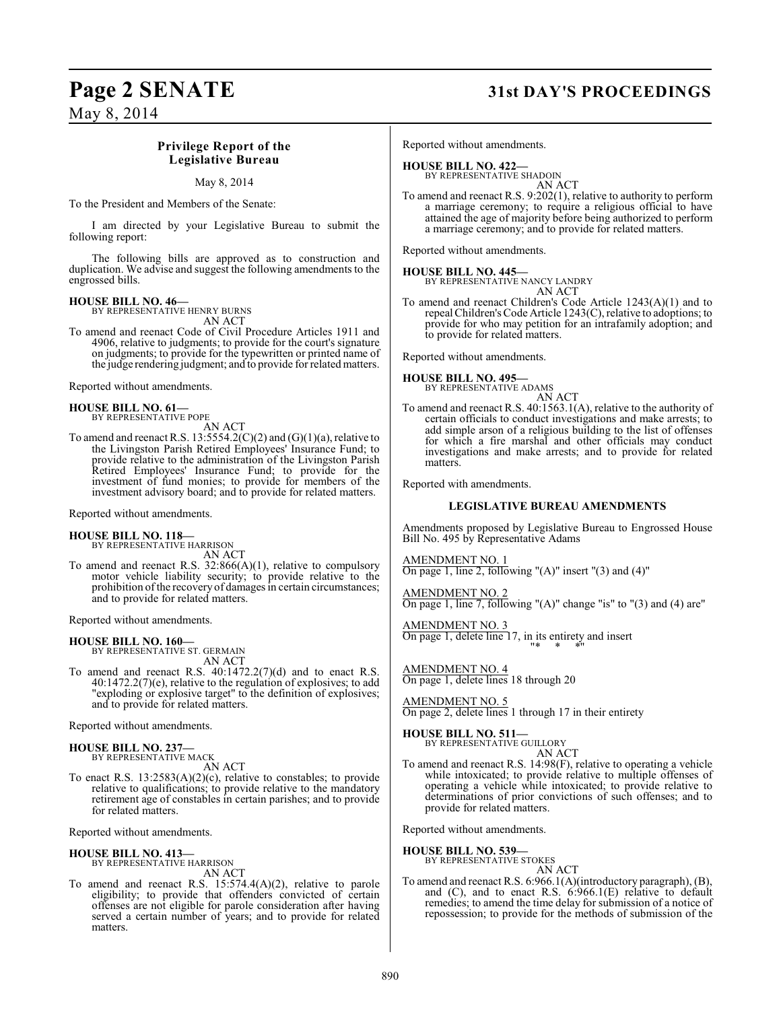## **Page 2 SENATE 31st DAY'S PROCEEDINGS**

May 8, 2014

#### **Privilege Report of the Legislative Bureau**

#### May 8, 2014

To the President and Members of the Senate:

I am directed by your Legislative Bureau to submit the following report:

The following bills are approved as to construction and duplication. We advise and suggest the following amendments to the engrossed bills.

### **HOUSE BILL NO. 46—** BY REPRESENTATIVE HENRY BURNS

AN ACT

To amend and reenact Code of Civil Procedure Articles 1911 and 4906, relative to judgments; to provide for the court's signature on judgments; to provide for the typewritten or printed name of the judge rendering judgment; and to provide for related matters.

Reported without amendments.

**HOUSE BILL NO. 61—** BY REPRESENTATIVE POPE

AN ACT

To amend and reenact R.S.  $13:5554.2(C)(2)$  and  $(G)(1)(a)$ , relative to the Livingston Parish Retired Employees' Insurance Fund; to provide relative to the administration of the Livingston Parish Retired Employees' Insurance Fund; to provide for the investment of fund monies; to provide for members of the investment advisory board; and to provide for related matters.

Reported without amendments.

#### **HOUSE BILL NO. 118—**

BY REPRESENTATIVE HARRISON AN ACT

To amend and reenact R.S. 32:866(A)(1), relative to compulsory motor vehicle liability security; to provide relative to the prohibition of the recovery of damages in certain circumstances; and to provide for related matters.

Reported without amendments.

#### **HOUSE BILL NO. 160—**

BY REPRESENTATIVE ST. GERMAIN AN ACT

To amend and reenact R.S. 40:1472.2(7)(d) and to enact R.S. 40:1472.2(7)(e), relative to the regulation of explosives; to add "exploding or explosive target" to the definition of explosives; and to provide for related matters.

Reported without amendments.

**HOUSE BILL NO. 237—** BY REPRESENTATIVE MACK

AN ACT

To enact R.S. 13:2583(A)(2)(c), relative to constables; to provide relative to qualifications; to provide relative to the mandatory retirement age of constables in certain parishes; and to provide for related matters.

Reported without amendments.

**HOUSE BILL NO. 413—** BY REPRESENTATIVE HARRISON AN ACT

To amend and reenact R.S. 15:574.4(A)(2), relative to parole eligibility; to provide that offenders convicted of certain offenses are not eligible for parole consideration after having served a certain number of years; and to provide for related matters.

Reported without amendments.

#### **HOUSE BILL NO. 422—** BY REPRESENTATIVE SHADOIN

AN ACT

To amend and reenact R.S. 9:202(1), relative to authority to perform a marriage ceremony; to require a religious official to have attained the age of majority before being authorized to perform a marriage ceremony; and to provide for related matters.

Reported without amendments.

**HOUSE BILL NO. 445—**

BY REPRESENTATIVE NANCY LANDRY AN ACT

To amend and reenact Children's Code Article 1243(A)(1) and to repeal Children's Code Article 1243(C), relative to adoptions; to provide for who may petition for an intrafamily adoption; and to provide for related matters.

Reported without amendments.

**HOUSE BILL NO. 495—** BY REPRESENTATIVE ADAMS

#### AN ACT

To amend and reenact R.S. 40:1563.1(A), relative to the authority of certain officials to conduct investigations and make arrests; to add simple arson of a religious building to the list of offenses for which a fire marshal and other officials may conduct investigations and make arrests; and to provide for related matters.

Reported with amendments.

#### **LEGISLATIVE BUREAU AMENDMENTS**

Amendments proposed by Legislative Bureau to Engrossed House Bill No. 495 by Representative Adams

AMENDMENT NO. 1 On page 1, line 2, following  $''(A)''$  insert  $''(3)$  and  $(4)''$ 

AMENDMENT NO. 2 On page 1, line 7, following "(A)" change "is" to "(3) and (4) are"

AMENDMENT NO. 3 On page 1, delete line 17, in its entirety and insert "\* \* \*"

AMENDMENT NO. 4 On page 1, delete lines 18 through 20

AMENDMENT NO. 5 On page 2, delete lines 1 through 17 in their entirety

**HOUSE BILL NO. 511—** BY REPRESENTATIVE GUILLORY AN ACT

To amend and reenact R.S. 14:98(F), relative to operating a vehicle while intoxicated; to provide relative to multiple offenses of operating a vehicle while intoxicated; to provide relative to determinations of prior convictions of such offenses; and to provide for related matters.

Reported without amendments.

**HOUSE BILL NO. 539—** BY REPRESENTATIVE STOKES

- AN ACT
- To amend and reenact R.S. 6:966.1(A)(introductory paragraph), (B), and  $(C)$ , and to enact R.S.  $6:966.1(E)$  relative to default remedies; to amend the time delay for submission of a notice of repossession; to provide for the methods of submission of the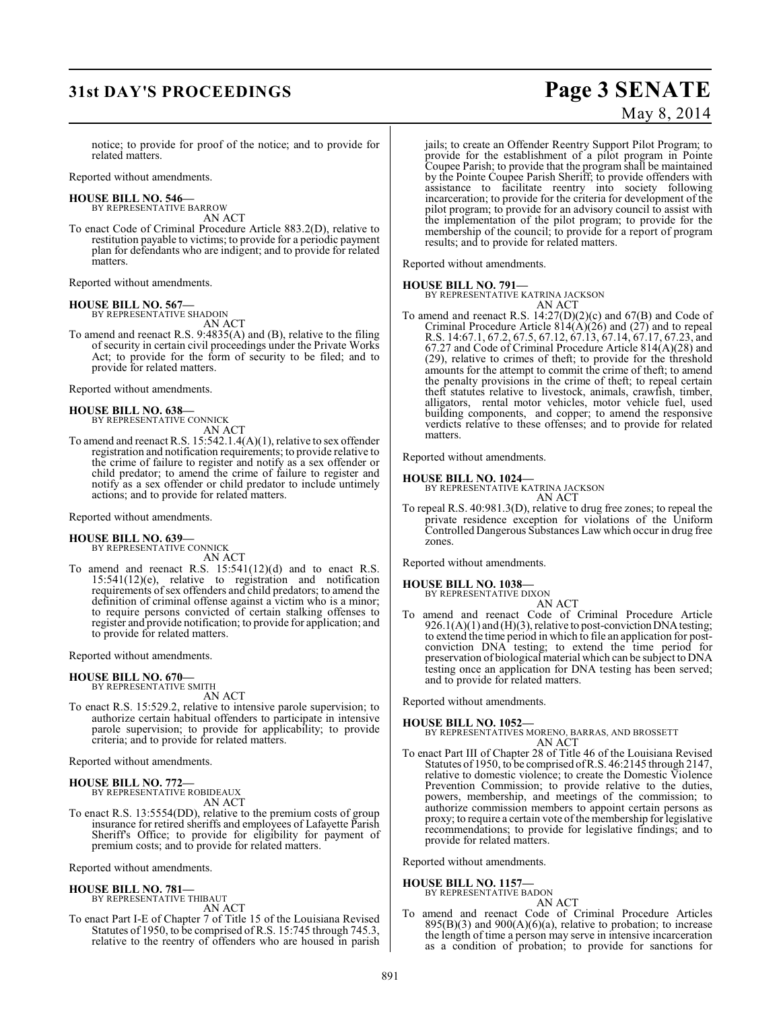## **31st DAY'S PROCEEDINGS Page 3 SENATE**

# May 8, 2014

notice; to provide for proof of the notice; and to provide for related matters.

Reported without amendments.

#### **HOUSE BILL NO. 546—**

BY REPRESENTATIVE BARROW AN ACT

To enact Code of Criminal Procedure Article 883.2(D), relative to restitution payable to victims; to provide for a periodic payment plan for defendants who are indigent; and to provide for related matters.

Reported without amendments.

#### **HOUSE BILL NO. 567—**

BY REPRESENTATIVE SHADOIN AN ACT

To amend and reenact R.S. 9:4835(A) and (B), relative to the filing of security in certain civil proceedings under the Private Works Act; to provide for the form of security to be filed; and to provide for related matters.

Reported without amendments.

**HOUSE BILL NO. 638—** BY REPRESENTATIVE CONNICK AN ACT

To amend and reenact R.S. 15:542.1.4(A)(1), relative to sex offender registration and notification requirements; to provide relative to the crime of failure to register and notify as a sex offender or child predator; to amend the crime of failure to register and notify as a sex offender or child predator to include untimely actions; and to provide for related matters.

Reported without amendments.

#### **HOUSE BILL NO. 639—** BY REPRESENTATIVE CONNICK

AN ACT

To amend and reenact R.S. 15:541(12)(d) and to enact R.S. 15:541(12)(e), relative to registration and notification requirements of sex offenders and child predators; to amend the definition of criminal offense against a victim who is a minor; to require persons convicted of certain stalking offenses to register and provide notification; to provide for application; and to provide for related matters.

Reported without amendments.

#### **HOUSE BILL NO. 670—** BY REPRESENTATIVE SMITH

AN ACT

To enact R.S. 15:529.2, relative to intensive parole supervision; to authorize certain habitual offenders to participate in intensive parole supervision; to provide for applicability; to provide criteria; and to provide for related matters.

Reported without amendments.

#### **HOUSE BILL NO. 772—**

BY REPRESENTATIVE ROBIDEAUX AN ACT

To enact R.S. 13:5554(DD), relative to the premium costs of group insurance for retired sheriffs and employees of Lafayette Parish Sheriff's Office; to provide for eligibility for payment of premium costs; and to provide for related matters.

Reported without amendments.

#### **HOUSE BILL NO. 781—**

BY REPRESENTATIVE THIBAUT AN ACT

To enact Part I-E of Chapter 7 of Title 15 of the Louisiana Revised Statutes of 1950, to be comprised of R.S. 15:745 through 745.3, relative to the reentry of offenders who are housed in parish jails; to create an Offender Reentry Support Pilot Program; to provide for the establishment of a pilot program in Pointe Coupee Parish; to provide that the program shall be maintained by the Pointe Coupee Parish Sheriff; to provide offenders with assistance to facilitate reentry into society following incarceration; to provide for the criteria for development of the pilot program; to provide for an advisory council to assist with the implementation of the pilot program; to provide for the membership of the council; to provide for a report of program results; and to provide for related matters.

Reported without amendments.

#### **HOUSE BILL NO. 791—**

BY REPRESENTATIVE KATRINA JACKSON

AN ACT To amend and reenact R.S. 14:27(D)(2)(c) and 67(B) and Code of Criminal Procedure Article  $814(A)(26)$  and  $(27)$  and to repeal R.S. 14:67.1, 67.2, 67.5, 67.12, 67.13, 67.14, 67.17, 67.23, and 67.27 and Code of Criminal Procedure Article 814(A)(28) and (29), relative to crimes of theft; to provide for the threshold amounts for the attempt to commit the crime of theft; to amend the penalty provisions in the crime of theft; to repeal certain theft statutes relative to livestock, animals, crawfish, timber, alligators, rental motor vehicles, motor vehicle fuel, used building components, and copper; to amend the responsive verdicts relative to these offenses; and to provide for related matters.

Reported without amendments.

#### **HOUSE BILL NO. 1024—**

BY REPRESENTATIVE KATRINA JACKSON AN ACT

To repeal R.S. 40:981.3(D), relative to drug free zones; to repeal the private residence exception for violations of the Uniform Controlled Dangerous Substances Law which occur in drug free zones.

Reported without amendments.

#### **HOUSE BILL NO. 1038—** BY REPRESENTATIVE DIXON

AN ACT

To amend and reenact Code of Criminal Procedure Article 926.1(A)(1) and (H)(3), relative to post-conviction DNA testing; to extend the time period in which to file an application for postconviction DNA testing; to extend the time period for preservation of biological material which can be subject to DNA testing once an application for DNA testing has been served; and to provide for related matters.

Reported without amendments.

#### **HOUSE BILL NO. 1052—**

BY REPRESENTATIVES MORENO, BARRAS, AND BROSSETT AN ACT

To enact Part III of Chapter 28 of Title 46 of the Louisiana Revised Statutes of 1950, to be comprised ofR.S. 46:2145 through 2147, relative to domestic violence; to create the Domestic Violence Prevention Commission; to provide relative to the duties, powers, membership, and meetings of the commission; to authorize commission members to appoint certain persons as proxy; to require a certain vote of the membership for legislative recommendations; to provide for legislative findings; and to provide for related matters.

Reported without amendments.

**HOUSE BILL NO. 1157—**

BY REPRESENTATIVE BADON

- AN ACT
- To amend and reenact Code of Criminal Procedure Articles  $895(B)(3)$  and  $900(A)(6)(a)$ , relative to probation; to increase the length of time a person may serve in intensive incarceration as a condition of probation; to provide for sanctions for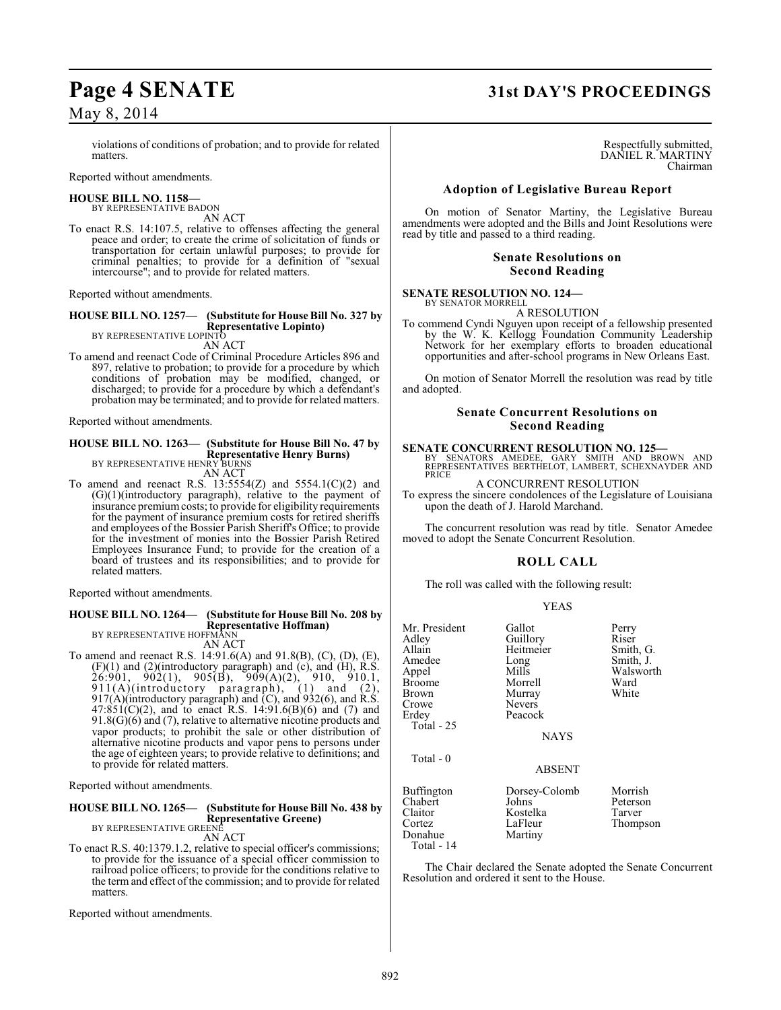## **Page 4 SENATE 31st DAY'S PROCEEDINGS**

### May 8, 2014

violations of conditions of probation; and to provide for related matters.

Reported without amendments.

#### **HOUSE BILL NO. 1158—** BY REPRESENTATIVE BADON

AN ACT

To enact R.S. 14:107.5, relative to offenses affecting the general peace and order; to create the crime of solicitation of funds or transportation for certain unlawful purposes; to provide for criminal penalties; to provide for a definition of "sexual intercourse"; and to provide for related matters.

Reported without amendments.

#### **HOUSE BILL NO. 1257— (Substitute for House Bill No. 327 by Representative Lopinto)** BY REPRESENTATIVE LOPINTO

AN ACT

To amend and reenact Code of Criminal Procedure Articles 896 and 897, relative to probation; to provide for a procedure by which conditions of probation may be modified, changed, or discharged; to provide for a procedure by which a defendant's probation may be terminated; and to provide for related matters.

Reported without amendments.

#### **HOUSE BILL NO. 1263— (Substitute for House Bill No. 47 by Representative Henry Burns)** BY REPRESENTATIVE HENRY BURNS

AN ACT

To amend and reenact R.S.  $13:5554(Z)$  and  $5554.1(C)(2)$  and (G)(1)(introductory paragraph), relative to the payment of insurance premium costs; to provide for eligibility requirements for the payment of insurance premium costs for retired sheriffs and employees of the Bossier Parish Sheriff's Office; to provide for the investment of monies into the Bossier Parish Retired Employees Insurance Fund; to provide for the creation of a board of trustees and its responsibilities; and to provide for related matters.

Reported without amendments.

### **HOUSE BILL NO. 1264— (Substitute for House Bill No. 208 by Representative Hoffman)** BY REPRESENTATIVE HOFFMANN

AN ACT

To amend and reenact R.S. 14:91.6(A) and 91.8(B), (C), (D), (E),  $(F)(1)$  and  $(2)$ (introductory paragraph) and  $(c)$ , and  $(H)$ , R.S.  $26:901, 902(1), 905(B), 909(A)(2), 910, 910.1,$ 911(A)(introductory paragraph), (1) and (2), 917(A)(introductory paragraph) and (C), and 932(6), and R.S.  $47:851(C)(2)$ , and to enact R.S. 14:91.6(B)(6) and (7) and  $91.8(G)(6)$  and (7), relative to alternative nicotine products and vapor products; to prohibit the sale or other distribution of alternative nicotine products and vapor pens to persons under the age of eighteen years; to provide relative to definitions; and to provide for related matters.

Reported without amendments.

### **HOUSE BILL NO. 1265— (Substitute for House Bill No. 438 by Representative Greene)** BY REPRESENTATIVE GREENE

AN ACT

To enact R.S. 40:1379.1.2, relative to special officer's commissions; to provide for the issuance of a special officer commission to railroad police officers; to provide for the conditions relative to the term and effect of the commission; and to provide for related matters.

Reported without amendments.

#### Respectfully submitted, DANIEL R. MARTINY Chairman

#### **Adoption of Legislative Bureau Report**

On motion of Senator Martiny, the Legislative Bureau amendments were adopted and the Bills and Joint Resolutions were read by title and passed to a third reading.

#### **Senate Resolutions on Second Reading**

**SENATE RESOLUTION NO. 124—** BY SENATOR MORRELL

A RESOLUTION

To commend Cyndi Nguyen upon receipt of a fellowship presented by the W. K. Kellogg Foundation Community Leadership Network for her exemplary efforts to broaden educational opportunities and after-school programs in New Orleans East.

On motion of Senator Morrell the resolution was read by title and adopted.

#### **Senate Concurrent Resolutions on Second Reading**

**SENATE CONCURRENT RESOLUTION NO. 125—**<br>BY SENATORS AMEDEE, GARY SMITH AND BROWN AND<br>REPRESENTATIVES BERTHELOT, LAMBERT, SCHEXNAYDER AND PRICE

#### A CONCURRENT RESOLUTION

To express the sincere condolences of the Legislature of Louisiana upon the death of J. Harold Marchand.

The concurrent resolution was read by title. Senator Amedee moved to adopt the Senate Concurrent Resolution.

#### **ROLL CALL**

The roll was called with the following result:

#### YEAS

| Mr. President<br>Adley<br>Allain<br>Amedee<br>Appel<br>Broome<br>Brown<br>Crowe<br>Erdey<br>Total - 25 | Gallot<br>Guillory<br>Heitmeier<br>Long<br>Mills<br>Morrell<br>Murray<br>Nevers<br>Peacock<br><b>NAYS</b> | Perry<br>Riser<br>Smith, G.<br>Smith, J.<br>Walsworth<br>Ward<br>White |
|--------------------------------------------------------------------------------------------------------|-----------------------------------------------------------------------------------------------------------|------------------------------------------------------------------------|
| Total - 0                                                                                              | <b>ABSENT</b>                                                                                             |                                                                        |
| Buffington<br>Chabert<br>Claitor<br>Cortez<br>Donahue<br>Total - 14                                    | Dorsey-Colomb<br>Johns<br>Kostelka<br>LaFleur<br>Martiny                                                  | Morrish<br>Peterson<br>Tarver<br>Thompson                              |

The Chair declared the Senate adopted the Senate Concurrent Resolution and ordered it sent to the House.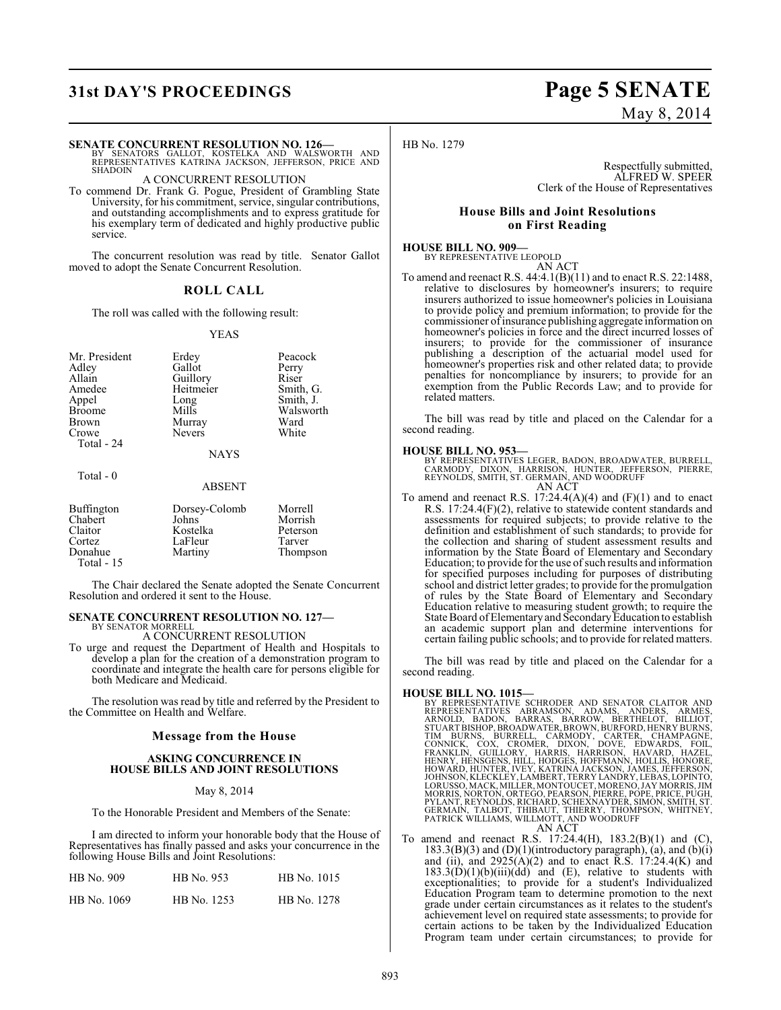## **31st DAY'S PROCEEDINGS Page 5 SENATE**

#### **SENATE CONCURRENT RESOLUTION NO. 126—**

BY SENATORS GALLOT, KOSTELKA AND WALSWORTH AND REPRESENTATIVES KATRINA JACKSON, JEFFERSON, PRICE AND **SHADOIN** 

A CONCURRENT RESOLUTION

To commend Dr. Frank G. Pogue, President of Grambling State University, for his commitment, service, singular contributions, and outstanding accomplishments and to express gratitude for his exemplary term of dedicated and highly productive public service.

The concurrent resolution was read by title. Senator Gallot moved to adopt the Senate Concurrent Resolution.

#### **ROLL CALL**

The roll was called with the following result:

#### YEAS

| Mr. President<br>Adley<br>Allain<br>Amedee<br>Appel<br><b>Broome</b><br>Brown | Erdey<br>Gallot<br>Guillory<br>Heitmeier<br>Long<br>Mills<br>Murray | Peacock<br>Perry<br>Riser<br>Smith, G.<br>Smith, J.<br>Walsworth<br>Ward |
|-------------------------------------------------------------------------------|---------------------------------------------------------------------|--------------------------------------------------------------------------|
| Crowe<br>Total - 24                                                           | <b>Nevers</b><br><b>NAYS</b>                                        | White                                                                    |
| Total - 0                                                                     |                                                                     |                                                                          |

| Buffington        | Dorsey-Colomb       | Morrell            |
|-------------------|---------------------|--------------------|
| Chabert           | Johns               | Morrish            |
| Claitor<br>Cortez | Kostelka<br>LaFleur | Peterson<br>Tarver |
| Donahue           | Martiny             | Thompson           |
| Total $-15$       |                     |                    |

The Chair declared the Senate adopted the Senate Concurrent Resolution and ordered it sent to the House.

#### **SENATE CONCURRENT RESOLUTION NO. 127—** BY SENATOR MORRELL

A CONCURRENT RESOLUTION

To urge and request the Department of Health and Hospitals to develop a plan for the creation of a demonstration program to coordinate and integrate the health care for persons eligible for both Medicare and Medicaid.

The resolution was read by title and referred by the President to the Committee on Health and Welfare.

#### **Message from the House**

#### **ASKING CONCURRENCE IN HOUSE BILLS AND JOINT RESOLUTIONS**

#### May 8, 2014

To the Honorable President and Members of the Senate:

I am directed to inform your honorable body that the House of Representatives has finally passed and asks your concurrence in the following House Bills and Joint Resolutions:

| HB No. 909  | HB No. 953  | HB No. 1015 |
|-------------|-------------|-------------|
| HB No. 1069 | HB No. 1253 | HB No. 1278 |

### HB No. 1279

Respectfully submitted, ALFRED W. SPEER Clerk of the House of Representatives

#### **House Bills and Joint Resolutions on First Reading**

#### **HOUSE BILL NO. 909—** BY REPRESENTATIVE LEOPOLD AN ACT

To amend and reenact R.S. 44:4.1(B)(11) and to enact R.S. 22:1488, relative to disclosures by homeowner's insurers; to require insurers authorized to issue homeowner's policies in Louisiana to provide policy and premium information; to provide for the commissioner ofinsurance publishing aggregate information on homeowner's policies in force and the direct incurred losses of insurers; to provide for the commissioner of insurance publishing a description of the actuarial model used for homeowner's properties risk and other related data; to provide penalties for noncompliance by insurers; to provide for an exemption from the Public Records Law; and to provide for related matters.

The bill was read by title and placed on the Calendar for a second reading.

#### **HOUSE BILL NO. 953—**

BY REPRESENTATIVES LEGER, BADON, BROADWATER, BURRELL,<br>CARMODY, DIXON, HARRISON, HUNTER, JEFFERSON, PIERRE,<br>REYNOLDS, SMITH, ST. GERMAIN, AND WOODRUFF AN ACT

To amend and reenact R.S.  $17:24.4(A)(4)$  and  $(F)(1)$  and to enact R.S. 17:24.4(F)(2), relative to statewide content standards and assessments for required subjects; to provide relative to the definition and establishment of such standards; to provide for the collection and sharing of student assessment results and information by the State Board of Elementary and Secondary Education; to provide for the use of such results and information for specified purposes including for purposes of distributing school and district letter grades; to provide for the promulgation of rules by the State Board of Elementary and Secondary Education relative to measuring student growth; to require the State Board of Elementary and Secondary Education to establish an academic support plan and determine interventions for certain failing public schools; and to provide for related matters.

The bill was read by title and placed on the Calendar for a second reading.

- **HOUSE BILL NO. 1015—**<br>BY REPRESENTATIVE SCHRODER AND SENATOR CLAITOR AND<br>REPRESENTATIVES ABRAMSON, ADAMS, ANDERS, ARMES,<br>ARNOLD, BADON, BARRAS, BARROW, BERTHELOT, BILLIOT,<br>STUARTBISHOP,BROADWATER,BROWN,BURFORD,HENRYBURNS, TIM BURNS, BURRELL, CARMODY, CARTER, CHAMPAGNE,<br>CONNICK, COX, CROMER, DIXON, DOVE, EDWARDS, FOIL,<br>FRANKLIN, GUILLORY, HARRIS, HARRISON, HAVARDS, FOIL,<br>HENRY,HENSGENS,HILL,HODGES,HOFFMANN,HOLLIS,HONREL<br>HOWARD,HUNTER,IVEY,KA AN ACT
- To amend and reenact R.S. 17:24.4(H), 183.2(B)(1) and (C),  $183.3(B)(3)$  and  $(D)(1)$ (introductory paragraph), (a), and (b)(i) and (ii), and  $2925(A)(2)$  and to enact R.S. 17:24.4(K) and  $183.3(\dot{D})(1)(b)(iii)(\dot{d}\dot{d})$  and (E), relative to students with exceptionalities; to provide for a student's Individualized Education Program team to determine promotion to the next grade under certain circumstances as it relates to the student's achievement level on required state assessments; to provide for certain actions to be taken by the Individualized Education Program team under certain circumstances; to provide for

# May 8, 2014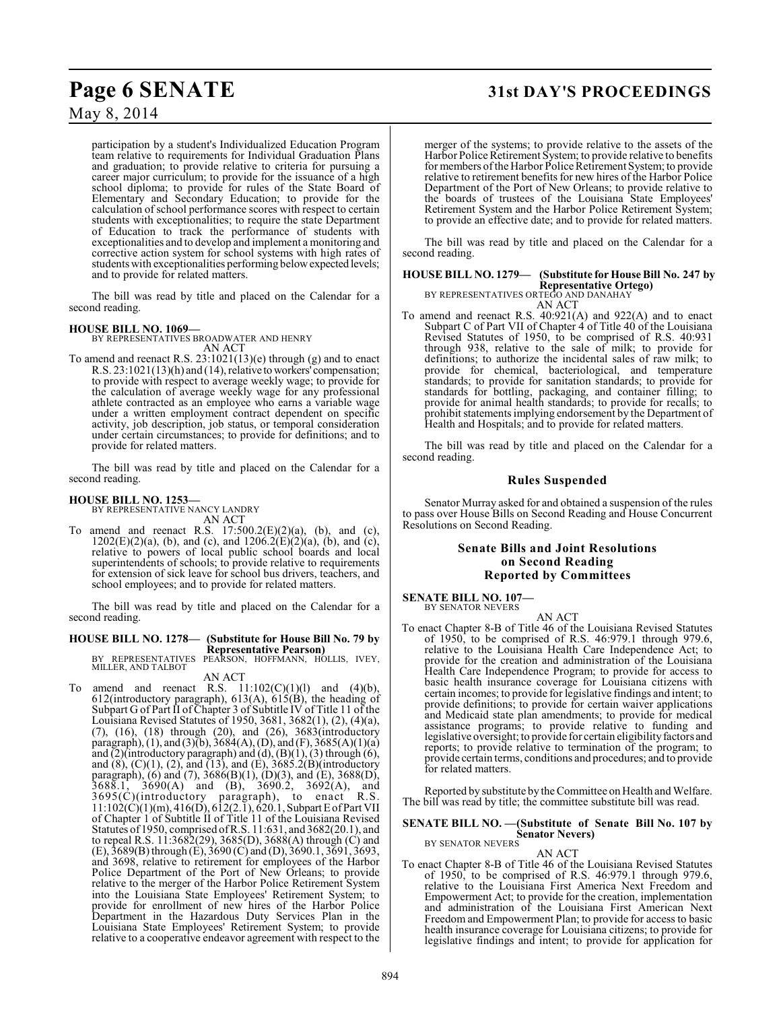## **Page 6 SENATE 31st DAY'S PROCEEDINGS**

May 8, 2014

participation by a student's Individualized Education Program team relative to requirements for Individual Graduation Plans and graduation; to provide relative to criteria for pursuing a career major curriculum; to provide for the issuance of a high school diploma; to provide for rules of the State Board of Elementary and Secondary Education; to provide for the calculation of school performance scores with respect to certain students with exceptionalities; to require the state Department of Education to track the performance of students with exceptionalities and to develop and implement a monitoring and corrective action system for school systems with high rates of students with exceptionalities performing below expected levels; and to provide for related matters.

The bill was read by title and placed on the Calendar for a second reading.

#### **HOUSE BILL NO. 1069—**

BY REPRESENTATIVES BROADWATER AND HENRY AN ACT

To amend and reenact R.S. 23:1021(13)(e) through (g) and to enact R.S. 23:1021(13)(h) and (14), relative to workers' compensation; to provide with respect to average weekly wage; to provide for the calculation of average weekly wage for any professional athlete contracted as an employee who earns a variable wage under a written employment contract dependent on specific activity, job description, job status, or temporal consideration under certain circumstances; to provide for definitions; and to provide for related matters.

The bill was read by title and placed on the Calendar for a second reading.

## **HOUSE BILL NO. 1253—** BY REPRESENTATIVE NANCY LANDRY

AN ACT

To amend and reenact R.S.  $17:500.2(E)(2)(a)$ , (b), and (c),  $1202(E)(2)(a)$ , (b), and (c), and  $1206.2(E)(2)(a)$ , (b), and (c), relative to powers of local public school boards and local superintendents of schools; to provide relative to requirements for extension of sick leave for school bus drivers, teachers, and school employees; and to provide for related matters.

The bill was read by title and placed on the Calendar for a second reading.

**HOUSE BILL NO. 1278— (Substitute for House Bill No. 79 by**

**Representative Pearson)**<br>BY REPRESENTATIVES PEARSON, HOFFMANN, HOLLIS, IVEY,<br>MILLER, AND TALBOT

AN ACT

To amend and reenact R.S.  $11:102(C)(1)(1)$  and  $(4)(b)$ , 612(introductory paragraph), 613(A),  $\delta$ 15(B), the heading of Subpart G of Part II of Chapter 3 of Subtitle IV of Title 11 of the Louisiana Revised Statutes of 1950, 3681, 3682(1), (2), (4)(a), (7), (16), (18) through (20), and (26), 3683(introductory paragraph), (1), and (3)(b),  $3684(A)$ , (D), and (F),  $3685(A)(1)(a)$ and  $(2)$ (introductory paragraph) and  $(d)$ ,  $(B)(1)$ ,  $(3)$  through  $(6)$ , and  $(8)$ ,  $(C)(1)$ ,  $(2)$ , and  $(13)$ , and  $(E)$ ,  $3685.2(E)(introducing$ paragraph), (6) and (7),  $3686(B)(1)$ , (D)(3), and (E),  $3688(D)$ ,  $3688.1$ ,  $3690(A)$  and  $(B)$ ,  $3690.2$ ,  $3692(A)$ , and 3695(C)(introductory paragraph), to enact R.S. 3695(C)(introductory paragraph), to enact R.S.<br>11:102(C)(1)(m), 416(D), 612(2.1), 620.1, Subpart E of Part VII of Chapter 1 of Subtitle II of Title 11 of the Louisiana Revised Statutes of 1950, comprised of R.S. 11:631, and 3682(20.1), and to repeal R.S. 11:3682(29), 3685(D), 3688(A) through (C) and  $(E)$ ,  $3689(B)$  through  $(E)$ ,  $3690(C)$  and  $(D)$ ,  $3690.1$ ,  $3691$ ,  $3693$ , and 3698, relative to retirement for employees of the Harbor Police Department of the Port of New Orleans; to provide relative to the merger of the Harbor Police Retirement System into the Louisiana State Employees' Retirement System; to provide for enrollment of new hires of the Harbor Police Department in the Hazardous Duty Services Plan in the Louisiana State Employees' Retirement System; to provide relative to a cooperative endeavor agreement with respect to the

merger of the systems; to provide relative to the assets of the Harbor Police Retirement System; to provide relative to benefits for members of the Harbor Police Retirement System; to provide relative to retirement benefits for new hires of the Harbor Police Department of the Port of New Orleans; to provide relative to the boards of trustees of the Louisiana State Employees' Retirement System and the Harbor Police Retirement System; to provide an effective date; and to provide for related matters.

The bill was read by title and placed on the Calendar for a second reading.

### **HOUSE BILL NO. 1279— (Substitute for House Bill No. 247 by Representative Ortego)** BY REPRESENTATIVES ORTEGO AND DANAHAY

AN ACT

To amend and reenact R.S. 40:921(A) and 922(A) and to enact Subpart C of Part VII of Chapter 4 of Title 40 of the Louisiana Revised Statutes of 1950, to be comprised of R.S. 40:931 through 938, relative to the sale of milk; to provide for definitions; to authorize the incidental sales of raw milk; to provide for chemical, bacteriological, and temperature standards; to provide for sanitation standards; to provide for standards for bottling, packaging, and container filling; to provide for animal health standards; to provide for recalls; to prohibit statements implying endorsement by the Department of Health and Hospitals; and to provide for related matters.

The bill was read by title and placed on the Calendar for a second reading.

### **Rules Suspended**

Senator Murray asked for and obtained a suspension of the rules to pass over House Bills on Second Reading and House Concurrent Resolutions on Second Reading.

### **Senate Bills and Joint Resolutions on Second Reading Reported by Committees**

**SENATE BILL NO. 107—** BY SENATOR NEVERS

AN ACT

To enact Chapter 8-B of Title 46 of the Louisiana Revised Statutes of 1950, to be comprised of R.S. 46:979.1 through 979.6, relative to the Louisiana Health Care Independence Act; to provide for the creation and administration of the Louisiana Health Care Independence Program; to provide for access to basic health insurance coverage for Louisiana citizens with certain incomes; to provide for legislative findings and intent; to provide definitions; to provide for certain waiver applications and Medicaid state plan amendments; to provide for medical assistance programs; to provide relative to funding and legislative oversight; to provide for certain eligibility factors and reports; to provide relative to termination of the program; to provide certain terms, conditions and procedures; and to provide for related matters.

Reported by substitute by the Committee on Health and Welfare. The bill was read by title; the committee substitute bill was read.

#### **SENATE BILL NO. —(Substitute of Senate Bill No. 107 by Senator Nevers)** BY SENATOR NEVERS

AN ACT

To enact Chapter 8-B of Title 46 of the Louisiana Revised Statutes of 1950, to be comprised of R.S. 46:979.1 through 979.6, relative to the Louisiana First America Next Freedom and Empowerment Act; to provide for the creation, implementation and administration of the Louisiana First American Next Freedom and Empowerment Plan; to provide for access to basic health insurance coverage for Louisiana citizens; to provide for legislative findings and intent; to provide for application for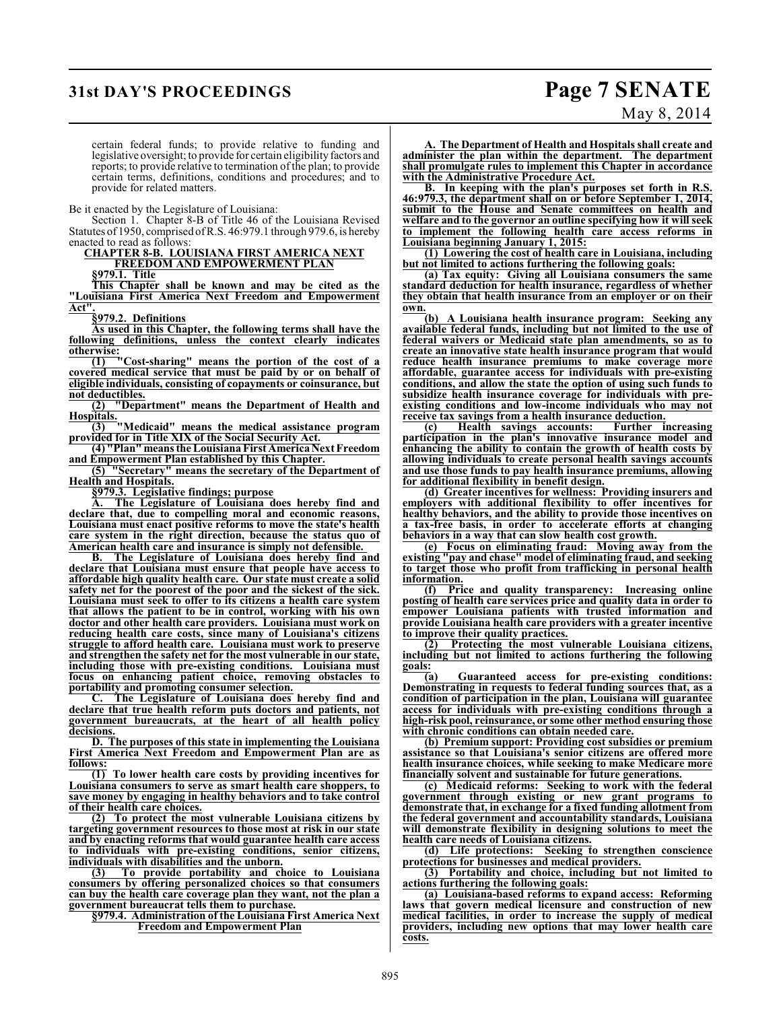### **31st DAY'S PROCEEDINGS Page 7 SENATE**

# May 8, 2014

certain federal funds; to provide relative to funding and legislative oversight; to provide for certain eligibility factors and reports; to provide relative to termination of the plan; to provide certain terms, definitions, conditions and procedures; and to provide for related matters.

Be it enacted by the Legislature of Louisiana:

Section 1. Chapter 8-B of Title 46 of the Louisiana Revised Statutes of 1950, comprised of R.S. 46:979.1 through 979.6, is hereby enacted to read as follows:

#### **CHAPTER 8-B. LOUISIANA FIRST AMERICA NEXT FREEDOM AND EMPOWERMENT PLAN §979.1. Title**

**This Chapter shall be known and may be cited as the "Louisiana First America Next Freedom and Empowerment Act".**

**§979.2. Definitions**

**As used in this Chapter, the following terms shall have the following definitions, unless the context clearly indicates otherwise:**<br>(1)

**(1) "Cost-sharing" means the portion of the cost of a covered medical service that must be paid by or on behalf of eligible individuals, consisting of copayments or coinsurance, but not deductibles.**

**(2) "Department" means the Department of Health and Hospitals.**

**(3) "Medicaid" means the medical assistance program provided for in Title XIX of the Social Security Act.**

**(4) "Plan" means the Louisiana First America Next Freedom and Empowerment Plan established by this Chapter.**

**(5) "Secretary" means the secretary of the Department of Health and Hospitals.**

**§979.3. Legislative findings; purpose**

**A. The Legislature of Louisiana does hereby find and declare that, due to compelling moral and economic reasons, Louisiana must enact positive reforms to move the state's health care system in the right direction, because the status quo of American health care and insurance is simply not defensible.**

**B. The Legislature of Louisiana does hereby find and declare that Louisiana must ensure that people have access to affordable high quality health care. Our state must create a solid safety net for the poorest of the poor and the sickest of the sick. Louisiana must seek to offer to its citizens a health care system that allows the patient to be in control, working with his own doctor and other health care providers. Louisiana must work on reducing health care costs, since many of Louisiana's citizens struggle to afford health care. Louisiana must work to preserve and strengthen the safety net for the most vulnerable in our state, including those with pre-existing conditions. Louisiana must focus on enhancing patient choice, removing obstacles to portability and promoting consumer selection.**<br> **C.** The Legislature of Louisiana does

**C. The Legislature of Louisiana does hereby find and declare that true health reform puts doctors and patients, not government bureaucrats, at the heart of all health policy decisions.**

**D. The purposes of this state in implementing the Louisiana First America Next Freedom and Empowerment Plan are as follows:**

**(1) To lower health care costs by providing incentives for Louisiana consumers to serve as smart health care shoppers, to save money by engaging in healthy behaviors and to take control of their health care choices.**

**(2) To protect the most vulnerable Louisiana citizens by targeting government resources to those most at risk in our state and by enacting reforms that would guarantee health care access to individuals with pre-existing conditions, senior citizens, individuals with disabilities and the unborn.**

**(3) To provide portability and choice to Louisiana consumers by offering personalized choices so that consumers can buy the health care coverage plan they want, not the plan a government bureaucrat tells them to purchase.**

**§979.4. Administration of the Louisiana First America Next Freedom and Empowerment Plan**

**A. The Department of Health and Hospitals shall create and administer the plan within the department. The department shall promulgate rules to implement this Chapter in accordance with the Administrative Procedure Act.**

**B. In keeping with the plan's purposes set forth in R.S. 46:979.3, the department shall on or before September 1, 2014, submit to the House and Senate committees on health and welfare and to the governor an outline specifying how it will seek to implement the following health care access reforms in Louisiana beginning January 1, 2015:**

**(1) Lowering the cost of health care in Louisiana, including but not limited to actions furthering the following goals:**

**(a) Tax equity: Giving all Louisiana consumers the same standard deduction for health insurance, regardless of whether they obtain that health insurance from an employer or on their**  $\frac{own.}{(b)}$ 

**(b) A Louisiana health insurance program: Seeking any available federal funds, including but not limited to the use of federal waivers or Medicaid state plan amendments, so as to create an innovative state health insurance program that would reduce health insurance premiums to make coverage more affordable, guarantee access for individuals with pre-existing conditions, and allow the state the option of using such funds to subsidize health insurance coverage for individuals with preexisting conditions and low-income individuals who may not receive tax savings from a health insurance deduction.**<br> **(c) Health savings accounts: Further increasing** 

**Health savings accounts: participation in the plan's innovative insurance model and enhancing the ability to contain the growth of health costs by allowing individuals to create personal health savings accounts and use those funds to pay health insurance premiums, allowing for additional flexibility in benefit design.**

**(d) Greater incentives for wellness: Providing insurers and employers with additional flexibility to offer incentives for healthy behaviors, and the ability to provide those incentives on a tax-free basis, in order to accelerate efforts at changing behaviors in a way that can slow health cost growth.**

**(e) Focus on eliminating fraud: Moving away from the existing "pay and chase" model of eliminating fraud, and seeking to target those who profit from trafficking in personal health information.**

**(f) Price and quality transparency: Increasing online posting of health care services price and quality data in order to empower Louisiana patients with trusted information and provide Louisiana health care providers with a greater incentive to improve their quality practices.**

**(2) Protecting the most vulnerable Louisiana citizens, including but not limited to actions furthering the following goals:**

**(a) Guaranteed access for pre-existing conditions: Demonstrating in requests to federal funding sources that, as a condition of participation in the plan, Louisiana will guarantee access for individuals with pre-existing conditions through a high-risk pool, reinsurance, or some other method ensuring those with chronic conditions can obtain needed care.**

**(b) Premium support: Providing cost subsidies or premium assistance so that Louisiana's senior citizens are offered more health insurance choices, while seeking to make Medicare more financially solvent and sustainable for future generations.**

**(c) Medicaid reforms: Seeking to work with the federal government through existing or new grant programs to demonstrate that, in exchange for a fixed funding allotment from the federal government and accountability standards, Louisiana will demonstrate flexibility in designing solutions to meet the health care needs of Louisiana citizens.**

**(d) Life protections: Seeking to strengthen conscience protections for businesses and medical providers.**

**(3) Portability and choice, including but not limited to actions furthering the following goals:**

**(a) Louisiana-based reforms to expand access: Reforming laws that govern medical licensure and construction of new medical facilities, in order to increase the supply of medical providers, including new options that may lower health care costs.**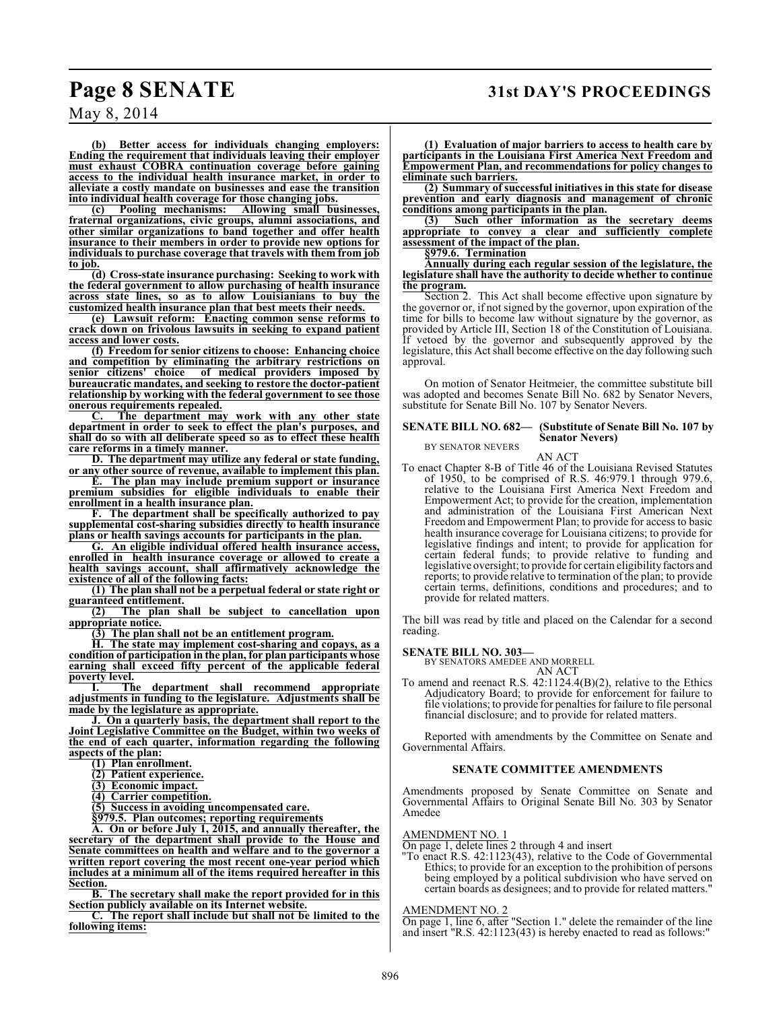**(b) Better access for individuals changing employers: Ending the requirement that individuals leaving their employer must exhaust COBRA continuation coverage before gaining access to the individual health insurance market, in order to alleviate a costly mandate on businesses and ease the transition**

**into individual health coverage for those changing jobs.**<br>(c) Pooling mechanisms: Allowing small businesses, **(c) Pooling mechanisms: Allowing small businesses, fraternal organizations, civic groups, alumni associations, and other similar organizations to band together and offer health insurance to their members in order to provide new options for individuals to purchase coverage that travels with them from job to job.**

**(d) Cross-state insurance purchasing: Seeking to work with the federal government to allow purchasing of health insurance across state lines, so as to allow Louisianians to buy the customized health insurance plan that best meets their needs.**

**(e) Lawsuit reform: Enacting common sense reforms to crack down on frivolous lawsuits in seeking to expand patient access and lower costs.**

**(f) Freedom for senior citizens to choose: Enhancing choice and competition by eliminating the arbitrary restrictions on senior citizens' choice of medical providers imposed by bureaucratic mandates, and seeking to restore the doctor-patient relationship by working with the federal government to see those onerous requirements repealed.**

**C. The department may work with any other state department in order to seek to effect the plan's purposes, and shall do so with all deliberate speed so as to effect these health care reforms in a timely manner.**

**D. The department may utilize any federal or state funding, or any other source of revenue, available to implement this plan.**

**E. The plan may include premium support or insurance premium subsidies for eligible individuals to enable their enrollment in a health insurance plan.**

**F. The department shall be specifically authorized to pay supplemental cost-sharing subsidies directly to health insurance plans or health savings accounts for participants in the plan.**

**G. An eligible individual offered health insurance access, enrolled in health insurance coverage or allowed to create a health savings account, shall affirmatively acknowledge the existence of all of the following facts:**

**(1) The plan shall not be a perpetual federal or state right or guaranteed entitlement.**

**(2) The plan shall be subject to cancellation upon appropriate notice.**

**(3) The plan shall not be an entitlement program.**

**H. The state may implement cost-sharing and copays, as a condition of participation in the plan, for plan participants whose earning shall exceed fifty percent of the applicable federal poverty level.**

**I. The department shall recommend appropriate adjustments in funding to the legislature. Adjustments shall be made by the legislature as appropriate.**

**J. On a quarterly basis, the department shall report to the Joint Legislative Committee on the Budget, within two weeks of the end of each quarter, information regarding the following aspects of the plan:**

**(1) Plan enrollment.**

**(2) Patient experience.**

**(3) Economic impact.**

**(4) Carrier competition.**

**(5) Success in avoiding uncompensated care.**

**§979.5. Plan outcomes; reporting requirements**

**A. On or before July 1, 2015, and annually thereafter, the secretary of the department shall provide to the House and Senate committees on health and welfare and to the governor a written report covering the most recent one-year period which includes at a minimum all of the items required hereafter in this Section.**

**B. The secretary shall make the report provided for in this Section publicly available on its Internet website.**

**C. The report shall include but shall not be limited to the following items:**

**(1) Evaluation of major barriers to access to health care by participants in the Louisiana First America Next Freedom and Empowerment Plan, and recommendations for policy changes to eliminate such barriers.**

**(2) Summary of successful initiatives in this state for disease prevention and early diagnosis and management of chronic conditions among participants in the plan.**

**(3) Such other information as the secretary deems appropriate to convey a clear and sufficiently complete assessment of the impact of the plan.**

**§979.6. Termination**

**Annually during each regular session of the legislature, the legislature shall have the authority to decide whether to continue the program.**

Section 2. This Act shall become effective upon signature by the governor or, if not signed by the governor, upon expiration of the time for bills to become law without signature by the governor, as provided by Article III, Section 18 of the Constitution of Louisiana. If vetoed by the governor and subsequently approved by the legislature, this Act shall become effective on the day following such approval.

On motion of Senator Heitmeier, the committee substitute bill was adopted and becomes Senate Bill No. 682 by Senator Nevers, substitute for Senate Bill No. 107 by Senator Nevers.

#### **SENATE BILL NO. 682— (Substitute of Senate Bill No. 107 by Senator Nevers)**

BY SENATOR NEVERS AN ACT

To enact Chapter 8-B of Title 46 of the Louisiana Revised Statutes of 1950, to be comprised of R.S. 46:979.1 through 979.6, relative to the Louisiana First America Next Freedom and Empowerment Act; to provide for the creation, implementation and administration of the Louisiana First American Next Freedom and Empowerment Plan; to provide for access to basic health insurance coverage for Louisiana citizens; to provide for legislative findings and intent; to provide for application for certain federal funds; to provide relative to funding and legislative oversight; to provide for certain eligibility factors and reports; to provide relative to termination of the plan; to provide certain terms, definitions, conditions and procedures; and to provide for related matters.

The bill was read by title and placed on the Calendar for a second reading.

#### **SENATE BILL NO. 303—**

BY SENATORS AMEDEE AND MORRELL

- AN ACT
- To amend and reenact R.S. 42:1124.4(B)(2), relative to the Ethics Adjudicatory Board; to provide for enforcement for failure to file violations; to provide for penalties for failure to file personal financial disclosure; and to provide for related matters.

Reported with amendments by the Committee on Senate and Governmental Affairs.

#### **SENATE COMMITTEE AMENDMENTS**

Amendments proposed by Senate Committee on Senate and Governmental Affairs to Original Senate Bill No. 303 by Senator Amedee

#### AMENDMENT NO. 1

On page 1, delete lines 2 through 4 and insert

"To enact R.S. 42:1123(43), relative to the Code of Governmental Ethics; to provide for an exception to the prohibition of persons being employed by a political subdivision who have served on certain boards as designees; and to provide for related matters."

#### AMENDMENT NO. 2

On page 1, line 6, after "Section 1." delete the remainder of the line and insert "R.S. 42:1123(43) is hereby enacted to read as follows:"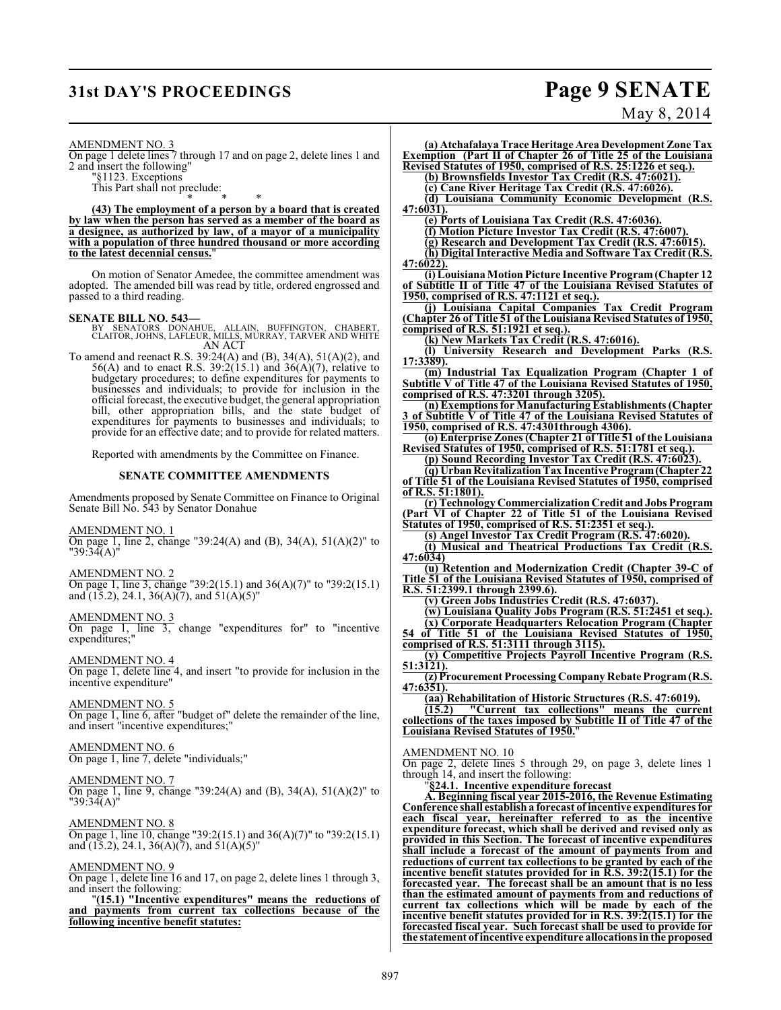## **31st DAY'S PROCEEDINGS Page 9 SENATE**

#### AMENDMENT NO. 3

On page 1 delete lines 7 through 17 and on page 2, delete lines 1 and 2 and insert the following"

"§1123. Exceptions

This Part shall not preclude: \* \* \*

**(43) The employment of a person by a board that is created by law when the person has served as a member of the board as a designee, as authorized by law, of a mayor of a municipality with a population of three hundred thousand or more according to the latest decennial census.**"

On motion of Senator Amedee, the committee amendment was adopted. The amended bill was read by title, ordered engrossed and passed to a third reading.

#### **SENATE BILL NO. 543—**

BY SENATORS DONAHUE, ALLAIN, BUFFINGTON, CHABERT, CLAITOR, JOHNS, LAFLEUR, MILLS, MURRAY, TARVER AND WHITE AN ACT

To amend and reenact R.S. 39:24(A) and (B), 34(A), 51(A)(2), and 56(A) and to enact R.S. 39:2(15.1) and 36(A)(7), relative to budgetary procedures; to define expenditures for payments to businesses and individuals; to provide for inclusion in the official forecast, the executive budget, the general appropriation bill, other appropriation bills, and the state budget of expenditures for payments to businesses and individuals; to provide for an effective date; and to provide for related matters.

Reported with amendments by the Committee on Finance.

#### **SENATE COMMITTEE AMENDMENTS**

Amendments proposed by Senate Committee on Finance to Original Senate Bill No. 543 by Senator Donahue

#### AMENDMENT NO. 1

On page 1, line 2, change "39:24(A) and (B), 34(A), 51(A)(2)" to "39:34(A)"

#### AMENDMENT NO. 2

On page 1, line 3, change "39:2(15.1) and 36(A)(7)" to "39:2(15.1) and  $(15.2)$ , 24.1,  $36(A)(7)$ , and  $51(A)(5)$ "

#### AMENDMENT NO. 3

On page 1, line 3, change "expenditures for" to "incentive expenditures;"

AMENDMENT NO. 4

On page 1, delete line 4, and insert "to provide for inclusion in the incentive expenditure"

AMENDMENT NO. 5

On page 1, line 6, after "budget of" delete the remainder of the line, and insert "incentive expenditures;"

#### AMENDMENT NO. 6

On page 1, line 7, delete "individuals;"

#### AMENDMENT NO. 7

On page 1, line 9, change "39:24(A) and (B), 34(A), 51(A)(2)" to "39:34(A)"

AMENDMENT NO. 8 On page 1, line 10, change "39:2(15.1) and 36(A)(7)" to "39:2(15.1) and  $(15.2)$ , 24.1,  $36(A)(7)$ , and  $51(A)(5)$ "

#### AMENDMENT NO. 9

On page 1, delete line 16 and 17, on page 2, delete lines 1 through 3, and insert the following:

"**(15.1) "Incentive expenditures" means the reductions of and payments from current tax collections because of the following incentive benefit statutes:**

May 8, 2014

**(a) Atchafalaya Trace Heritage Area Development Zone Tax Exemption (Part II of Chapter 26 of Title 25 of the Louisiana Revised Statutes of 1950, comprised of R.S. 25:1226 et seq.).**

**(b) Brownsfields Investor Tax Credit (R.S. 47:6021).**

**(c) Cane River Heritage Tax Credit (R.S. 47:6026). (d) Louisiana Community Economic Development (R.S. 47:6031).**

**(e) Ports of Louisiana Tax Credit (R.S. 47:6036).**

**(f) Motion Picture Investor Tax Credit (R.S. 47:6007).**

**(g) Research and Development Tax Credit (R.S. 47:6015). (h) Digital Interactive Media and Software Tax Credit (R.S.**

**47:6022).**

**(i) Louisiana Motion Picture Incentive Program (Chapter 12 of Subtitle II of Title 47 of the Louisiana Revised Statutes of 1950, comprised of R.S. 47:1121 et seq.).**

**(j) Louisiana Capital Companies Tax Credit Program (Chapter 26 of Title 51 of the Louisiana Revised Statutes of 1950, comprised of R.S. 51:1921 et seq.).**

**(k) New Markets Tax Credit (R.S. 47:6016).**

**(l) University Research and Development Parks (R.S. 17:3389).**

**(m) Industrial Tax Equalization Program (Chapter 1 of Subtitle V of Title 47 of the Louisiana Revised Statutes of 1950, comprised of R.S. 47:3201 through 3205).**

**(n) Exemptions for Manufacturing Establishments (Chapter 3 of Subtitle V of Title 47 of the Louisiana Revised Statutes of 1950, comprised of R.S. 47:4301through 4306).**

**(o) Enterprise Zones (Chapter 21 of Title 51 of the Louisiana Revised Statutes of 1950, comprised of R.S. 51:1781 et seq.).**

**(p) Sound Recording Investor Tax Credit (R.S. 47:6023).**

**(q) Urban Revitalization Tax Incentive Program (Chapter 22 of Title 51 of the Louisiana Revised Statutes of 1950, comprised of R.S. 51:1801).**

**(r) Technology Commercialization Credit and Jobs Program (Part VI of Chapter 22 of Title 51 of the Louisiana Revised Statutes of 1950, comprised of R.S. 51:2351 et seq.).**

**(s) Angel Investor Tax Credit Program (R.S. 47:6020).**

**(t) Musical and Theatrical Productions Tax Credit (R.S. 47:6034)**

**(u) Retention and Modernization Credit (Chapter 39-C of Title 51 of the Louisiana Revised Statutes of 1950, comprised of R.S. 51:2399.1 through 2399.6).**

**(v) Green Jobs Industries Credit (R.S. 47:6037).**

**(w) Louisiana Quality Jobs Program (R.S. 51:2451 et seq.). (x) Corporate Headquarters Relocation Program (Chapter**

**54 of Title 51 of the Louisiana Revised Statutes of 1950, comprised of R.S. 51:3111 through 3115).**

**(y) Competitive Projects Payroll Incentive Program (R.S. 51:3121).**

**(z) Procurement Processing Company Rebate Program (R.S. 47:6351).**

**(aa) Rehabilitation of Historic Structures (R.S. 47:6019). (15.2) "Current tax collections" means the current collections of the taxes imposed by Subtitle II of Title 47 of the Louisiana Revised Statutes of 1950.**"

AMENDMENT NO. 10

On page 2, delete lines 5 through 29, on page 3, delete lines 1 through 14, and insert the following:

"**§24.1. Incentive expenditure forecast**

**A. Beginning fiscal year 2015-2016, the Revenue Estimating Conference shall establish a forecast of incentive expenditures for each fiscal year, hereinafter referred to as the incentive expenditure forecast, which shall be derived and revised only as provided in this Section. The forecast of incentive expenditures shall include a forecast of the amount of payments from and reductions of current tax collections to be granted by each of the incentive benefit statutes provided for in R.S. 39:2(15.1) for the forecasted year. The forecast shall be an amount that is no less than the estimated amount of payments from and reductions of current tax collections which will be made by each of the incentive benefit statutes provided for in R.S. 39:2(15.1) for the forecasted fiscal year. Such forecast shall be used to provide for the statement of incentive expenditure allocations in the proposed**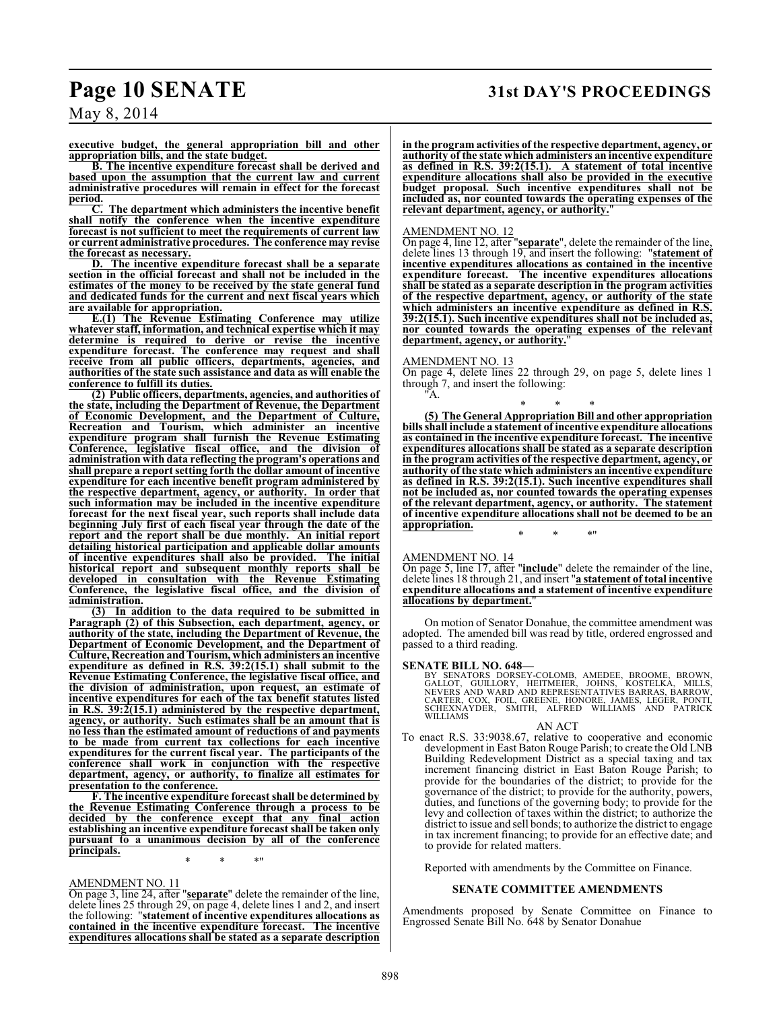### **Page 10 SENATE 31st DAY'S PROCEEDINGS**

May 8, 2014

**executive budget, the general appropriation bill and other appropriation bills, and the state budget.**

**B. The incentive expenditure forecast shall be derived and based upon the assumption that the current law and current administrative procedures will remain in effect for the forecast period.**

**C. The department which administers the incentive benefit shall notify the conference when the incentive expenditure forecast is not sufficient to meet the requirements of current law or current administrative procedures. The conference may revise the forecast as necessary.**

**D. The incentive expenditure forecast shall be a separate section in the official forecast and shall not be included in the estimates of the money to be received by the state general fund and dedicated funds for the current and next fiscal years which are available for appropriation.**

**E.(1) The Revenue Estimating Conference may utilize whatever staff, information, and technical expertise which it may determine is required to derive or revise the incentive expenditure forecast. The conference may request and shall receive from all public officers, departments, agencies, and authorities of the state such assistance and data as will enable the conference to fulfill its duties.**

**(2) Public officers, departments, agencies, and authorities of the state, including the Department of Revenue, the Department of Economic Development, and the Department of Culture, Recreation and Tourism, which administer an incentive expenditure program shall furnish the Revenue Estimating Conference, legislative fiscal office, and the division of administration with data reflecting the program's operations and shall prepare a report setting forth the dollar amount of incentive expenditure for each incentive benefit program administered by the respective department, agency, or authority. In order that such information may be included in the incentive expenditure forecast for the next fiscal year, such reports shall include data beginning July first of each fiscal year through the date of the report and the report shall be due monthly. An initial report detailing historical participation and applicable dollar amounts of incentive expenditures shall also be provided. The initial historical report and subsequent monthly reports shall be developed in consultation with the Revenue Estimating Conference, the legislative fiscal office, and the division of administration.**

**(3) In addition to the data required to be submitted in Paragraph (2) of this Subsection, each department, agency, or authority of the state, including the Department of Revenue, the Department of Economic Development, and the Department of Culture, Recreation andTourism, which administers an incentive expenditure as defined in R.S. 39:2(15.1) shall submit to the Revenue Estimating Conference, the legislative fiscal office, and the division of administration, upon request, an estimate of incentive expenditures for each of the tax benefit statutes listed in R.S. 39:2(15.1) administered by the respective department, agency, or authority. Such estimates shall be an amount that is no less than the estimated amount of reductions of and payments to be made from current tax collections for each incentive expenditures for the current fiscal year. The participants of the conference shall work in conjunction with the respective department, agency, or authority, to finalize all estimates for presentation to the conference.**

**F. The incentive expenditure forecast shall be determined by the Revenue Estimating Conference through a process to be decided by the conference except that any final action establishing an incentive expenditure forecast shall be taken only pursuant to a unanimous decision by all of the conference principals.**

\* \* \*"

#### AMENDMENT NO. 11

On page 3, line 24, after "**separate**" delete the remainder of the line, delete lines 25 through 29, on page 4, delete lines 1 and 2, and insert the following: "**statement of incentive expenditures allocations as contained in the incentive expenditure forecast. The incentive expenditures allocations shall be stated as a separate description**

**in the program activities of the respective department, agency, or authority of the state which administers an incentive expenditure as defined in R.S. 39:2(15.1). A statement of total incentive expenditure allocations shall also be provided in the executive budget proposal. Such incentive expenditures shall not be included as, nor counted towards the operating expenses of the relevant department, agency, or authority.**"

#### AMENDMENT NO. 12

On page 4, line 12, after "**separate**", delete the remainder of the line, delete lines 13 through 19, and insert the following: "**statement of incentive expenditures allocations as contained in the incentive expenditure forecast. The incentive expenditures allocations shall be stated as a separate description in the program activities of the respective department, agency, or authority of the state which administers an incentive expenditure as defined in R.S. 39:2(15.1). Such incentive expenditures shall not be included as, nor counted towards the operating expenses of the relevant department, agency, or authority.**"

#### AMENDMENT NO. 13

"A.

On page 4, delete lines 22 through 29, on page 5, delete lines 1 through 7, and insert the following:

\* \* \* **(5) The General Appropriation Bill and other appropriation bills shall include a statement of incentive expenditure allocations as contained in the incentive expenditure forecast. The incentive expenditures allocations shall be stated as a separate description in the program activities of the respective department, agency, or authority of the state which administers an incentive expenditure as defined in R.S. 39:2(15.1). Such incentive expenditures shall not be included as, nor counted towards the operating expenses of the relevant department, agency, or authority. The statement of incentive expenditure allocations shall not be deemed to be an appropriation.**

\* \* \*"

#### AMENDMENT NO. 14

On page 5, line 17, after "**include**" delete the remainder of the line, delete lines 18 through 21, and insert "**a statement of total incentive expenditure allocations and a statement of incentive expenditure allocations by department.**"

On motion of Senator Donahue, the committee amendment was adopted. The amended bill was read by title, ordered engrossed and passed to a third reading.

#### **SENATE BILL NO. 648—**

BY SENATORS DORSEY-COLOMB, AMEDEE, BROOME, BROWN,<br>GALLOT, GUILLORY, HEITMEIER, JOHNS, KOSTELKA, MILLS,<br>NEVERS AND WARD AND REPRESENTATIVES BARRAS, BARROW,<br>CARTER, COX, FOIL, GREENE, HONORE, JAMES, LEGER, PONTI,<br>SCHEXNAYDER

#### AN ACT

To enact R.S. 33:9038.67, relative to cooperative and economic development in East Baton Rouge Parish; to create the Old LNB Building Redevelopment District as a special taxing and tax increment financing district in East Baton Rouge Parish; to provide for the boundaries of the district; to provide for the governance of the district; to provide for the authority, powers, duties, and functions of the governing body; to provide for the levy and collection of taxes within the district; to authorize the district to issue and sell bonds; to authorize the district to engage in tax increment financing; to provide for an effective date; and to provide for related matters.

Reported with amendments by the Committee on Finance.

#### **SENATE COMMITTEE AMENDMENTS**

Amendments proposed by Senate Committee on Finance to Engrossed Senate Bill No. 648 by Senator Donahue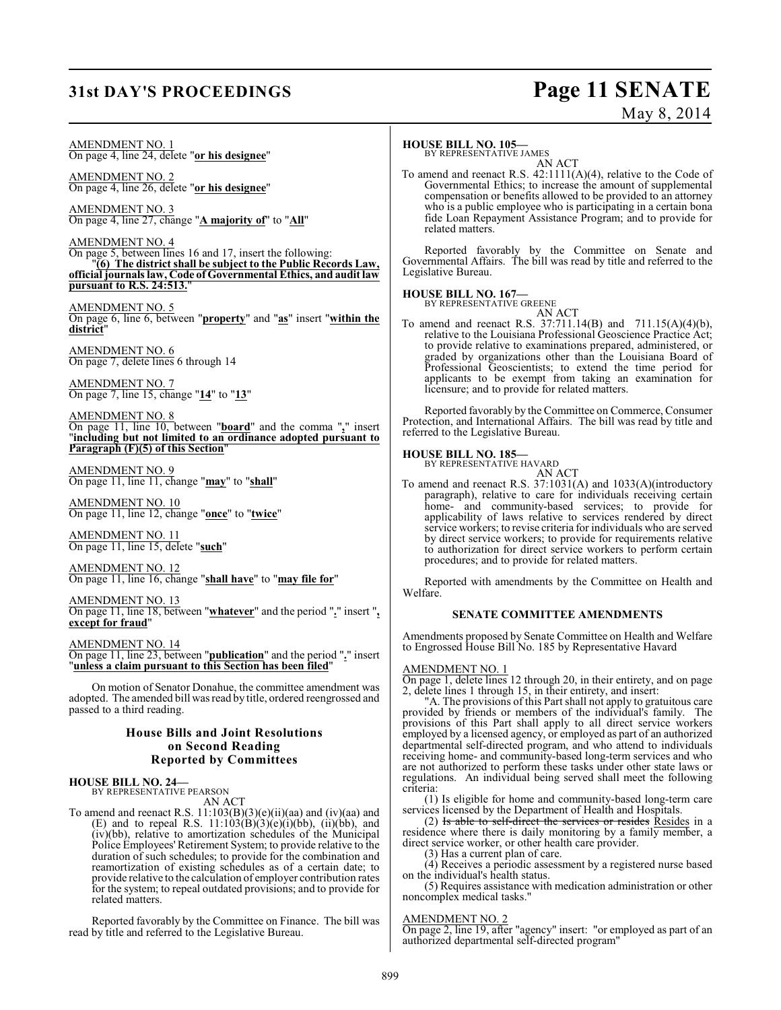## **31st DAY'S PROCEEDINGS Page 11 SENATE** May 8, 2014

AMENDMENT NO. 1 On page 4, line 24, delete "**or his designee**"

AMENDMENT NO. 2 On page 4, line 26, delete "**or his designee**"

AMENDMENT NO. 3 On page 4, line 27, change "**A majority of**" to "**All**"

AMENDMENT NO. 4 On page 5, between lines 16 and 17, insert the following: "**(6) The district shall be subject to the Public Records Law, official journals law, Code of Governmental Ethics, and audit law pursuant to R.S. 24:513.**"

AMENDMENT NO. 5 On page 6, line 6, between "**property**" and "**as**" insert "**within the district**"

AMENDMENT NO. 6 On page 7, delete lines 6 through 14

AMENDMENT NO. 7 On page 7, line 15, change "**14**" to "**13**"

AMENDMENT NO. 8 On page 11, line 10, between "**board**" and the comma "**,**" insert "**including but not limited to an ordinance adopted pursuant to Paragraph (F)(5) of this Section**"

AMENDMENT NO. 9 On page 11, line 11, change "**may**" to "**shall**"

AMENDMENT NO. 10 On page 11, line 12, change "**once**" to "**twice**"

AMENDMENT NO. 11 On page 11, line 15, delete "**such**"

AMENDMENT NO. 12 On page 11, line 16, change "**shall have**" to "**may file for**"

AMENDMENT NO. 13 On page 11, line 18, between "**whatever**" and the period "**.**" insert "**, except for fraud**"

AMENDMENT NO. 14

On page 11, line 23, between "**publication**" and the period "**.**" insert "**unless a claim pursuant to this Section has been filed**"

On motion of Senator Donahue, the committee amendment was adopted. The amended bill wasread by title, ordered reengrossed and passed to a third reading.

#### **House Bills and Joint Resolutions on Second Reading Reported by Committees**

### **HOUSE BILL NO. 24—** BY REPRESENTATIVE PEARSON

AN ACT

To amend and reenact R.S. 11:103(B)(3)(e)(ii)(aa) and (iv)(aa) and (E) and to repeal R.S.  $11:103(B)(3)(e)(i)(bb)$ ,  $(ii)(bb)$ , and (iv)(bb), relative to amortization schedules of the Municipal Police Employees' Retirement System; to provide relative to the duration of such schedules; to provide for the combination and reamortization of existing schedules as of a certain date; to provide relative to the calculation of employer contribution rates for the system; to repeal outdated provisions; and to provide for related matters.

Reported favorably by the Committee on Finance. The bill was read by title and referred to the Legislative Bureau.

#### **HOUSE BILL NO. 105—**

BY REPRESENTATIVE JAMES

AN ACT To amend and reenact R.S. 42:1111(A)(4), relative to the Code of Governmental Ethics; to increase the amount of supplemental compensation or benefits allowed to be provided to an attorney who is a public employee who is participating in a certain bona fide Loan Repayment Assistance Program; and to provide for related matters.

Reported favorably by the Committee on Senate and Governmental Affairs. The bill was read by title and referred to the Legislative Bureau.

#### **HOUSE BILL NO. 167—**

BY REPRESENTATIVE GREENE AN ACT

To amend and reenact R.S. 37:711.14(B) and 711.15(A)(4)(b), relative to the Louisiana Professional Geoscience Practice Act; to provide relative to examinations prepared, administered, or graded by organizations other than the Louisiana Board of Professional Geoscientists; to extend the time period for applicants to be exempt from taking an examination for licensure; and to provide for related matters.

Reported favorably by the Committee on Commerce, Consumer Protection, and International Affairs. The bill was read by title and referred to the Legislative Bureau.

### **HOUSE BILL NO. 185—**

BY REPRESENTATIVE HAVARD AN ACT

To amend and reenact R.S. 37:1031(A) and 1033(A)(introductory paragraph), relative to care for individuals receiving certain home- and community-based services; to provide for applicability of laws relative to services rendered by direct service workers; to revise criteria for individuals who are served by direct service workers; to provide for requirements relative to authorization for direct service workers to perform certain procedures; and to provide for related matters.

Reported with amendments by the Committee on Health and Welfare.

#### **SENATE COMMITTEE AMENDMENTS**

Amendments proposed by Senate Committee on Health and Welfare to Engrossed House Bill No. 185 by Representative Havard

#### AMENDMENT NO. 1

On page 1, delete lines 12 through 20, in their entirety, and on page 2, delete lines 1 through 15, in their entirety, and insert:

"A. The provisions of this Part shall not apply to gratuitous care provided by friends or members of the individual's family. The provisions of this Part shall apply to all direct service workers employed by a licensed agency, or employed as part of an authorized departmental self-directed program, and who attend to individuals receiving home- and community-based long-term services and who are not authorized to perform these tasks under other state laws or regulations. An individual being served shall meet the following criteria:

(1) Is eligible for home and community-based long-term care services licensed by the Department of Health and Hospitals.

(2) Is able to self-direct the services or resides Resides in a residence where there is daily monitoring by a family member, a direct service worker, or other health care provider.

(3) Has a current plan of care.

(4) Receives a periodic assessment by a registered nurse based on the individual's health status.

(5) Requires assistance with medication administration or other noncomplex medical tasks."

#### AMENDMENT NO. 2

On page 2, line 19, after "agency" insert: "or employed as part of an authorized departmental self-directed program"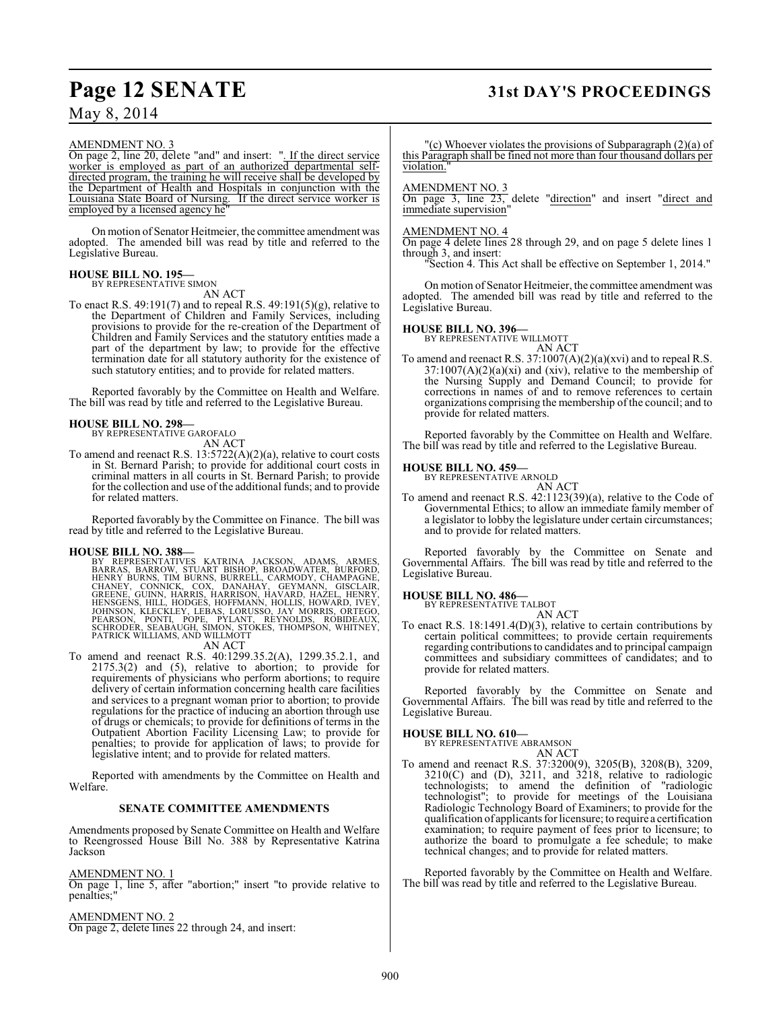### **Page 12 SENATE 31st DAY'S PROCEEDINGS**

May 8, 2014

#### AMENDMENT NO. 3

On page 2, line 20, delete "and" and insert: ". If the direct service worker is employed as part of an authorized departmental selfdirected program, the training he will receive shall be developed by the Department of Health and Hospitals in conjunction with the Louisiana State Board of Nursing. If the direct service worker is employed by a licensed agency he

On motion of Senator Heitmeier, the committee amendment was adopted. The amended bill was read by title and referred to the Legislative Bureau.

#### **HOUSE BILL NO. 195—**

BY REPRESENTATIVE SIMON AN ACT

To enact R.S.  $49:191(7)$  and to repeal R.S.  $49:191(5)(g)$ , relative to the Department of Children and Family Services, including provisions to provide for the re-creation of the Department of Children and Family Services and the statutory entities made a part of the department by law; to provide for the effective termination date for all statutory authority for the existence of such statutory entities; and to provide for related matters.

Reported favorably by the Committee on Health and Welfare. The bill was read by title and referred to the Legislative Bureau.

#### **HOUSE BILL NO. 298—**

BY REPRESENTATIVE GAROFALO AN ACT

To amend and reenact R.S. 13:5722(A)(2)(a), relative to court costs in St. Bernard Parish; to provide for additional court costs in criminal matters in all courts in St. Bernard Parish; to provide for the collection and use of the additional funds; and to provide for related matters.

Reported favorably by the Committee on Finance. The bill was read by title and referred to the Legislative Bureau.

#### **HOUSE BILL NO. 388—**

BY REPRESENTATIVES KATRINA JACKSON, ADAMS, ARMES,<br>BARRAS, BARROW, STUART BISHOP, BROADWATER, BURFORD,<br>HENRY BURNS, TIM BURNS, BURRELL, CARMODY, CHAMPAGNE,<br>CHANEY, CONNICK, COX, DANAHAY, GEYMANN, GISCLAIR,<br>GREENE, GUINN, HA AN ACT

To amend and reenact R.S. 40:1299.35.2(A), 1299.35.2.1, and 2175.3(2) and (5), relative to abortion; to provide for requirements of physicians who perform abortions; to require delivery of certain information concerning health care facilities and services to a pregnant woman prior to abortion; to provide regulations for the practice of inducing an abortion through use of drugs or chemicals; to provide for definitions of terms in the Outpatient Abortion Facility Licensing Law; to provide for penalties; to provide for application of laws; to provide for legislative intent; and to provide for related matters.

Reported with amendments by the Committee on Health and Welfare.

#### **SENATE COMMITTEE AMENDMENTS**

Amendments proposed by Senate Committee on Health and Welfare to Reengrossed House Bill No. 388 by Representative Katrina Jackson

#### AMENDMENT NO. 1

On page 1, line 5, after "abortion;" insert "to provide relative to penalties;'

#### AMENDMENT NO. 2

On page 2, delete lines 22 through 24, and insert:

"(c) Whoever violates the provisions of Subparagraph (2)(a) of this Paragraph shall be fined not more than four thousand dollars per violation.

#### AMENDMENT NO. 3

On page 3, line 23, delete "direction" and insert "direct and immediate supervision"

#### AMENDMENT NO. 4

On page 4 delete lines 28 through 29, and on page 5 delete lines 1 through 3, and insert:

"Section 4. This Act shall be effective on September 1, 2014."

On motion of Senator Heitmeier, the committee amendment was adopted. The amended bill was read by title and referred to the Legislative Bureau.

## **HOUSE BILL NO. 396—** BY REPRESENTATIVE WILLMOTT

AN ACT To amend and reenact R.S. 37:1007(A)(2)(a)(xvi) and to repeal R.S.  $37:1007(A)(2)(a)(xi)$  and (xiv), relative to the membership of the Nursing Supply and Demand Council; to provide for corrections in names of and to remove references to certain organizations comprising the membership of the council; and to provide for related matters.

Reported favorably by the Committee on Health and Welfare. The bill was read by title and referred to the Legislative Bureau.

**HOUSE BILL NO. 459—**



To amend and reenact R.S. 42:1123(39)(a), relative to the Code of Governmental Ethics; to allow an immediate family member of a legislator to lobby the legislature under certain circumstances; and to provide for related matters.

Reported favorably by the Committee on Senate and Governmental Affairs. The bill was read by title and referred to the Legislative Bureau.

#### **HOUSE BILL NO. 486—**

BY REPRESENTATIVE TALBOT

AN ACT To enact R.S. 18:1491.4(D)(3), relative to certain contributions by certain political committees; to provide certain requirements regarding contributions to candidates and to principal campaign committees and subsidiary committees of candidates; and to provide for related matters.

Reported favorably by the Committee on Senate and Governmental Affairs. The bill was read by title and referred to the Legislative Bureau.

**HOUSE BILL NO. 610—** BY REPRESENTATIVE ABRAMSON AN ACT

To amend and reenact R.S. 37:3200(9), 3205(B), 3208(B), 3209, 3210(C) and (D), 3211, and 3218, relative to radiologic technologists; to amend the definition of "radiologic technologist"; to provide for meetings of the Louisiana Radiologic Technology Board of Examiners; to provide for the qualification of applicants for licensure; to require a certification examination; to require payment of fees prior to licensure; to authorize the board to promulgate a fee schedule; to make technical changes; and to provide for related matters.

Reported favorably by the Committee on Health and Welfare. The bill was read by title and referred to the Legislative Bureau.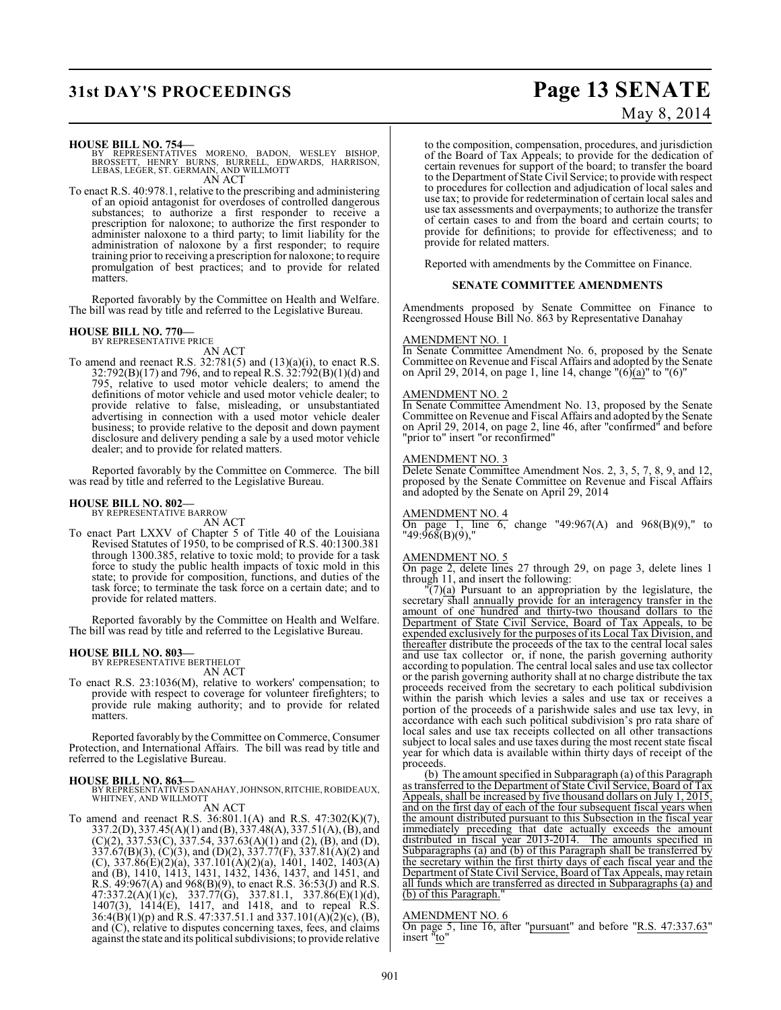## **31st DAY'S PROCEEDINGS Page 13 SENATE** May 8, 2014

#### **HOUSE BILL NO. 754—**

BY REPRESENTATIVES MORENO, BADON, WESLEY BISHOP,<br>BROSSETT, HENRY BURNS, BURRELL, EDWARDS, HARRISON,<br>LEBAS,LEGER,ST.GERMAIN,ANDWILLMOTT AN ACT

To enact R.S. 40:978.1, relative to the prescribing and administering of an opioid antagonist for overdoses of controlled dangerous substances; to authorize a first responder to receive a prescription for naloxone; to authorize the first responder to administer naloxone to a third party; to limit liability for the administration of naloxone by a first responder; to require training prior to receiving a prescription for naloxone; to require promulgation of best practices; and to provide for related matters.

Reported favorably by the Committee on Health and Welfare. The bill was read by title and referred to the Legislative Bureau.

### **HOUSE BILL NO. 770—** BY REPRESENTATIVE PRICE

AN ACT

To amend and reenact R.S.  $32:781(5)$  and  $(13)(a)(i)$ , to enact R.S. 32:792(B)(17) and 796, and to repeal R.S. 32:792(B)(1)(d) and 795, relative to used motor vehicle dealers; to amend the definitions of motor vehicle and used motor vehicle dealer; to provide relative to false, misleading, or unsubstantiated advertising in connection with a used motor vehicle dealer business; to provide relative to the deposit and down payment disclosure and delivery pending a sale by a used motor vehicle dealer; and to provide for related matters.

Reported favorably by the Committee on Commerce. The bill was read by title and referred to the Legislative Bureau.

## **HOUSE BILL NO. 802—** BY REPRESENTATIVE BARROW

AN ACT

To enact Part LXXV of Chapter 5 of Title 40 of the Louisiana Revised Statutes of 1950, to be comprised of R.S. 40:1300.381 through 1300.385, relative to toxic mold; to provide for a task force to study the public health impacts of toxic mold in this state; to provide for composition, functions, and duties of the task force; to terminate the task force on a certain date; and to provide for related matters.

Reported favorably by the Committee on Health and Welfare. The bill was read by title and referred to the Legislative Bureau.

#### **HOUSE BILL NO. 803—**

BY REPRESENTATIVE BERTHELOT AN ACT

To enact R.S. 23:1036(M), relative to workers' compensation; to provide with respect to coverage for volunteer firefighters; to provide rule making authority; and to provide for related matters.

Reported favorably by the Committee on Commerce, Consumer Protection, and International Affairs. The bill was read by title and referred to the Legislative Bureau.

#### **HOUSE BILL NO. 863—**

BY REPRESENTATIVES DANAHAY, JOHNSON, RITCHIE, ROBIDEAUX, WHITNEY, AND WILLMOTT

AN ACT To amend and reenact R.S. 36:801.1(A) and R.S. 47:302(K)(7), 337.2(D), 337.45(A)(1) and (B), 337.48(A), 337.51(A), (B), and  $(C)(2)$ , 337.53 $(C)$ , 337.54, 337.63 $(A)(1)$  and  $(2)$ ,  $(B)$ , and  $(D)$ , 337.67(B)(3), (C)(3), and (D)(2), 337.77(F), 337.81(A)(2) and (C), 337.86(E)(2)(a), 337.101(A)(2)(a), 1401, 1402, 1403(A) and (B), 1410, 1413, 1431, 1432, 1436, 1437, and 1451, and R.S.  $49:967(A)$  and  $968(B)(9)$ , to enact R.S.  $36:53(J)$  and R.S. 47:337.2(A)(1)(c), 337.77(G), 337.81.1, 337.86(E)(1)(d), 1407(3), 1414(E), 1417, and 1418, and to repeal R.S. 36:4(B)(1)(p) and R.S. 47:337.51.1 and 337.101(A)(2)(c), (B), and (C), relative to disputes concerning taxes, fees, and claims against the state and its political subdivisions; to provide relative

to the composition, compensation, procedures, and jurisdiction of the Board of Tax Appeals; to provide for the dedication of certain revenues for support of the board; to transfer the board to the Department of State Civil Service; to provide with respect to procedures for collection and adjudication of local sales and use tax; to provide for redetermination of certain local sales and use tax assessments and overpayments; to authorize the transfer of certain cases to and from the board and certain courts; to provide for definitions; to provide for effectiveness; and to provide for related matters.

Reported with amendments by the Committee on Finance.

#### **SENATE COMMITTEE AMENDMENTS**

Amendments proposed by Senate Committee on Finance to Reengrossed House Bill No. 863 by Representative Danahay

#### AMENDMENT NO. 1

In Senate Committee Amendment No. 6, proposed by the Senate Committee on Revenue and Fiscal Affairs and adopted by the Senate on April 29, 2014, on page 1, line 14, change " $(6)(a)$ " to " $(6)$ "

#### AMENDMENT NO. 2

In Senate Committee Amendment No. 13, proposed by the Senate Committee on Revenue and Fiscal Affairs and adopted by the Senate on April 29, 2014, on page 2, line 46, after "confirmed" and before "prior to" insert "or reconfirmed"

#### AMENDMENT NO. 3

Delete Senate Committee Amendment Nos. 2, 3, 5, 7, 8, 9, and 12, proposed by the Senate Committee on Revenue and Fiscal Affairs and adopted by the Senate on April 29, 2014

#### AMENDMENT NO. 4

On page 1, line 6, change "49:967(A) and  $968(B)(9)$ ," to "49:968(B)(9),"

#### AMENDMENT NO. 5

On page 2, delete lines 27 through 29, on page 3, delete lines 1 through 11, and insert the following:

 $\sqrt{7}$ (a) Pursuant to an appropriation by the legislature, the secretary shall annually provide for an interagency transfer in the amount of one hundred and thirty-two thousand dollars to the Department of State Civil Service, Board of Tax Appeals, to be expended exclusively for the purposes of its Local Tax Division, and thereafter distribute the proceeds of the tax to the central local sales and use tax collector or, if none, the parish governing authority according to population. The central local sales and use tax collector or the parish governing authority shall at no charge distribute the tax proceeds received from the secretary to each political subdivision within the parish which levies a sales and use tax or receives a portion of the proceeds of a parishwide sales and use tax levy, in accordance with each such political subdivision's pro rata share of local sales and use tax receipts collected on all other transactions subject to local sales and use taxes during the most recent state fiscal year for which data is available within thirty days of receipt of the proceeds.

(b) The amount specified in Subparagraph (a) of this Paragraph as transferred to the Department of State Civil Service, Board of Tax Appeals, shall be increased by five thousand dollars on July 1, 2015, and on the first day of each of the four subsequent fiscal years when the amount distributed pursuant to this Subsection in the fiscal year immediately preceding that date actually exceeds the amount distributed in fiscal year 2013-2014. The amounts specified in Subparagraphs (a) and (b) of this Paragraph shall be transferred by the secretary within the first thirty days of each fiscal year and the Department of State Civil Service, Board of Tax Appeals, may retain all funds which are transferred as directed in Subparagraphs (a) and (b) of this Paragraph.

#### AMENDMENT NO. 6

On page 5, line 16, after "pursuant" and before "R.S. 47:337.63" insert "to"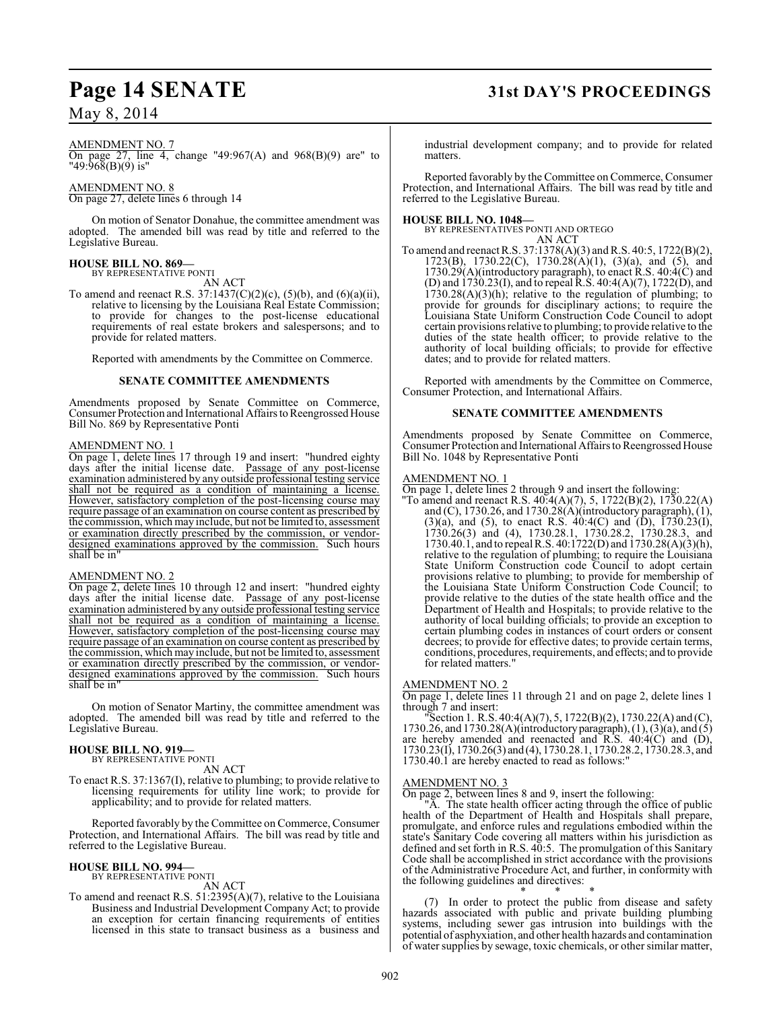#### AMENDMENT NO. 7

On page 27, line 4, change "49:967(A) and 968(B)(9) are" to "49:968(B)(9) is"

#### AMENDMENT NO. 8

On page 27, delete lines 6 through 14

On motion of Senator Donahue, the committee amendment was adopted. The amended bill was read by title and referred to the Legislative Bureau.

## **HOUSE BILL NO. 869—** BY REPRESENTATIVE PONTI

AN ACT

To amend and reenact R.S. 37:1437(C)(2)(c), (5)(b), and (6)(a)(ii), relative to licensing by the Louisiana Real Estate Commission; to provide for changes to the post-license educational requirements of real estate brokers and salespersons; and to provide for related matters.

Reported with amendments by the Committee on Commerce.

#### **SENATE COMMITTEE AMENDMENTS**

Amendments proposed by Senate Committee on Commerce, Consumer Protection and International Affairs to Reengrossed House Bill No. 869 by Representative Ponti

#### AMENDMENT NO. 1

On page 1, delete lines 17 through 19 and insert: "hundred eighty days after the initial license date. Passage of any post-license examination administered by any outside professional testing service shall not be required as a condition of maintaining a license. However, satisfactory completion of the post-licensing course may require passage of an examination on course content as prescribed by the commission, which may include, but not be limited to, assessment or examination directly prescribed by the commission, or vendordesigned examinations approved by the commission. Such hours shall be in"

#### AMENDMENT NO. 2

On page 2, delete lines 10 through 12 and insert: "hundred eighty days after the initial license date. Passage of any post-license examination administered by any outside professional testing service shall not be required as a condition of maintaining a license. However, satisfactory completion of the post-licensing course may require passage of an examination on course content as prescribed by the commission, which may include, but not be limited to, assessment or examination directly prescribed by the commission, or vendordesigned examinations approved by the commission. Such hours shall be in"

On motion of Senator Martiny, the committee amendment was adopted. The amended bill was read by title and referred to the Legislative Bureau.

## **HOUSE BILL NO. 919—** BY REPRESENTATIVE PONTI

AN ACT

To enact R.S. 37:1367(I), relative to plumbing; to provide relative to licensing requirements for utility line work; to provide for applicability; and to provide for related matters.

Reported favorably by the Committee on Commerce, Consumer Protection, and International Affairs. The bill was read by title and referred to the Legislative Bureau.

#### **HOUSE BILL NO. 994—** BY REPRESENTATIVE PONTI

AN ACT

To amend and reenact R.S. 51:2395(A)(7), relative to the Louisiana Business and Industrial Development Company Act; to provide an exception for certain financing requirements of entities licensed in this state to transact business as a business and

### **Page 14 SENATE 31st DAY'S PROCEEDINGS**

industrial development company; and to provide for related matters.

Reported favorably by the Committee on Commerce, Consumer Protection, and International Affairs. The bill was read by title and referred to the Legislative Bureau.

#### **HOUSE BILL NO. 1048—**

BY REPRESENTATIVES PONTI AND ORTEGO AN ACT

To amend and reenact R.S. 37:1378(A)(3) and R.S. 40:5, 1722(B)(2), 1723(B), 1730.22(C), 1730.28(A)(1), (3)(a), and (5), and 1730.29(A)(introductory paragraph), to enact R.S. 40:4(C) and (D) and 1730.23(I), and to repeal R.S. 40:4(A)(7), 1722(D), and  $1730.28(A)(3)(h)$ ; relative to the regulation of plumbing; to provide for grounds for disciplinary actions; to require the Louisiana State Uniform Construction Code Council to adopt certain provisionsrelative to plumbing; to provide relative to the duties of the state health officer; to provide relative to the authority of local building officials; to provide for effective dates; and to provide for related matters.

Reported with amendments by the Committee on Commerce, Consumer Protection, and International Affairs.

#### **SENATE COMMITTEE AMENDMENTS**

Amendments proposed by Senate Committee on Commerce, Consumer Protection and International Affairs to Reengrossed House Bill No. 1048 by Representative Ponti

AMENDMENT NO. 1

- On page 1, delete lines 2 through 9 and insert the following:
- "To amend and reenact R.S. 40:4(A)(7), 5, 1722(B)(2), 1730.22(A) and (C), 1730.26, and 1730.28( $\hat{A}$ )(introductory paragraph), (1),  $(3)(a)$ , and  $(5)$ , to enact R.S.  $40:4(C)$  and  $(D)$ ,  $1730.23(I)$ , 1730.26(3) and (4), 1730.28.1, 1730.28.2, 1730.28.3, and 1730.40.1, and to repeal R.S. 40:1722(D) and 1730.28(A)(3)(h), relative to the regulation of plumbing; to require the Louisiana State Uniform Construction code Council to adopt certain provisions relative to plumbing; to provide for membership of the Louisiana State Uniform Construction Code Council; to provide relative to the duties of the state health office and the Department of Health and Hospitals; to provide relative to the authority of local building officials; to provide an exception to certain plumbing codes in instances of court orders or consent decrees; to provide for effective dates; to provide certain terms, conditions, procedures, requirements, and effects; and to provide for related matters."

#### AMENDMENT NO. 2

On page 1, delete lines 11 through 21 and on page 2, delete lines 1 through 7 and insert:

"Section 1. R.S. 40:4(A)(7), 5, 1722(B)(2), 1730.22(A) and (C), 1730.26, and 1730.28(A)(introductory paragraph), (1), (3)(a), and (5) are hereby amended and reenacted and R.S. 40:4(C) and (D), 1730.23(I), 1730.26(3) and (4), 1730.28.1, 1730.28.2, 1730.28.3, and 1730.40.1 are hereby enacted to read as follows:"

#### AMENDMENT NO. 3

On page 2, between lines 8 and 9, insert the following:

"A. The state health officer acting through the office of public health of the Department of Health and Hospitals shall prepare, promulgate, and enforce rules and regulations embodied within the state's Sanitary Code covering all matters within his jurisdiction as defined and set forth in R.S. 40:5. The promulgation of this Sanitary Code shall be accomplished in strict accordance with the provisions of the Administrative Procedure Act, and further, in conformity with the following guidelines and directives:

#### \* \* \*

(7) In order to protect the public from disease and safety hazards associated with public and private building plumbing systems, including sewer gas intrusion into buildings with the potential of asphyxiation, and other health hazards and contamination of water supplies by sewage, toxic chemicals, or other similar matter,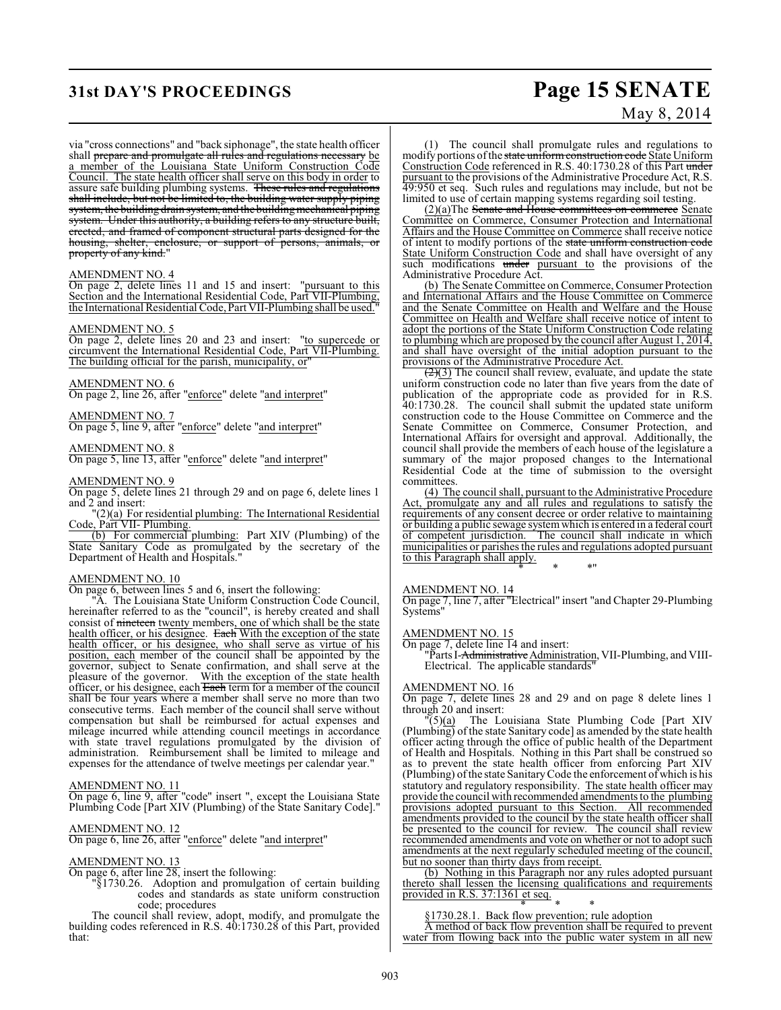## **31st DAY'S PROCEEDINGS Page 15 SENATE**

# May 8, 2014

via "cross connections" and "back siphonage", the state health officer shall prepare and promulgate all rules and regulations necessary be a member of the Louisiana State Uniform Construction Code Council. The state health officer shall serve on this body in order to assure safe building plumbing systems. <del>These rules and regulations</del> shall include, but not be limited to, the building water supply piping system, the building drain system, and the building mechanical piping system. Under this authority, a building refers to any structure built, erected, and framed of component structural parts designed for the housing, shelter, enclosure, or support of persons, animals, or property of any kind."

#### AMENDMENT NO. 4

On page 2, delete lines 11 and 15 and insert: "pursuant to this Section and the International Residential Code, Part VII-Plumbing, the International Residential Code, Part VII-Plumbing shall be used."

#### AMENDMENT NO. 5

On page 2, delete lines 20 and 23 and insert: "to supercede or circumvent the International Residential Code, Part VII-Plumbing. The building official for the parish, municipality, or"

#### AMENDMENT NO. 6

On page 2, line 26, after "enforce" delete "and interpret"

AMENDMENT NO. 7 On page 5, line 9, after "enforce" delete "and interpret"

#### AMENDMENT NO. 8

On page 5, line 13, after "enforce" delete "and interpret"

#### AMENDMENT NO. 9

On page 5, delete lines 21 through 29 and on page 6, delete lines 1 and 2 and insert:

"(2)(a) For residential plumbing: The International Residential Code, Part VII- Plumbing.

(b) For commercial plumbing: Part XIV (Plumbing) of the State Sanitary Code as promulgated by the secretary of the Department of Health and Hospitals."

#### AMENDMENT NO. 10

On page 6, between lines 5 and 6, insert the following:

"A. The Louisiana State Uniform Construction Code Council, hereinafter referred to as the "council", is hereby created and shall consist of <del>nineteen</del> twenty members, one of which shall be the state health officer, or his designee. Each With the exception of the state health officer, or his designee, who shall serve as virtue of his position, each member of the council shall be appointed by the governor, subject to Senate confirmation, and shall serve at the pleasure of the governor. With the exception of the state health officer, or his designee, each Each term for a member of the council shall be four years where a member shall serve no more than two consecutive terms. Each member of the council shall serve without compensation but shall be reimbursed for actual expenses and mileage incurred while attending council meetings in accordance with state travel regulations promulgated by the division of administration. Reimbursement shall be limited to mileage and expenses for the attendance of twelve meetings per calendar year."

#### AMENDMENT NO. 11

On page 6, line 9, after "code" insert ", except the Louisiana State Plumbing Code [Part XIV (Plumbing) of the State Sanitary Code]."

#### AMENDMENT NO. 12

On page 6, line 26, after "enforce" delete "and interpret"

#### AMENDMENT NO. 13

On page 6, after line 28, insert the following:

"§1730.26. Adoption and promulgation of certain building codes and standards as state uniform construction code; procedures

The council shall review, adopt, modify, and promulgate the building codes referenced in R.S. 40:1730.28 of this Part, provided that:

(1) The council shall promulgate rules and regulations to modify portions of the state uniform construction code State Uniform Construction Code referenced in R.S. 40:1730.28 of this Part under pursuant to the provisions of the Administrative Procedure Act, R.S. 49:950 et seq. Such rules and regulations may include, but not be limited to use of certain mapping systems regarding soil testing.

(2)(a)The <del>Senate and House committees on commerce</del> Senate Committee on Commerce, Consumer Protection and International Affairs and the House Committee on Commerce shall receive notice of intent to modify portions of the state uniform construction code State Uniform Construction Code and shall have oversight of any such modifications under pursuant to the provisions of the Administrative Procedure Act.

(b) The Senate Committee on Commerce, Consumer Protection and International Affairs and the House Committee on Commerce and the Senate Committee on Health and Welfare and the House Committee on Health and Welfare shall receive notice of intent to adopt the portions of the State Uniform Construction Code relating to plumbing which are proposed by the council after August 1, 2014, and shall have oversight of the initial adoption pursuant to the provisions of the Administrative Procedure Act.

 $\left(\frac{2}{3}\right)$  The council shall review, evaluate, and update the state uniform construction code no later than five years from the date of publication of the appropriate code as provided for in R.S. 40:1730.28. The council shall submit the updated state uniform construction code to the House Committee on Commerce and the Senate Committee on Commerce, Consumer Protection, and International Affairs for oversight and approval. Additionally, the council shall provide the members of each house of the legislature a summary of the major proposed changes to the International Residential Code at the time of submission to the oversight committees.

(4) The council shall, pursuant to the Administrative Procedure Act, promulgate any and all rules and regulations to satisfy the requirements of any consent decree or order relative to maintaining or building a public sewage systemwhich is entered in a federal court of competent jurisdiction. The council shall indicate in which municipalities or parishes the rules and regulations adopted pursuant to this Paragraph shall apply.

#### AMENDMENT NO. 14

On page 7, line 7, after "Electrical" insert "and Chapter 29-Plumbing Systems"

\* \* \*"

AMENDMENT NO. 15

On page 7, delete line 14 and insert:

"Parts I-Administrative Administration, VII-Plumbing, and VIII-Electrical. The applicable standards"

#### AMENDMENT NO. 16

On page 7, delete lines 28 and 29 and on page 8 delete lines 1 through 20 and insert:

 $\sqrt{\frac{5}{a}}$  The Louisiana State Plumbing Code [Part XIV (Plumbing) of the state Sanitary code] as amended by the state health officer acting through the office of public health of the Department of Health and Hospitals. Nothing in this Part shall be construed so as to prevent the state health officer from enforcing Part XIV (Plumbing) of the state Sanitary Code the enforcement of which is his statutory and regulatory responsibility. The state health officer may provide the council with recommended amendments to the plumbing provisions adopted pursuant to this Section. All recommended amendments provided to the council by the state health officer shall be presented to the council for review. The council shall review recommended amendments and vote on whether or not to adopt such amendments at the next regularly scheduled meeting of the council, but no sooner than thirty days from receipt.

(b) Nothing in this Paragraph nor any rules adopted pursuant thereto shall lessen the licensing qualifications and requirements provided in R.S. 37:1361 et seq.

#### \* \* \* §1730.28.1. Back flow prevention; rule adoption

A method of back flow prevention shall be required to prevent water from flowing back into the public water system in all new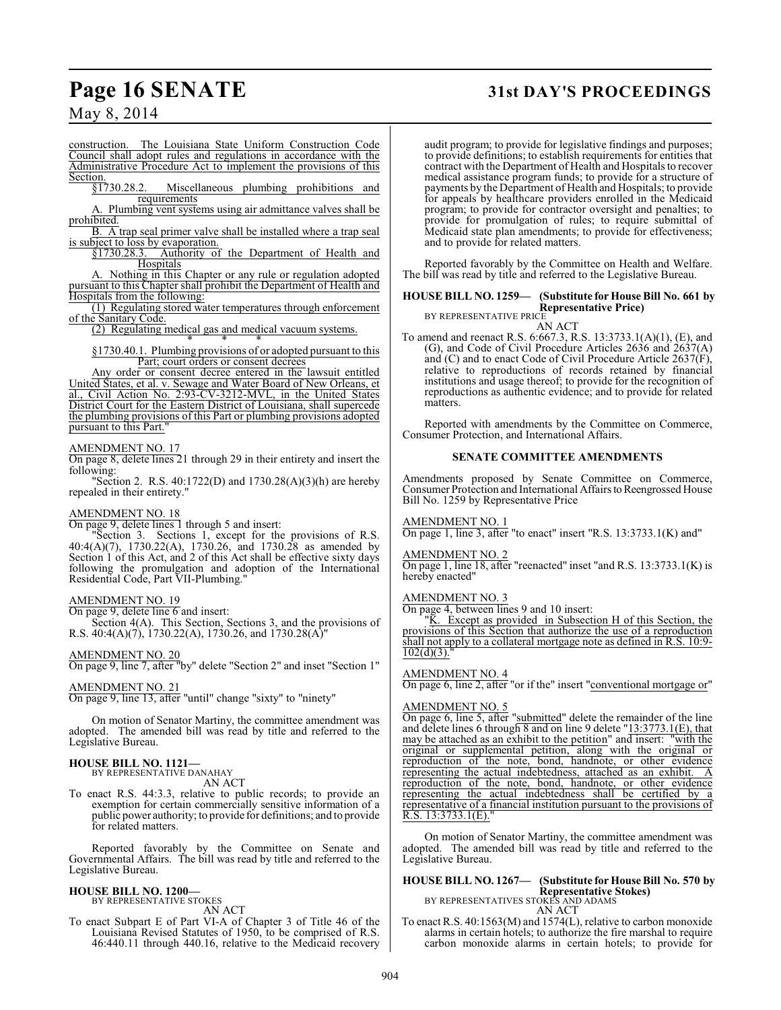### **Page 16 SENATE 31st DAY'S PROCEEDINGS**

### May 8, 2014

construction. The Louisiana State Uniform Construction Code Council shall adopt rules and regulations in accordance with the Administrative Procedure Act to implement the provisions of this

 $\frac{\text{Section.}}{\$1730.28.2.}$ Miscellaneous plumbing prohibitions and requirements

A. Plumbing vent systems using air admittance valves shall be prohibited.

B. A trap seal primer valve shall be installed where a trap seal is subject to loss by evaporation.

§1730.28.3. Authority of the Department of Health and **Hospitals** 

Nothing in this Chapter or any rule or regulation adopted pursuant to this Chapter shall prohibit the Department of Health and Hospitals from the following:

(1) Regulating stored water temperatures through enforcement of the Sanitary Code.

(2) Regulating medical gas and medical vacuum systems.

\* \* \* §1730.40.1. Plumbing provisions of or adopted pursuant to this Part; court orders or consent decrees

Any order or consent decree entered in the lawsuit entitled United States, et al. v. Sewage and Water Board of New Orleans, et al., Civil Action No. 2:93-CV-3212-MVL, in the United States District Court for the Eastern District of Louisiana, shall supercede the plumbing provisions of this Part or plumbing provisions adopted pursuant to this Part."

#### AMENDMENT NO. 17

On page 8, delete lines 21 through 29 in their entirety and insert the following:

"Section 2. R.S. 40:1722(D) and 1730.28(A)(3)(h) are hereby repealed in their entirety."

#### AMENDMENT NO. 18

On page 9, delete lines 1 through 5 and insert:

"Section 3. Sections 1, except for the provisions of R.S. 40:4(A)(7), 1730.22(A), 1730.26, and 1730.28 as amended by Section 1 of this Act, and 2 of this Act shall be effective sixty days following the promulgation and adoption of the International Residential Code, Part VII-Plumbing."

#### AMENDMENT NO. 19

On page 9, delete line 6 and insert: Section 4(A). This Section, Sections 3, and the provisions of R.S.  $40:4(A)(7)$ ,  $1730.22(A)$ ,  $1730.26$ , and  $1730.28(A)$ <sup>\*</sup>

#### AMENDMENT NO. 20

On page 9, line 7, after "by" delete "Section 2" and inset "Section 1"

#### AMENDMENT NO. 21

On page 9, line 13, after "until" change "sixty" to "ninety"

On motion of Senator Martiny, the committee amendment was adopted. The amended bill was read by title and referred to the Legislative Bureau.

#### **HOUSE BILL NO. 1121—**

BY REPRESENTATIVE DANAHAY AN ACT

To enact R.S. 44:3.3, relative to public records; to provide an exemption for certain commercially sensitive information of a public power authority; to provide for definitions; and to provide for related matters.

Reported favorably by the Committee on Senate and Governmental Affairs. The bill was read by title and referred to the Legislative Bureau.

#### **HOUSE BILL NO. 1200—**

BY REPRESENTATIVE STOKES AN ACT

To enact Subpart E of Part VI-A of Chapter 3 of Title 46 of the Louisiana Revised Statutes of 1950, to be comprised of R.S. 46:440.11 through 440.16, relative to the Medicaid recovery audit program; to provide for legislative findings and purposes; to provide definitions; to establish requirements for entities that contract with the Department of Health and Hospitals to recover medical assistance program funds; to provide for a structure of payments by the Department of Health and Hospitals; to provide for appeals by healthcare providers enrolled in the Medicaid program; to provide for contractor oversight and penalties; to provide for promulgation of rules; to require submittal of Medicaid state plan amendments; to provide for effectiveness; and to provide for related matters.

Reported favorably by the Committee on Health and Welfare. The bill was read by title and referred to the Legislative Bureau.

#### **HOUSE BILL NO. 1259— (Substitute for House Bill No. 661 by Representative Price)** BY REPRESENTATIVE PRICE

AN ACT

To amend and reenact R.S. 6:667.3, R.S. 13:3733.1(A)(1), (E), and (G), and Code of Civil Procedure Articles 2636 and 2637(A) and  $(C)$  and to enact Code of Civil Procedure Article 2637 $(F)$ , relative to reproductions of records retained by financial institutions and usage thereof; to provide for the recognition of reproductions as authentic evidence; and to provide for related matters.

Reported with amendments by the Committee on Commerce, Consumer Protection, and International Affairs.

#### **SENATE COMMITTEE AMENDMENTS**

Amendments proposed by Senate Committee on Commerce, Consumer Protection and International Affairs to Reengrossed House Bill No. 1259 by Representative Price

AMENDMENT NO. 1

On page 1, line 3, after "to enact" insert "R.S. 13:3733.1(K) and"

#### AMENDMENT NO. 2

On page 1, line 18, after "reenacted" inset "and R.S. 13:3733.1(K) is hereby enacted"

#### AMENDMENT NO. 3

On page 4, between lines 9 and 10 insert:

K. Except as provided in Subsection H of this Section, the provisions of this Section that authorize the use of a reproduction shall not apply to a collateral mortgage note as defined in R.S. 10:9-  $102(d)(3)$ .

#### AMENDMENT NO. 4

On page 6, line 2, after "or if the" insert "conventional mortgage or"

#### AMENDMENT NO. 5

On page 6, line 5, after "submitted" delete the remainder of the line and delete lines 6 through 8 and on line 9 delete "13:3773.1(E), that may be attached as an exhibit to the petition" and insert: "with the original or supplemental petition, along with the original or reproduction of the note, bond, handnote, or other evidence representing the actual indebtedness, attached as an exhibit. A reproduction of the note, bond, handnote, or other evidence representing the actual indebtedness shall be certified by a representative of a financial institution pursuant to the provisions of  $R.S. 13:3733.1(E).$ 

On motion of Senator Martiny, the committee amendment was adopted. The amended bill was read by title and referred to the Legislative Bureau.

### **HOUSE BILL NO. 1267— (Substitute for House Bill No. 570 by Representative Stokes)** BY REPRESENTATIVES STOKES AND ADAMS

AN ACT

To enact R.S. 40:1563(M) and 1574(L), relative to carbon monoxide alarms in certain hotels; to authorize the fire marshal to require carbon monoxide alarms in certain hotels; to provide for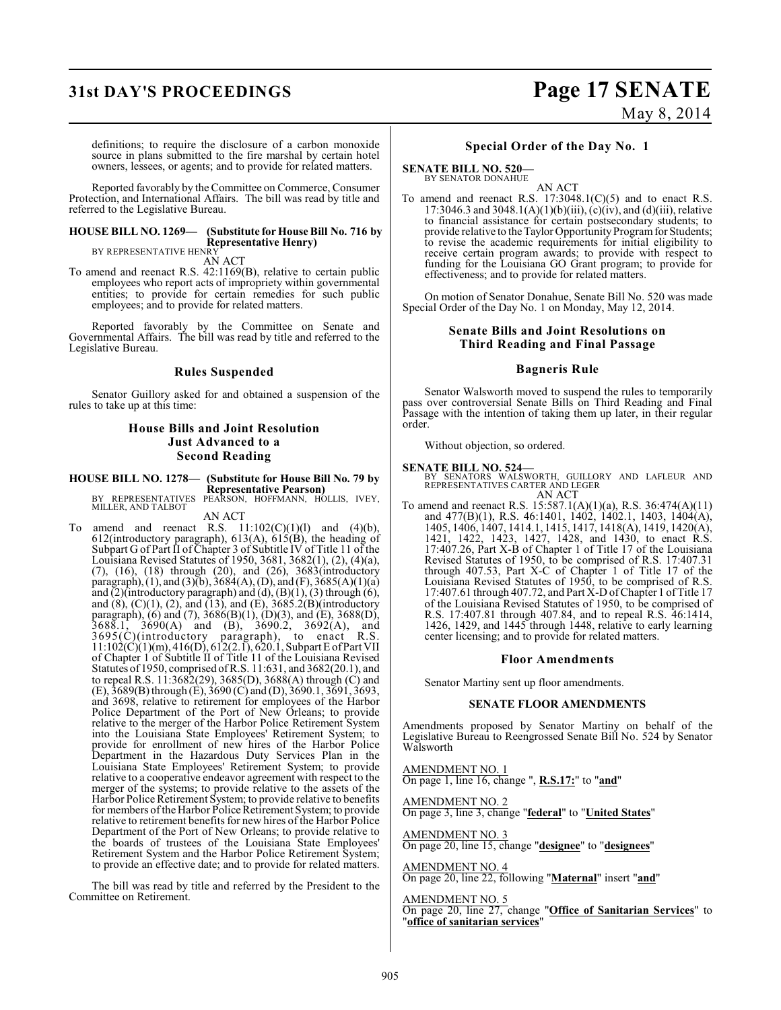## **31st DAY'S PROCEEDINGS Page 17 SENATE**

# May 8, 2014

definitions; to require the disclosure of a carbon monoxide source in plans submitted to the fire marshal by certain hotel owners, lessees, or agents; and to provide for related matters.

Reported favorably by the Committee on Commerce, Consumer Protection, and International Affairs. The bill was read by title and referred to the Legislative Bureau.

#### **HOUSE BILL NO. 1269— (Substitute for House Bill No. 716 by Representative Henry)** BY REPRESENTATIVE HENRY

AN ACT

To amend and reenact R.S. 42:1169(B), relative to certain public employees who report acts of impropriety within governmental entities; to provide for certain remedies for such public employees; and to provide for related matters.

Reported favorably by the Committee on Senate and Governmental Affairs. The bill was read by title and referred to the Legislative Bureau.

#### **Rules Suspended**

Senator Guillory asked for and obtained a suspension of the rules to take up at this time:

### **House Bills and Joint Resolution Just Advanced to a Second Reading**

**HOUSE BILL NO. 1278— (Substitute for House Bill No. 79 by Representative Pearson)**<br>BY REPRESENTATIVES PEARSON, HOFFMANN, HOLLIS, IVEY,<br>MILLER, AND TALBOT

AN ACT

To amend and reenact R.S.  $11:102(C)(1)(1)$  and  $(4)(b)$ , 612(introductory paragraph), 613(A), 615(B), the heading of Subpart G of Part II of Chapter 3 of Subtitle IV of Title 11 of the Louisiana Revised Statutes of 1950, 3681, 3682(1), (2), (4)(a), (7), (16), (18) through (20), and (26), 3683(introductory paragraph), (1), and (3)(b), 3684(A), (D), and (F), 3685(A)(1)(a) and  $(2)$ (introductory paragraph) and  $(d)$ ,  $(B)(1)$ ,  $(3)$  through  $(6)$ , and  $(8)$ ,  $(C)(1)$ ,  $(2)$ , and  $(13)$ , and  $(E)$ ,  $3685.2(E)$  (introductory paragraph), (6) and (7), 3686(B)(1), (D)(3), and (E), 3688(D),  $3688.1$ ,  $3690(A)$  and  $(B)$ ,  $3690.2$ ,  $3692(A)$ , and 3695(C)(introductory paragraph), to enact R.S. 11:102(C)(1)(m), 416(D), 612(2.1), 620.1, Subpart E of Part VII of Chapter 1 of Subtitle II of Title 11 of the Louisiana Revised Statutes of 1950, comprised of R.S. 11:631, and 3682(20.1), and to repeal R.S. 11:3682(29), 3685(D), 3688(A) through (C) and (E), 3689(B) through (E), 3690 (C) and (D), 3690.1, 3691, 3693, and 3698, relative to retirement for employees of the Harbor Police Department of the Port of New Orleans; to provide relative to the merger of the Harbor Police Retirement System into the Louisiana State Employees' Retirement System; to provide for enrollment of new hires of the Harbor Police Department in the Hazardous Duty Services Plan in the Louisiana State Employees' Retirement System; to provide relative to a cooperative endeavor agreement with respect to the merger of the systems; to provide relative to the assets of the Harbor Police Retirement System; to provide relative to benefits for members of the Harbor Police Retirement System; to provide relative to retirement benefits for new hires of the Harbor Police Department of the Port of New Orleans; to provide relative to the boards of trustees of the Louisiana State Employees' Retirement System and the Harbor Police Retirement System; to provide an effective date; and to provide for related matters.

The bill was read by title and referred by the President to the Committee on Retirement.

#### **Special Order of the Day No. 1**

**SENATE BILL NO. 520—**

BY SENATOR DONAHUE

AN ACT

To amend and reenact R.S. 17:3048.1(C)(5) and to enact R.S. 17:3046.3 and 3048.1(A)(1)(b)(iii), (c)(iv), and (d)(iii), relative to financial assistance for certain postsecondary students; to provide relative to the Taylor Opportunity Program for Students; to revise the academic requirements for initial eligibility to receive certain program awards; to provide with respect to funding for the Louisiana GO Grant program; to provide for effectiveness; and to provide for related matters.

On motion of Senator Donahue, Senate Bill No. 520 was made Special Order of the Day No. 1 on Monday, May 12, 2014.

#### **Senate Bills and Joint Resolutions on Third Reading and Final Passage**

#### **Bagneris Rule**

Senator Walsworth moved to suspend the rules to temporarily pass over controversial Senate Bills on Third Reading and Final Passage with the intention of taking them up later, in their regular order.

Without objection, so ordered.

**SENATE BILL NO. 524—**<br>
BY SENATORS WALSWORTH, GUILLORY AND LAFLEUR AND<br>
REPRESENTATIVES CARTER AND LEGER<br>
AN ACT

To amend and reenact R.S. 15:587.1(A)(1)(a), R.S. 36:474(A)(11) and 477(B)(1), R.S. 46:1401, 1402, 1402.1, 1403, 1404(A), 1405, 1406, 1407, 1414.1, 1415, 1417, 1418(A), 1419, 1420(A), 1421, 1422, 1423, 1427, 1428, and 1430, to enact R.S. 17:407.26, Part X-B of Chapter 1 of Title 17 of the Louisiana Revised Statutes of 1950, to be comprised of R.S. 17:407.31 through 407.53, Part X-C of Chapter 1 of Title 17 of the Louisiana Revised Statutes of 1950, to be comprised of R.S. 17:407.61 through 407.72, and Part X-D of Chapter 1 of Title 17 of the Louisiana Revised Statutes of 1950, to be comprised of R.S. 17:407.81 through 407.84, and to repeal R.S. 46:1414, 1426, 1429, and 1445 through 1448, relative to early learning center licensing; and to provide for related matters.

#### **Floor Amendments**

Senator Martiny sent up floor amendments.

#### **SENATE FLOOR AMENDMENTS**

Amendments proposed by Senator Martiny on behalf of the Legislative Bureau to Reengrossed Senate Bill No. 524 by Senator Walsworth

AMENDMENT NO. 1 On page 1, line 16, change ", **R.S.17:**" to "**and**"

AMENDMENT NO. 2 On page 3, line 3, change "**federal**" to "**United States**"

AMENDMENT NO. 3 On page 20, line 15, change "**designee**" to "**designees**"

AMENDMENT NO. 4 On page 20, line 22, following "**Maternal**" insert "**and**"

AMENDMENT NO. 5 On page 20, line 27, change "**Office of Sanitarian Services**" to "**office of sanitarian services**"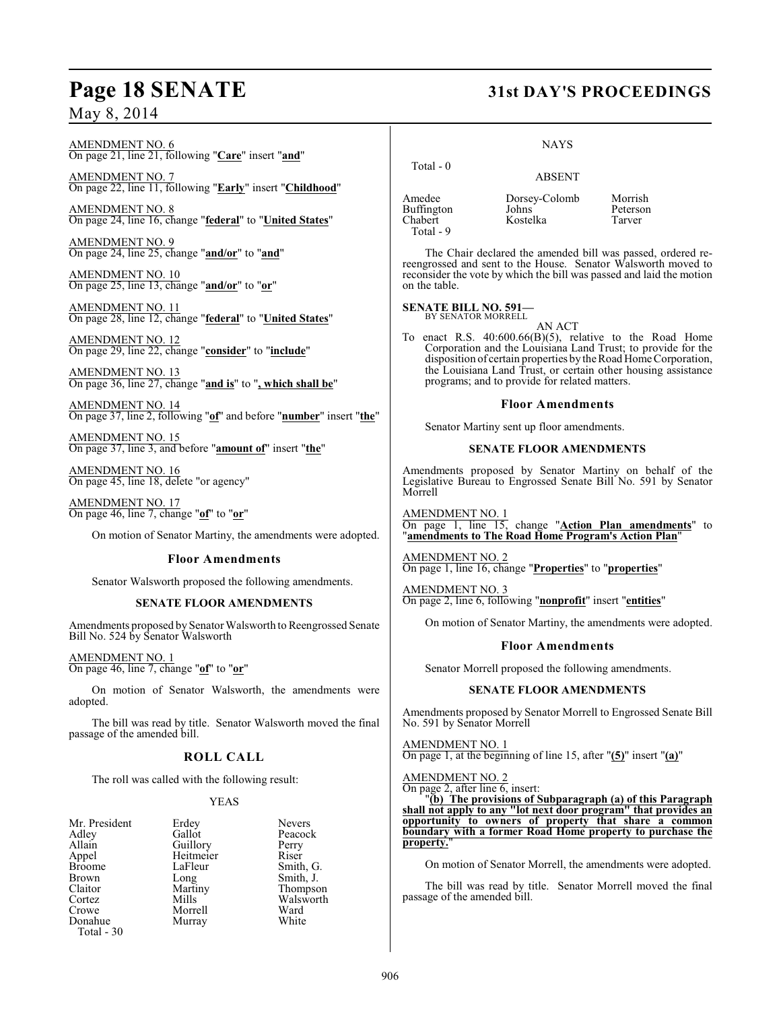AMENDMENT NO. 6 On page 21, line 21, following "**Care**" insert "**and**"

AMENDMENT NO. 7 On page 22, line 11, following "**Early**" insert "**Childhood**"

AMENDMENT NO. 8 On page 24, line 16, change "**federal**" to "**United States**"

AMENDMENT NO. 9 On page 24, line 25, change "**and/or**" to "**and**"

AMENDMENT NO. 10 On page 25, line 13, change "**and/or**" to "**or**"

AMENDMENT NO. 11 On page 28, line 12, change "**federal**" to "**United States**"

AMENDMENT NO. 12 On page 29, line 22, change "**consider**" to "**include**"

AMENDMENT NO. 13 On page 36, line 27, change "**and is**" to "**, which shall be**"

AMENDMENT NO. 14 On page 37, line 2, following "**of**" and before "**number**" insert "**the**"

AMENDMENT NO. 15 On page 37, line 3, and before "**amount of**" insert "**the**"

AMENDMENT NO. 16 On page 45, line 18, delete "or agency"

AMENDMENT NO. 17 On page 46, line 7, change "**of**" to "**or**"

On motion of Senator Martiny, the amendments were adopted.

#### **Floor Amendments**

Senator Walsworth proposed the following amendments.

#### **SENATE FLOOR AMENDMENTS**

Amendments proposed by Senator Walsworth to Reengrossed Senate Bill No. 524 by Senator Walsworth

AMENDMENT NO. 1 On page 46, line 7, change "**of**" to "**or**"

On motion of Senator Walsworth, the amendments were adopted.

The bill was read by title. Senator Walsworth moved the final passage of the amended bill.

### **ROLL CALL**

The roll was called with the following result:

#### YEAS

| Mr. President | Erdey     | <b>Nevers</b> |
|---------------|-----------|---------------|
| Adley         | Gallot    | Peacoc        |
| Allain        | Guillory  | Perry         |
| Appel         | Heitmeier | Riser         |
| <b>Broome</b> | LaFleur   | Smith,        |
| Brown         | Long      | Smith,        |
| Claitor       | Martiny   | Thomp         |
| Cortez        | Mills     | Walsw         |
| Crowe         | Morrell   | Ward          |
| Donahue       | Murray    | White         |
| Total - 30    |           |               |

Peacock<br>Perry Guillory Perry<br>
Heitmeier Riser LaFleur Smith, G.<br>Long Smith, J. Long Smith, J.<br>Martiny Thompso Martiny Thompson<br>Mills Walsworth Walsworth<br>Ward Morrell Ward<br>
Murray White

### **Page 18 SENATE 31st DAY'S PROCEEDINGS**

NAYS

| Total - 0                                    | <b>ABSENT</b>                      |                               |
|----------------------------------------------|------------------------------------|-------------------------------|
| Amedee<br>Buffington<br>Chabert<br>Total - 9 | Dorsey-Colomb<br>Johns<br>Kostelka | Morrish<br>Peterson<br>Tarver |

The Chair declared the amended bill was passed, ordered rereengrossed and sent to the House. Senator Walsworth moved to reconsider the vote by which the bill was passed and laid the motion on the table.

## **SENATE BILL NO. 591—** BY SENATOR MORRELL

AN ACT

To enact R.S. 40:600.66(B)(5), relative to the Road Home Corporation and the Louisiana Land Trust; to provide for the disposition of certain properties by the Road Home Corporation, the Louisiana Land Trust, or certain other housing assistance programs; and to provide for related matters.

#### **Floor Amendments**

Senator Martiny sent up floor amendments.

#### **SENATE FLOOR AMENDMENTS**

Amendments proposed by Senator Martiny on behalf of the Legislative Bureau to Engrossed Senate Bill No. 591 by Senator Morrell

AMENDMENT NO. 1

On page 1, line 15, change "**Action Plan amendments**" to "**amendments to The Road Home Program's Action Plan**"

AMENDMENT NO. 2 On page 1, line 16, change "**Properties**" to "**properties**"

AMENDMENT NO. 3 On page 2, line 6, following "**nonprofit**" insert "**entities**"

On motion of Senator Martiny, the amendments were adopted.

#### **Floor Amendments**

Senator Morrell proposed the following amendments.

#### **SENATE FLOOR AMENDMENTS**

Amendments proposed by Senator Morrell to Engrossed Senate Bill No. 591 by Senator Morrell

AMENDMENT NO. 1 On page 1, at the beginning of line 15, after "**(5)**" insert "**(a)**"

AMENDMENT NO. 2

On page 2, after line 6, insert:

"**(b) The provisions of Subparagraph (a) of this Paragraph shall not apply to any "lot next door program" that provides an opportunity to owners of property that share a common boundary with a former Road Home property to purchase the** property.

On motion of Senator Morrell, the amendments were adopted.

The bill was read by title. Senator Morrell moved the final passage of the amended bill.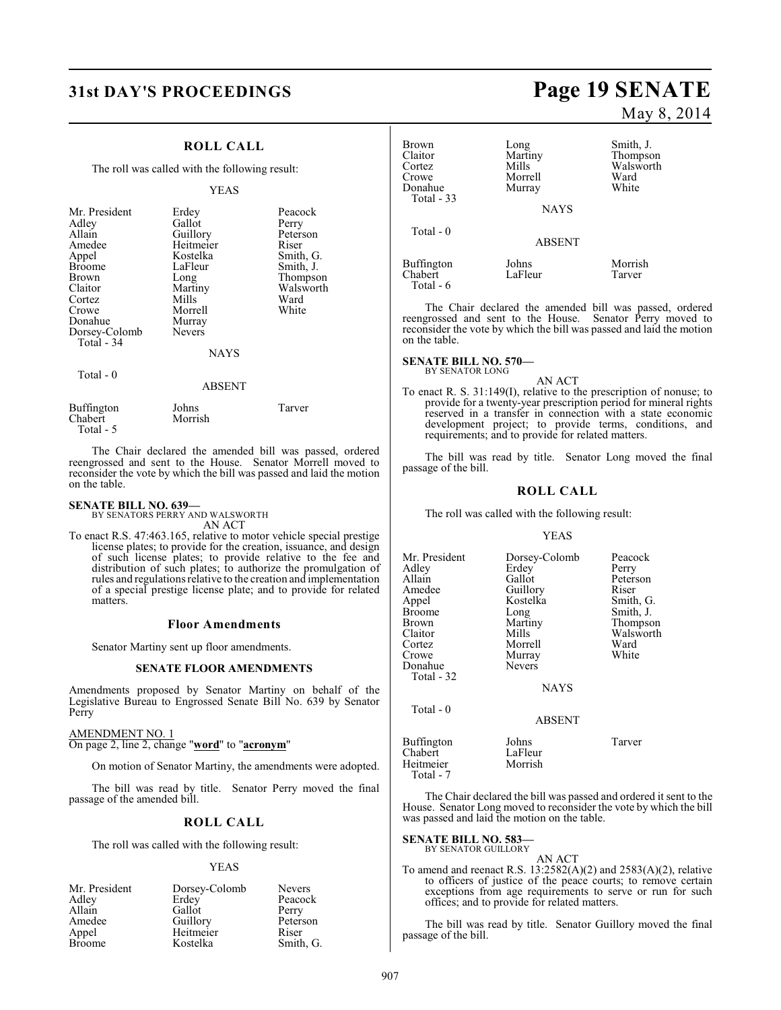## **31st DAY'S PROCEEDINGS Page 19 SENATE**

### **ROLL CALL**

The roll was called with the following result:

#### YEAS

| Mr. President<br>Adley<br>Allain<br>Amedee<br>Appel<br><b>Broome</b><br>Brown<br>Claitor<br>Cortez<br>Crowe<br>Donahue<br>Dorsey-Colomb<br>Total - 34 | Erdey<br>Gallot<br>Guillory<br>Heitmeier<br>Kostelka<br>LaFleur<br>Long<br>Martiny<br>Mills<br>Morrell<br>Murray<br><b>Nevers</b> | Peacock<br>Perry<br>Peterson<br>Riser<br>Smith, G.<br>Smith, J.<br>Thompson<br>Walsworth<br>Ward<br>White |
|-------------------------------------------------------------------------------------------------------------------------------------------------------|-----------------------------------------------------------------------------------------------------------------------------------|-----------------------------------------------------------------------------------------------------------|
|                                                                                                                                                       | <b>NAYS</b>                                                                                                                       |                                                                                                           |
| Total - 0                                                                                                                                             |                                                                                                                                   |                                                                                                           |

|                                     | <b>ABSENT</b>    |        |
|-------------------------------------|------------------|--------|
| Buffington<br>Chabert<br>Total $-5$ | Johns<br>Morrish | Tarver |

The Chair declared the amended bill was passed, ordered reengrossed and sent to the House. Senator Morrell moved to reconsider the vote by which the bill was passed and laid the motion on the table.

## **SENATE BILL NO. 639—** BY SENATORS PERRY AND WALSWORTH

AN ACT

To enact R.S. 47:463.165, relative to motor vehicle special prestige license plates; to provide for the creation, issuance, and design of such license plates; to provide relative to the fee and distribution of such plates; to authorize the promulgation of rules and regulations relative to the creation and implementation of a special prestige license plate; and to provide for related matters.

#### **Floor Amendments**

Senator Martiny sent up floor amendments.

#### **SENATE FLOOR AMENDMENTS**

Amendments proposed by Senator Martiny on behalf of the Legislative Bureau to Engrossed Senate Bill No. 639 by Senator Perry

#### AMENDMENT NO. 1

On page 2, line 2, change "**word**" to "**acronym**"

On motion of Senator Martiny, the amendments were adopted.

The bill was read by title. Senator Perry moved the final passage of the amended bill.

#### **ROLL CALL**

The roll was called with the following result:

#### YEAS

| Mr. President | Dorsey-Colomb | <b>Nevers</b> |
|---------------|---------------|---------------|
| Adley         | Erdey         | Peacock       |
| Allain        | Gallot        | Perry         |
| Amedee        | Guillory      | Peterson      |
| Appel         | Heitmeier     | Riser         |
| <b>Broome</b> | Kostelka      | Smith, G.     |

May 8, 2014

| Brown<br>Claitor<br>Cortez<br>Crowe<br>Donahue<br>Total - 33 | Long<br>Martiny<br>Mills<br>Morrell<br>Murray<br><b>NAYS</b> | Smith, J.<br>Thompson<br>Walsworth<br>Ward<br>White |
|--------------------------------------------------------------|--------------------------------------------------------------|-----------------------------------------------------|
| Total - 0                                                    | <b>ABSENT</b>                                                |                                                     |
| Buffington<br>Chabert<br>Total - 6                           | Johns<br>LaFleur                                             | Morrish<br>Tarver                                   |

The Chair declared the amended bill was passed, ordered reengrossed and sent to the House. Senator Perry moved to reconsider the vote by which the bill was passed and laid the motion on the table.

### **SENATE BILL NO. 570—** BY SENATOR LONG

AN ACT

To enact R. S. 31:149(I), relative to the prescription of nonuse; to provide for a twenty-year prescription period for mineral rights reserved in a transfer in connection with a state economic development project; to provide terms, conditions, and requirements; and to provide for related matters.

The bill was read by title. Senator Long moved the final passage of the bill.

#### **ROLL CALL**

The roll was called with the following result:

#### YEAS

| Mr. President | Dorsey-Colomb | Peacock   |
|---------------|---------------|-----------|
| Adlev         | Erdey         | Perry     |
| Allain        | Gallot        | Peterson  |
| Amedee        | Guillory      | Riser     |
| Appel         | Kostelka      | Smith, G. |
| Broome        | Long          | Smith, J. |
| Brown         | Martiny       | Thompson  |
| Claitor       | Mills         | Walsworth |
| Cortez        | Morrell       | Ward      |
| Crowe         | Murray        | White     |
| Donahue       | <b>Nevers</b> |           |
| Total - 32    |               |           |
|               | <b>NAYS</b>   |           |
| Total $-0$    |               |           |
|               | <b>ABSENT</b> |           |
| Buffington    | Johns         | Tarver    |

Chabert LaFleur<br>Heitmeier Morrish Heitmeier Total - 7 The Chair declared the bill was passed and ordered it sent to the

House. Senator Long moved to reconsider the vote by which the bill was passed and laid the motion on the table.

### **SENATE BILL NO. 583**<br>BY SENATOR GUILLORY

AN ACT To amend and reenact R.S. 13:2582(A)(2) and 2583(A)(2), relative to officers of justice of the peace courts; to remove certain exceptions from age requirements to serve or run for such offices; and to provide for related matters.

The bill was read by title. Senator Guillory moved the final passage of the bill.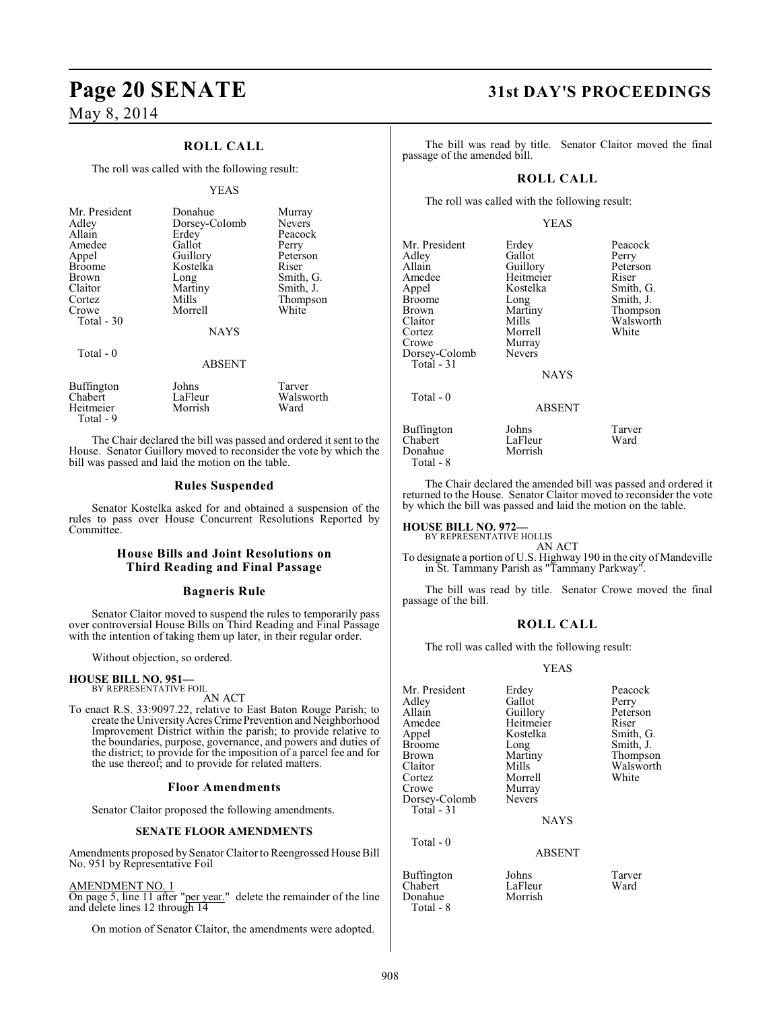Heitmeier Total - 9

### **ROLL CALL**

The roll was called with the following result:

#### YEAS

| Mr. President<br>Adley<br>Allain<br>Amedee<br>Appel<br><b>Broome</b><br>Brown<br>Claitor<br>Cortez<br>Crowe<br>Total $-30$ | Donahue<br>Dorsey-Colomb<br>Erdey<br>Gallot<br>Guillory<br>Kostelka<br>Long<br>Martiny<br>Mills<br>Morrell | Murray<br><b>Nevers</b><br>Peacock<br>Perry<br>Peterson<br>Riser<br>Smith, G.<br>Smith, J.<br>Thompson<br>White |
|----------------------------------------------------------------------------------------------------------------------------|------------------------------------------------------------------------------------------------------------|-----------------------------------------------------------------------------------------------------------------|
|                                                                                                                            | <b>NAYS</b>                                                                                                |                                                                                                                 |
| Total $-0$                                                                                                                 | <b>ABSENT</b>                                                                                              |                                                                                                                 |
| <b>Buffington</b><br>Chabert                                                                                               | Johns<br>LaFleur                                                                                           | Tarver<br>Walsworth                                                                                             |

The Chair declared the bill was passed and ordered it sent to the House. Senator Guillory moved to reconsider the vote by which the bill was passed and laid the motion on the table.

LaFleur Walsworth<br>Morrish Ward

#### **Rules Suspended**

Senator Kostelka asked for and obtained a suspension of the rules to pass over House Concurrent Resolutions Reported by Committee.

#### **House Bills and Joint Resolutions on Third Reading and Final Passage**

#### **Bagneris Rule**

Senator Claitor moved to suspend the rules to temporarily pass over controversial House Bills on Third Reading and Final Passage with the intention of taking them up later, in their regular order.

Without objection, so ordered.

#### **HOUSE BILL NO. 951—** BY REPRESENTATIVE FOIL

AN ACT

To enact R.S. 33:9097.22, relative to East Baton Rouge Parish; to create the University Acres Crime Prevention and Neighborhood Improvement District within the parish; to provide relative to the boundaries, purpose, governance, and powers and duties of the district; to provide for the imposition of a parcel fee and for the use thereof; and to provide for related matters.

#### **Floor Amendments**

Senator Claitor proposed the following amendments.

#### **SENATE FLOOR AMENDMENTS**

Amendments proposed by Senator Claitor to Reengrossed House Bill No. 951 by Representative Foil

#### AMENDMENT NO. 1

On page 5, line 11 after "per year." delete the remainder of the line and delete lines 12 through 14

On motion of Senator Claitor, the amendments were adopted.

## **Page 20 SENATE 31st DAY'S PROCEEDINGS**

The bill was read by title. Senator Claitor moved the final passage of the amended bill.

### **ROLL CALL**

The roll was called with the following result:

#### YEAS

| Mr. President     | Erdey         | Peacock   |
|-------------------|---------------|-----------|
| Adley             | Gallot        | Perry     |
| Allain            | Guillory      | Peterson  |
| Amedee            | Heitmeier     | Riser     |
| Appel             | Kostelka      | Smith, G. |
| <b>Broome</b>     | Long          | Smith, J. |
| Brown             | Martiny       | Thompson  |
| Claitor           | Mills         | Walsworth |
| Cortez            | Morrell       | White     |
| Crowe             | Murray        |           |
| Dorsey-Colomb     | <b>Nevers</b> |           |
| Total - 31        |               |           |
|                   | <b>NAYS</b>   |           |
| Total - 0         |               |           |
|                   | <b>ABSENT</b> |           |
| <b>Buffington</b> | Johns         | Tarver    |
| Chabert           | LaFleur       | Ward      |
| Donahue           | Morrish       |           |

The Chair declared the amended bill was passed and ordered it returned to the House. Senator Claitor moved to reconsider the vote by which the bill was passed and laid the motion on the table.

**HOUSE BILL NO. 972—** BY REPRESENTATIVE HOLLIS

Donahue Morrish

Total - 8

Total - 8

AN ACT

To designate a portion of U.S. Highway 190 in the city of Mandeville in St. Tammany Parish as "Tammany Parkway".

The bill was read by title. Senator Crowe moved the final passage of the bill.

#### **ROLL CALL**

The roll was called with the following result:

#### YEAS

| Mr. President<br>Adlev<br>Allain<br>Amedee<br>Appel<br>Broome<br>Brown<br>Claitor<br>Cortez<br>Crowe | Erdey<br>Gallot<br>Guillory<br>Heitmeier<br>Kostelka<br>Long<br>Martiny<br>Mills<br>Morrell<br>Murray | Peacock<br>Perry<br>Peterson<br>Riser<br>Smith, G.<br>Smith, J.<br>Thompson<br>Walsworth<br>White |
|------------------------------------------------------------------------------------------------------|-------------------------------------------------------------------------------------------------------|---------------------------------------------------------------------------------------------------|
| Dorsey-Colomb<br>Total - 31<br>Total - $0$                                                           | <b>Nevers</b><br><b>NAYS</b><br><b>ABSENT</b>                                                         |                                                                                                   |
| Buffington<br>Chabert                                                                                | Johns<br>LaFleur                                                                                      | Tarver<br>Ward                                                                                    |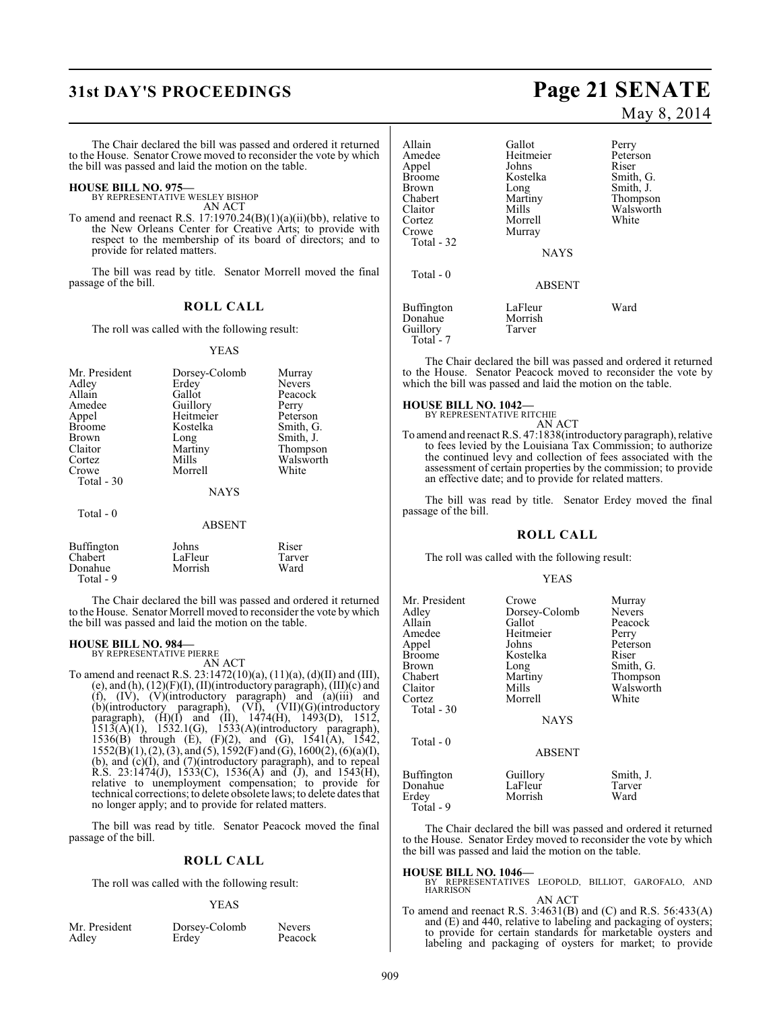The Chair declared the bill was passed and ordered it returned to the House. Senator Crowe moved to reconsider the vote by which the bill was passed and laid the motion on the table.

#### **HOUSE BILL NO. 975—**

BY REPRESENTATIVE WESLEY BISHOP AN ACT

To amend and reenact R.S. 17:1970.24(B)(1)(a)(ii)(bb), relative to the New Orleans Center for Creative Arts; to provide with respect to the membership of its board of directors; and to provide for related matters.

The bill was read by title. Senator Morrell moved the final passage of the bill.

#### **ROLL CALL**

The roll was called with the following result:

#### YEAS

| Mr. President | Dorsey-Colomb | Murray        |
|---------------|---------------|---------------|
| Adley         | Erdey         | <b>Nevers</b> |
| Allain        | Gallot        | Peacock       |
| Amedee        | Guillory      | Perry         |
| Appel         | Heitmeier     | Peterson      |
| <b>Broome</b> | Kostelka      | Smith, G.     |
| <b>Brown</b>  | Long          | Smith, J.     |
| Claitor       | Martiny       | Thompson      |
| Cortez        | Mills         | Walsworth     |
| Crowe         | Morrell       | White         |
| Total - 30    |               |               |
|               | <b>NAYS</b>   |               |
| Total $-0$    |               |               |
|               | <b>ABSENT</b> |               |
|               |               |               |

| Buffington | Johns   | Riser  |
|------------|---------|--------|
| Chabert    | LaFleur | Tarver |
| Donahue    | Morrish | Ward   |
| Total - 9  |         |        |

The Chair declared the bill was passed and ordered it returned to the House. Senator Morrell moved to reconsider the vote by which the bill was passed and laid the motion on the table.

### **HOUSE BILL NO. 984—** BY REPRESENTATIVE PIERRE

AN ACT

To amend and reenact R.S. 23:1472(10)(a), (11)(a), (d)(II) and (III), (e), and (h), (12)(F)(I), (II)(introductory paragraph), (III)(c) and (f), (IV), (V)(introductory paragraph) and (a)(iii) and (b)(introductory paragraph), (VI), (VII)(G)(introductory paragraph), (H)(I) and (II), 1474(H), 1493(D), 1512,  $1513(A)(1)$ ,  $1532.1(G)$ ,  $1533(A)(introductory paragraph)$ , 1536(B) through (E), (F)(2), and (G), 1541(A), 1542,  $1552(B)(1), (2), (3),$  and  $(5), 1592(F)$  and  $(G), 1600(2), (6)(a)(I),$ (b), and (c)(I), and (7)(introductory paragraph), and to repeal R.S. 23:1474(J), 1533(C), 1536(A) and (J), and 1543(H), relative to unemployment compensation; to provide for technical corrections; to delete obsolete laws; to delete dates that no longer apply; and to provide for related matters.

The bill was read by title. Senator Peacock moved the final passage of the bill.

#### **ROLL CALL**

The roll was called with the following result:

#### YEAS

| Mr. President |  |  |
|---------------|--|--|
| Adley         |  |  |

Suident Dorsey-Colomb Nevers Erdey<sup>1</sup>

**31st DAY'S PROCEEDINGS Page 21 SENATE**

May 8, 2014

| Allain<br>Amedee<br>Appel<br>Broome<br>Brown<br>Chabert<br>Claitor<br>Cortez<br>Crowe | Gallot<br>Heitmeier<br>Johns<br>Kostelka<br>Long<br>Martiny<br>Mills<br>Morrell<br>Murray | Perry<br>Peterson<br>Riser<br>Smith, G.<br>Smith, J.<br>Thompson<br>Walsworth<br>White |
|---------------------------------------------------------------------------------------|-------------------------------------------------------------------------------------------|----------------------------------------------------------------------------------------|
| Total - 32                                                                            | <b>NAYS</b>                                                                               |                                                                                        |
| Total - 0                                                                             | <b>ABSENT</b>                                                                             |                                                                                        |
| Buffington<br>Donahue<br>Guillory<br>Total - 7                                        | LaFleur<br>Morrish<br>Tarver                                                              | Ward                                                                                   |

The Chair declared the bill was passed and ordered it returned to the House. Senator Peacock moved to reconsider the vote by which the bill was passed and laid the motion on the table.

**HOUSE BILL NO. 1042—** BY REPRESENTATIVE RITCHIE

AN ACT

To amend and reenact R.S. 47:1838(introductory paragraph), relative to fees levied by the Louisiana Tax Commission; to authorize the continued levy and collection of fees associated with the assessment of certain properties by the commission; to provide an effective date; and to provide for related matters.

The bill was read by title. Senator Erdey moved the final passage of the bill.

#### **ROLL CALL**

The roll was called with the following result:

#### YEAS

| Mr. President<br>Adley<br>Allain<br>Amedee<br>Appel<br>Broome<br>Brown<br>Chabert<br>Claitor<br>Cortez<br>Total - 30 | Crowe<br>Dorsey-Colomb<br>Gallot<br>Heitmeier<br>Johns<br>Kostelka<br>Long<br>Martiny<br>Mills<br>Morrell | Murray<br><b>Nevers</b><br>Peacock<br>Perry<br>Peterson<br>Riser<br>Smith, G.<br>Thompson<br>Walsworth<br>White |
|----------------------------------------------------------------------------------------------------------------------|-----------------------------------------------------------------------------------------------------------|-----------------------------------------------------------------------------------------------------------------|
| Total - 0                                                                                                            | <b>NAYS</b><br><b>ABSENT</b>                                                                              |                                                                                                                 |
| Buffington<br>Donahue<br>Erdey<br>Total - 9                                                                          | Guillory<br>LaFleur<br>Morrish                                                                            | Smith, J.<br>Tarver<br>Ward                                                                                     |

The Chair declared the bill was passed and ordered it returned to the House. Senator Erdey moved to reconsider the vote by which the bill was passed and laid the motion on the table.

#### **HOUSE BILL NO. 1046—**

BY REPRESENTATIVES LEOPOLD, BILLIOT, GAROFALO, AND HARRISON AN ACT

To amend and reenact R.S. 3:4631(B) and (C) and R.S. 56:433(A) and (E) and 440, relative to labeling and packaging of oysters; to provide for certain standards for marketable oysters and labeling and packaging of oysters for market; to provide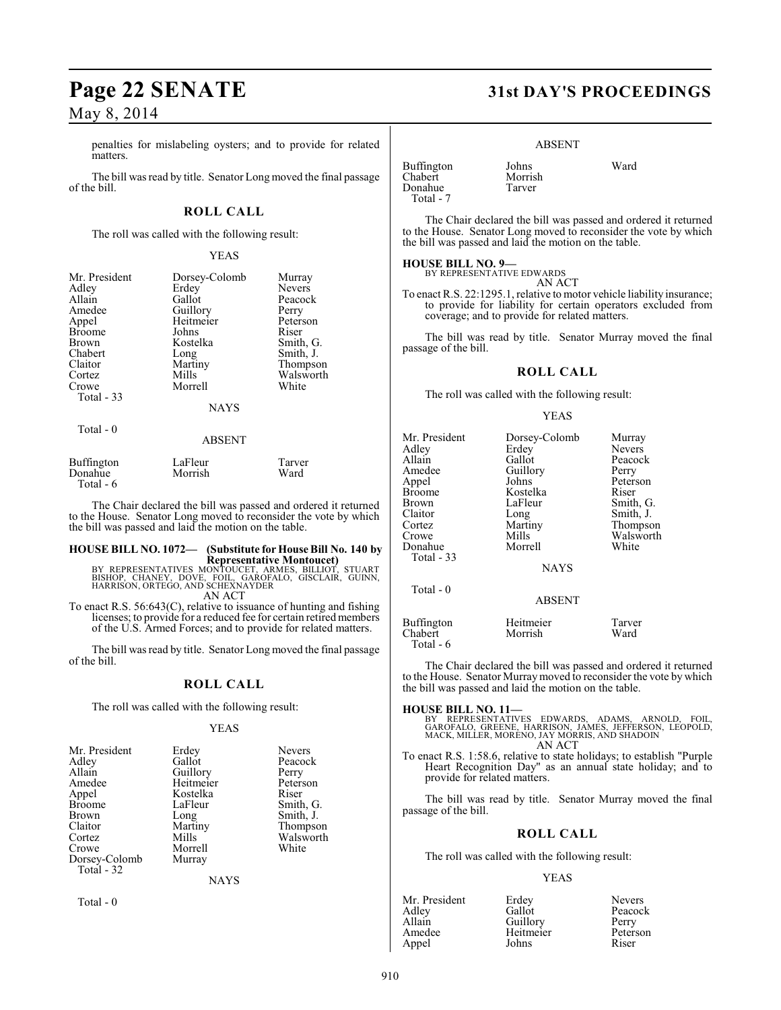## **Page 22 SENATE 31st DAY'S PROCEEDINGS**

### May 8, 2014

penalties for mislabeling oysters; and to provide for related matters.

The bill was read by title. Senator Long moved the final passage of the bill.

### **ROLL CALL**

The roll was called with the following result:

#### YEAS

| Mr. President<br>Adley<br>Allain<br>Amedee<br>Appel<br><b>Broome</b><br><b>Brown</b><br>Chabert<br>Claitor | Dorsey-Colomb<br>Erdey<br>Gallot<br>Guillory<br>Heitmeier<br>Johns<br>Kostelka<br>Long<br>Martiny<br>Mills | Murray<br><b>Nevers</b><br>Peacock<br>Perry<br>Peterson<br>Riser<br>Smith, G.<br>Smith, J.<br>Thompson |
|------------------------------------------------------------------------------------------------------------|------------------------------------------------------------------------------------------------------------|--------------------------------------------------------------------------------------------------------|
| Cortez<br>Crowe                                                                                            | Morrell                                                                                                    | Walsworth<br>White                                                                                     |
| Total $-33$                                                                                                | <b>NAYS</b>                                                                                                |                                                                                                        |
| Total - 0                                                                                                  | ABSENT                                                                                                     |                                                                                                        |

| Buffington | LaFleur | Tarver |
|------------|---------|--------|
| Donahue    | Morrish | Ward   |
| Total - 6  |         |        |

The Chair declared the bill was passed and ordered it returned to the House. Senator Long moved to reconsider the vote by which the bill was passed and laid the motion on the table.

### **HOUSE BILL NO. 1072— (Substitute for House Bill No. 140 by**

**Representative Montoucet)**<br>BISHOP, CHANEY, DOVE, FOIL, GARMES, BILLIOT, STUART<br>BISHOP, CHANEY, DOVE, FOIL, GAROFALO, GISCLAIR, GUINN,<br>HARRISON,ORTEGO, AND SCHEXNAYDER AN ACT

To enact R.S. 56:643(C), relative to issuance of hunting and fishing licenses; to provide for a reduced fee for certain retired members of the U.S. Armed Forces; and to provide for related matters.

The bill was read by title. Senator Long moved the final passage of the bill.

#### **ROLL CALL**

The roll was called with the following result:

#### YEAS

Nevers Peacock Perry Peterson Riser Smith, G. Smith, J. Thompson Walsworth White

| Mr. President | Erdey     |
|---------------|-----------|
| Adley         | Gallot    |
| Allain        | Guillory  |
| Amedee        | Heitmeier |
| Appel         | Kostelka  |
| Broome        | LaFleur   |
| Brown         | Long      |
| Claitor       | Martiny   |
| Cortez        | Mills     |
| Crowe         | Morrell   |
| Dorsey-Colomb | Murray    |
| Total - 32    |           |
|               |           |

NAYS

Total - 0

#### ABSENT

| Buffington | Johns   | Ward |
|------------|---------|------|
| Chabert    | Morrish |      |
| Donahue    | Tarver  |      |
| Total - 7  |         |      |

The Chair declared the bill was passed and ordered it returned to the House. Senator Long moved to reconsider the vote by which the bill was passed and laid the motion on the table.

### **HOUSE BILL NO. 9—** BY REPRESENTATIVE EDWARDS

AN ACT

To enact R.S. 22:1295.1, relative to motor vehicle liability insurance; to provide for liability for certain operators excluded from coverage; and to provide for related matters.

The bill was read by title. Senator Murray moved the final passage of the bill.

#### **ROLL CALL**

The roll was called with the following result:

#### YEAS

| Mr. President<br>Adley<br>Allain<br>Amedee<br>Appel<br><b>Broome</b><br>Brown<br>Claitor<br>Cortez<br>Crowe<br>Donahue<br>Total - 33 | Dorsey-Colomb<br>Erdey<br>Gallot<br>Guillory<br>Johns<br>Kostelka<br>LaFleur<br>Long<br>Martiny<br>Mills<br>Morrell | Murray<br><b>Nevers</b><br>Peacock<br>Perry<br>Peterson<br>Riser<br>Smith, G.<br>Smith, J.<br>Thompson<br>Walsworth<br>White |
|--------------------------------------------------------------------------------------------------------------------------------------|---------------------------------------------------------------------------------------------------------------------|------------------------------------------------------------------------------------------------------------------------------|
|                                                                                                                                      | <b>NAYS</b>                                                                                                         |                                                                                                                              |
| Total $-0$                                                                                                                           | <b>ABSENT</b>                                                                                                       |                                                                                                                              |
| <b>Buffington</b><br>Chabert                                                                                                         | Heitmeier<br>Morrish                                                                                                | Tarver<br>Ward                                                                                                               |

Total - 6

The Chair declared the bill was passed and ordered it returned to the House. Senator Murray moved to reconsider the vote by which the bill was passed and laid the motion on the table.

#### **HOUSE BILL NO. 11—**

BY REPRESENTATIVES EDWARDS, ADAMS, ARNOLD, FOIL,<br>GAROFALO, GREENE, HARRISON, JAMES, JEFFERSON, LEOPOLD,<br>MACK,MILLER,MORENO,JAYMORRIS,AND-SHADOIN AN ACT

To enact R.S. 1:58.6, relative to state holidays; to establish "Purple Heart Recognition Day" as an annual state holiday; and to provide for related matters.

The bill was read by title. Senator Murray moved the final passage of the bill.

#### **ROLL CALL**

The roll was called with the following result:

#### YEAS

| Mr. President | Erdey     | <b>Nevers</b> |
|---------------|-----------|---------------|
| Adley         | Gallot    | Peacock       |
| Allain        | Guillory  | Perry         |
| Amedee        | Heitmeier | Peterson      |
| Appel         | Johns     | Riser         |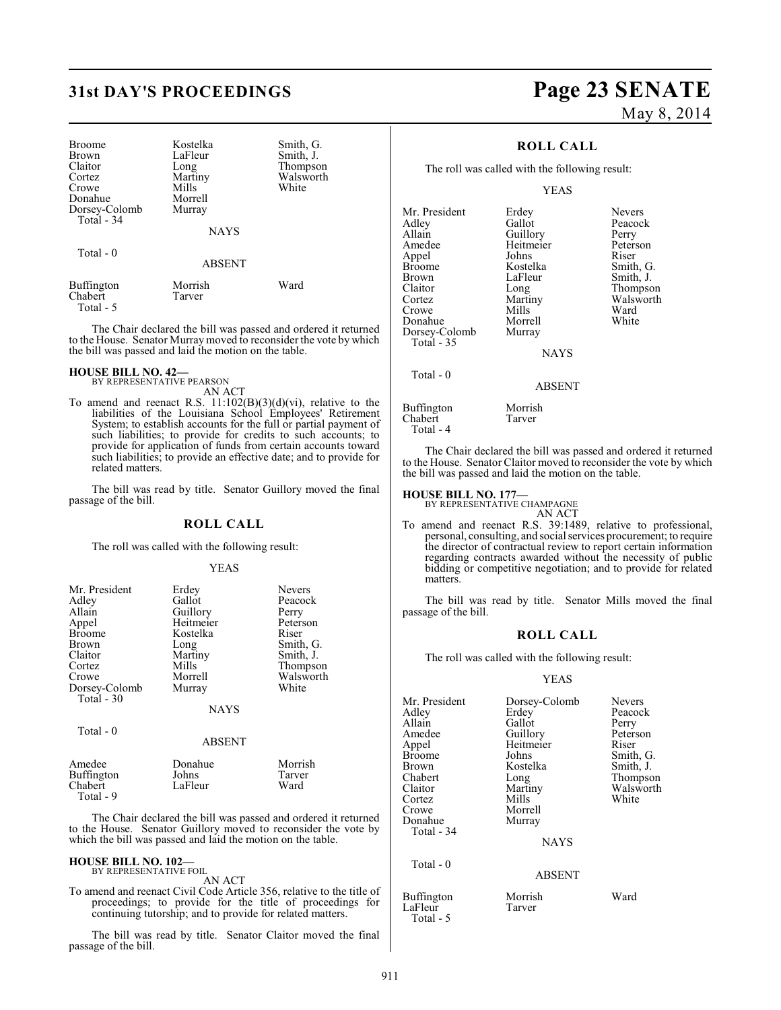| <b>Broome</b>     | Kostelka      | Smith, G. |
|-------------------|---------------|-----------|
| <b>Brown</b>      | LaFleur       | Smith, J. |
| Claitor           | Long          | Thompson  |
| Cortez            | Martiny       | Walsworth |
| Crowe             | Mills         | White     |
| Donahue           | Morrell       |           |
| Dorsey-Colomb     | Murray        |           |
| Total $-34$       |               |           |
|                   | <b>NAYS</b>   |           |
| Total - 0         |               |           |
|                   | <b>ABSENT</b> |           |
| <b>Buffington</b> | Morrish       | Ward      |
| Chabert           | Tarver        |           |
| Total - 5         |               |           |

The Chair declared the bill was passed and ordered it returned to the House. Senator Murray moved to reconsider the vote by which the bill was passed and laid the motion on the table.

#### **HOUSE BILL NO. 42—**

BY REPRESENTATIVE PEARSON AN ACT

To amend and reenact R.S.  $11:102(B)(3)(d)(vi)$ , relative to the liabilities of the Louisiana School Employees' Retirement System; to establish accounts for the full or partial payment of such liabilities; to provide for credits to such accounts; to provide for application of funds from certain accounts toward such liabilities; to provide an effective date; and to provide for related matters.

The bill was read by title. Senator Guillory moved the final passage of the bill.

#### **ROLL CALL**

The roll was called with the following result:

#### YEAS

| Mr. President | Erdey       | Nevers    |
|---------------|-------------|-----------|
| Adley         | Gallot      | Peacock   |
| Allain        | Guillory    | Perry     |
| Appel         | Heitmeier   | Peterson  |
| <b>Broome</b> | Kostelka    | Riser     |
| <b>Brown</b>  | Long        | Smith, G. |
| Claitor       | Martiny     | Smith, J. |
| Cortez        | Mills       | Thompson  |
| Crowe         | Morrell     | Walsworth |
| Dorsey-Colomb | Murray      | White     |
| Total - 30    |             |           |
|               | <b>NAYS</b> |           |

Total - 0

#### ABSENT

| Amedee     | Donahue | Morrish |
|------------|---------|---------|
| Buffington | Johns   | Tarver  |
| Chabert    | LaFleur | Ward    |
| Total - 9  |         |         |

The Chair declared the bill was passed and ordered it returned to the House. Senator Guillory moved to reconsider the vote by which the bill was passed and laid the motion on the table.

#### **HOUSE BILL NO. 102—** BY REPRESENTATIVE FOIL

AN ACT

To amend and reenact Civil Code Article 356, relative to the title of proceedings; to provide for the title of proceedings for continuing tutorship; and to provide for related matters.

The bill was read by title. Senator Claitor moved the final passage of the bill.

## **31st DAY'S PROCEEDINGS Page 23 SENATE** May 8, 2014

### **ROLL CALL**

The roll was called with the following result:

#### YEAS

Mr. President Erdey Nevers<br>Adley Gallot Peacock Adley Gallot Peacock Allain Guillory Perry<br>
Amedee Heitmeier Peterson Appel Johns<br>Broome Kostelka Broome Kostelka Smith, G.<br>Brown I.aFleur Smith, J. Brown LaFleur Smith, J.<br>Claitor Long Thompso Claitor Long Thompson<br>
Cortez Martiny Walsworth Crowe Mills Ward<br>
Donahue Morrell White Donahue Morrell<br>Dorsey-Colomb Murray Dorsey-Colomb Total - 35 Total - 0

Heitmeier Peters<br>Johns Riser Martiny Walsworth<br>
Mills Ward

NAYS

#### ABSENT

#### Buffington Morrish<br>Chabert Tarver Chabert Total - 4

The Chair declared the bill was passed and ordered it returned to the House. Senator Claitor moved to reconsider the vote by which the bill was passed and laid the motion on the table.

#### **HOUSE BILL NO. 177—**

BY REPRESENTATIVE CHAMPAGNE

AN ACT To amend and reenact R.S. 39:1489, relative to professional, personal, consulting, and social services procurement; to require the director of contractual review to report certain information regarding contracts awarded without the necessity of public bidding or competitive negotiation; and to provide for related matters.

The bill was read by title. Senator Mills moved the final passage of the bill.

#### **ROLL CALL**

The roll was called with the following result:

#### YEAS

| Mr. President<br>Adley<br>Allain<br>Amedee<br>Appel<br><b>Broome</b> | Dorsey-Colomb<br>Erdey<br>Gallot<br>Guillory<br>Heitmeier<br>Johns | Nevers<br>Peacock<br>Perry<br>Peterson<br>Riser<br>Smith, G. |
|----------------------------------------------------------------------|--------------------------------------------------------------------|--------------------------------------------------------------|
| <b>Brown</b><br>Chabert                                              | Kostelka<br>Long                                                   | Smith, J.<br>Thompson                                        |
| Claitor                                                              | Martiny                                                            | Walsworth                                                    |
| Cortez                                                               | Mills                                                              | White                                                        |
| Crowe                                                                | Morrell                                                            |                                                              |
| Donahue<br>Total - 34                                                | Murray<br><b>NAYS</b>                                              |                                                              |
|                                                                      |                                                                    |                                                              |
| Total $-0$                                                           | <b>ABSENT</b>                                                      |                                                              |
|                                                                      |                                                                    |                                                              |
| Buffington<br>LaFleur                                                | Morrish<br>Tarver                                                  | Ward                                                         |

Total - 5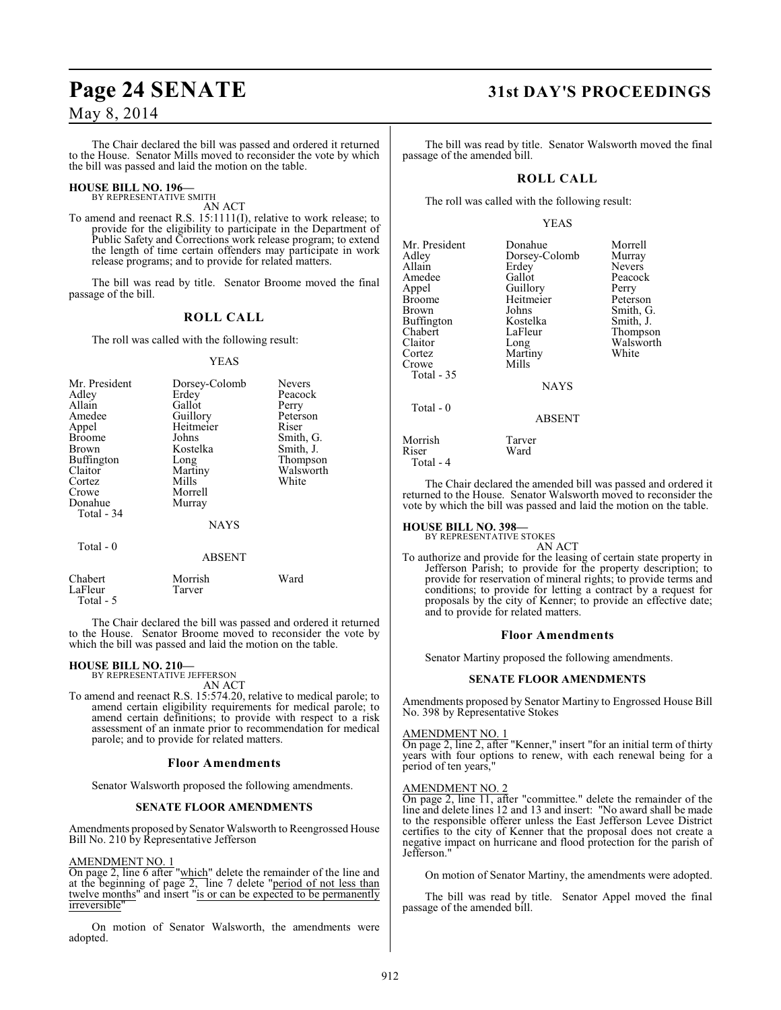The Chair declared the bill was passed and ordered it returned to the House. Senator Mills moved to reconsider the vote by which the bill was passed and laid the motion on the table.

#### **HOUSE BILL NO. 196—** BY REPRESENTATIVE SMITH

AN ACT

To amend and reenact R.S. 15:1111(I), relative to work release; to provide for the eligibility to participate in the Department of Public Safety and Corrections work release program; to extend the length of time certain offenders may participate in work release programs; and to provide for related matters.

The bill was read by title. Senator Broome moved the final passage of the bill.

#### **ROLL CALL**

The roll was called with the following result:

#### YEAS

| Dorsey-Colomb | <b>Nevers</b><br>Peacock                                  |
|---------------|-----------------------------------------------------------|
|               | Perry                                                     |
|               | Peterson                                                  |
| Heitmeier     | Riser                                                     |
| Johns         | Smith, G.                                                 |
| Kostelka      | Smith, J.                                                 |
| Long          | Thompson                                                  |
| Martiny       | Walsworth                                                 |
| Mills         | White                                                     |
| Morrell       |                                                           |
| Murray        |                                                           |
|               |                                                           |
| <b>NAYS</b>   |                                                           |
|               |                                                           |
|               | Erdey<br>Gallot<br>Guillory<br>$\lambda$ DOD $\lambda$ IT |

|                                  | <b>ABSENT</b>     |      |
|----------------------------------|-------------------|------|
| Chabert<br>LaFleur<br>Total $-5$ | Morrish<br>Tarver | Ward |

The Chair declared the bill was passed and ordered it returned to the House. Senator Broome moved to reconsider the vote by which the bill was passed and laid the motion on the table.

**HOUSE BILL NO. 210—** BY REPRESENTATIVE JEFFERSON

AN ACT

To amend and reenact R.S. 15:574.20, relative to medical parole; to amend certain eligibility requirements for medical parole; to amend certain definitions; to provide with respect to a risk assessment of an inmate prior to recommendation for medical parole; and to provide for related matters.

#### **Floor Amendments**

Senator Walsworth proposed the following amendments.

#### **SENATE FLOOR AMENDMENTS**

Amendments proposed by Senator Walsworth to Reengrossed House Bill No. 210 by Representative Jefferson

#### AMENDMENT NO. 1

On page 2, line 6 after "which" delete the remainder of the line and at the beginning of page 2, line 7 delete "period of not less than twelve months" and insert "is or can be expected to be permanently irreversible"

On motion of Senator Walsworth, the amendments were adopted.

### **Page 24 SENATE 31st DAY'S PROCEEDINGS**

The bill was read by title. Senator Walsworth moved the final passage of the amended bill.

### **ROLL CALL**

The roll was called with the following result:

#### YEAS

| Mr. President<br>Adley<br>Allain<br>Amedee<br>Appel<br>Broome<br>Brown<br>Buffington<br>Chabert<br>Claitor | Donahue<br>Dorsey-Colomb<br>Erdey<br>Gallot<br>Guillory<br>Heitmeier<br>Johns<br>Kostelka<br>LaFleur<br>Long | Morrell<br>Murray<br>Nevers<br>Peacock<br>Perry<br>Peterson<br>Smith, G.<br>Smith, J.<br>Thompson<br>Walsworth |
|------------------------------------------------------------------------------------------------------------|--------------------------------------------------------------------------------------------------------------|----------------------------------------------------------------------------------------------------------------|
| Cortez<br>Crowe<br>Total - 35                                                                              | Martiny<br>Mills<br><b>NAYS</b>                                                                              | White                                                                                                          |
| Total - 0                                                                                                  | <b>ABSENT</b>                                                                                                |                                                                                                                |
| Morrish<br>Riser<br>Total - 4                                                                              | Tarver<br>Ward                                                                                               |                                                                                                                |

The Chair declared the amended bill was passed and ordered it returned to the House. Senator Walsworth moved to reconsider the vote by which the bill was passed and laid the motion on the table.

## **HOUSE BILL NO. 398—** BY REPRESENTATIVE STOKES

AN ACT

To authorize and provide for the leasing of certain state property in Jefferson Parish; to provide for the property description; to provide for reservation of mineral rights; to provide terms and conditions; to provide for letting a contract by a request for proposals by the city of Kenner; to provide an effective date; and to provide for related matters.

#### **Floor Amendments**

Senator Martiny proposed the following amendments.

#### **SENATE FLOOR AMENDMENTS**

Amendments proposed by Senator Martiny to Engrossed House Bill No. 398 by Representative Stokes

#### AMENDMENT NO. 1

On page 2, line 2, after "Kenner," insert "for an initial term of thirty years with four options to renew, with each renewal being for a period of ten years,

#### AMENDMENT NO. 2

On page 2, line 11, after "committee." delete the remainder of the line and delete lines 12 and 13 and insert: "No award shall be made to the responsible offerer unless the East Jefferson Levee District certifies to the city of Kenner that the proposal does not create a negative impact on hurricane and flood protection for the parish of Jefferson."

On motion of Senator Martiny, the amendments were adopted.

The bill was read by title. Senator Appel moved the final passage of the amended bill.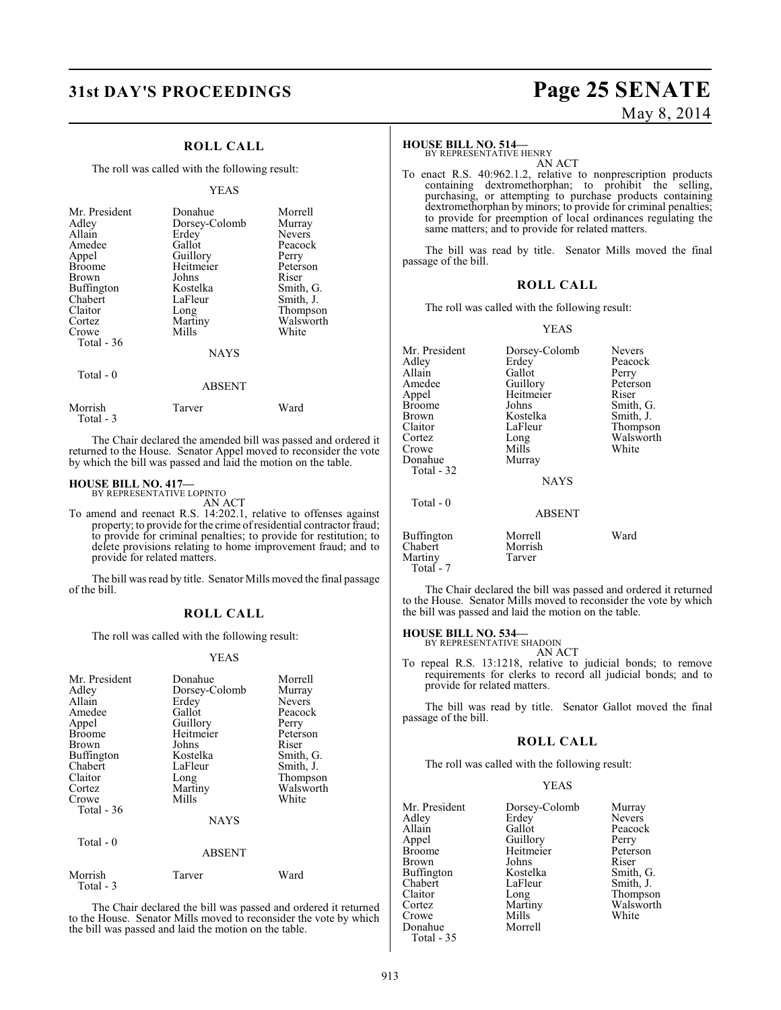### **ROLL CALL**

The roll was called with the following result:

#### YEAS

| Mr. President<br>Adley<br>Allain<br>Amedee<br>Appel<br><b>Broome</b><br><b>Brown</b><br>Buffington<br>Chabert<br>Claitor<br>Cortez<br>Crowe | Donahue<br>Dorsey-Colomb<br>Erdey<br>Gallot<br>Guillory<br>Heitmeier<br>Johns<br>Kostelka<br>LaFleur<br>Long<br>Martiny<br>Mills | Morrell<br>Murray<br>Nevers<br>Peacock<br>Perry<br>Peterson<br>Riser<br>Smith, G.<br>Smith, J.<br>Thompson<br>Walsworth<br>White |
|---------------------------------------------------------------------------------------------------------------------------------------------|----------------------------------------------------------------------------------------------------------------------------------|----------------------------------------------------------------------------------------------------------------------------------|
| Total - 36                                                                                                                                  | <b>NAYS</b>                                                                                                                      |                                                                                                                                  |
| Total - 0                                                                                                                                   | 1.00131                                                                                                                          |                                                                                                                                  |

|                      | ADOLIN I |      |
|----------------------|----------|------|
| Morrish<br>Total - 3 | Tarver   | Ward |

The Chair declared the amended bill was passed and ordered it returned to the House. Senator Appel moved to reconsider the vote by which the bill was passed and laid the motion on the table.

## **HOUSE BILL NO. 417—** BY REPRESENTATIVE LOPINTO

AN ACT To amend and reenact R.S. 14:202.1, relative to offenses against property; to provide for the crime of residential contractor fraud; to provide for criminal penalties; to provide for restitution; to delete provisions relating to home improvement fraud; and to provide for related matters.

The bill was read by title. Senator Mills moved the final passage of the bill.

#### **ROLL CALL**

The roll was called with the following result:

#### YEAS

| Mr. President<br>Adley<br>Allain<br>Amedee<br>Appel<br><b>Broome</b><br>Brown<br>Buffington<br>Chabert<br>Claitor<br>Cortez<br>Crowe<br>Total $-36$<br>Total - 0 | Donahue<br>Dorsey-Colomb<br>Erdey<br>Gallot<br>Guillory<br>Heitmeier<br>Johns<br>Kostelka<br>LaFleur<br>Long<br>Martiny<br>Mills<br><b>NAYS</b><br><b>ABSENT</b> | Morrell<br>Murray<br><b>Nevers</b><br>Peacock<br>Perry<br>Peterson<br>Riser<br>Smith, G.<br>Smith, J.<br>Thompson<br>Walsworth<br>White |
|------------------------------------------------------------------------------------------------------------------------------------------------------------------|------------------------------------------------------------------------------------------------------------------------------------------------------------------|-----------------------------------------------------------------------------------------------------------------------------------------|
|                                                                                                                                                                  |                                                                                                                                                                  |                                                                                                                                         |
| Morrish<br>Total - 3                                                                                                                                             | Tarver                                                                                                                                                           | Ward                                                                                                                                    |

The Chair declared the bill was passed and ordered it returned to the House. Senator Mills moved to reconsider the vote by which the bill was passed and laid the motion on the table.

## **31st DAY'S PROCEEDINGS Page 25 SENATE** May 8, 2014

#### **HOUSE BILL NO. 514—**

BY REPRESENTATIVE HENRY

AN ACT To enact R.S. 40:962.1.2, relative to nonprescription products containing dextromethorphan; to prohibit the selling, purchasing, or attempting to purchase products containing dextromethorphan by minors; to provide for criminal penalties; to provide for preemption of local ordinances regulating the same matters; and to provide for related matters.

The bill was read by title. Senator Mills moved the final passage of the bill.

#### **ROLL CALL**

The roll was called with the following result:

#### YEAS

| Mr. President<br>Adley<br>Allain<br>Amedee<br>Appel<br><b>Broome</b><br>Brown<br>Claitor<br>Cortez<br>Crowe<br>Donahue<br>Total - 32<br>Total - 0 | Dorsey-Colomb<br>Erdey<br>Gallot<br>Guillory<br>Heitmeier<br>Johns<br>Kostelka<br>LaFleur<br>Long<br>Mills<br>Murray<br><b>NAYS</b> | <b>Nevers</b><br>Peacock<br>Perry<br>Peterson<br>Riser<br>Smith, G.<br>Smith, J.<br>Thompson<br>Walsworth<br>White |
|---------------------------------------------------------------------------------------------------------------------------------------------------|-------------------------------------------------------------------------------------------------------------------------------------|--------------------------------------------------------------------------------------------------------------------|
|                                                                                                                                                   | <b>ABSENT</b>                                                                                                                       |                                                                                                                    |
| <b>Buffington</b><br>Chabert<br>Martiny<br>Total - 7                                                                                              | Morrell<br>Morrish<br>Tarver                                                                                                        | Ward                                                                                                               |

The Chair declared the bill was passed and ordered it returned to the House. Senator Mills moved to reconsider the vote by which the bill was passed and laid the motion on the table.

#### **HOUSE BILL NO. 534—**

BY REPRESENTATIVE SHADOIN AN ACT

To repeal R.S. 13:1218, relative to judicial bonds; to remove requirements for clerks to record all judicial bonds; and to provide for related matters.

The bill was read by title. Senator Gallot moved the final passage of the bill.

#### **ROLL CALL**

The roll was called with the following result:

#### YEAS

| Dorsey-Colomb | Murray                      |
|---------------|-----------------------------|
| Erdey         | <b>Nevers</b>               |
| Gallot        | Peacock                     |
|               | Perry                       |
| Heitmeier     | Peterson                    |
| Johns         | Riser                       |
| Kostelka      | Smith, G.                   |
| LaFleur       | Smith, J.                   |
|               | Thompson                    |
|               | Walsworth                   |
| Mills         | White                       |
| Morrell       |                             |
|               |                             |
|               | Guillory<br>Long<br>Martiny |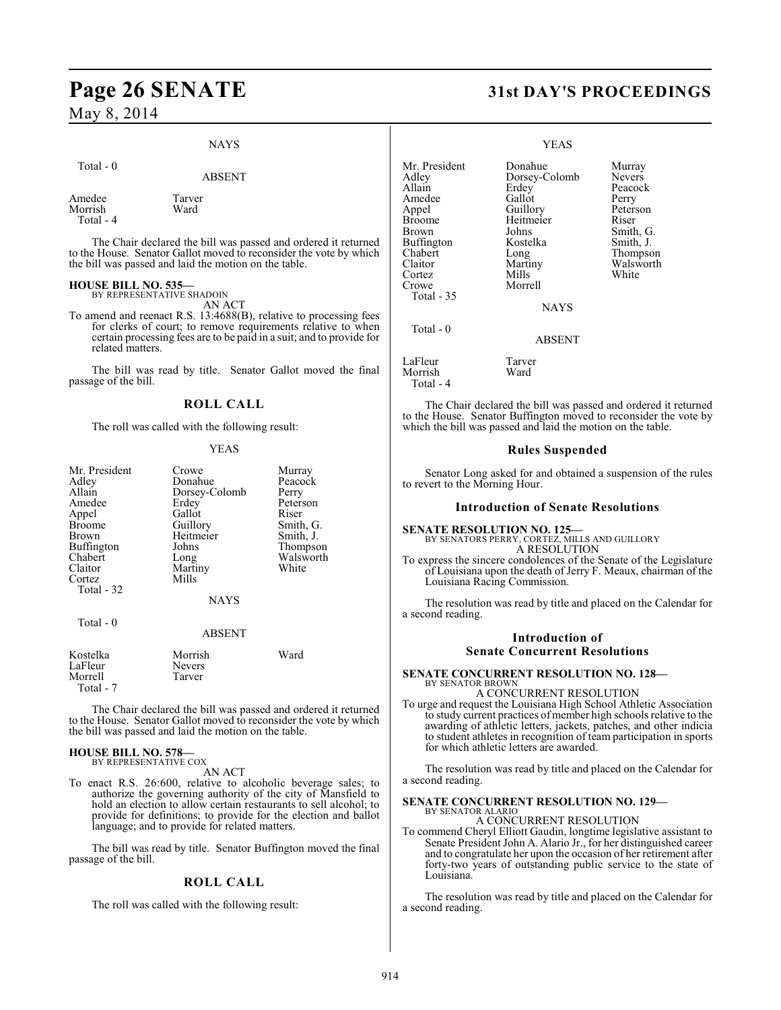### NAYS

Total - 0

#### ABSENT

Amedee Tarver<br>Morrish Ward Morrish Total - 4

The Chair declared the bill was passed and ordered it returned to the House. Senator Gallot moved to reconsider the vote by which the bill was passed and laid the motion on the table.

### **HOUSE BILL NO. 535—**

BY REPRESENTATIVE SHADOIN AN ACT

To amend and reenact R.S. 13:4688(B), relative to processing fees for clerks of court; to remove requirements relative to when certain processing fees are to be paid in a suit; and to provide for related matters.

The bill was read by title. Senator Gallot moved the final passage of the bill.

#### **ROLL CALL**

The roll was called with the following result:

#### YEAS

| Mr. President<br>Adley<br>Allain<br>Amedee<br>Appel<br><b>Broome</b><br>Brown<br>Buffington<br>Chabert<br>Claitor<br>Cortez<br>Total - 32 | Crowe<br>Donahue<br>Dorsey-Colomb<br>Erdey<br>Gallot<br>Guillory<br>Heitmeier<br>Johns<br>Long<br>Martiny<br>Mills<br><b>NAYS</b> | Murray<br>Peacock<br>Perry<br>Peterson<br>Riser<br>Smith, G.<br>Smith, J.<br>Thompson<br>Walsworth<br>White |
|-------------------------------------------------------------------------------------------------------------------------------------------|-----------------------------------------------------------------------------------------------------------------------------------|-------------------------------------------------------------------------------------------------------------|
| Total - 0                                                                                                                                 | <b>ABSENT</b>                                                                                                                     |                                                                                                             |
| Kostelka<br>LaFleur<br>Morrell                                                                                                            | Morrish<br>Nevers<br>Tarver                                                                                                       | Ward                                                                                                        |

The Chair declared the bill was passed and ordered it returned to the House. Senator Gallot moved to reconsider the vote by which the bill was passed and laid the motion on the table.

#### **HOUSE BILL NO. 578—** BY REPRESENTATIVE COX

Total - 7

AN ACT

To enact R.S. 26:600, relative to alcoholic beverage sales; to authorize the governing authority of the city of Mansfield to hold an election to allow certain restaurants to sell alcohol; to provide for definitions; to provide for the election and ballot language; and to provide for related matters.

The bill was read by title. Senator Buffington moved the final passage of the bill.

#### **ROLL CALL**

The roll was called with the following result:

### **Page 26 SENATE 31st DAY'S PROCEEDINGS**

#### YEAS

Mr. President Donahue Murray<br>Adley Dorsey-Colomb Nevers Adley Dorsey-Colomb<br>Allain Erdey Erdey Peacock<br>Gallot Perry Amedee Gallot Perry<br>Appel Guillory Peterson Appel Guillory<br>Broome Heitmei Broome Heitmeier Riser<br>Brown Johns Smith Johns Smith, G.<br>Kostelka Smith, J. Buffington Koste<br>Chabert Long Chabert Long Thompson Claitor Martiny Walsworth<br>
Cortez Mills White Cortez Mills White Crowe Morrell Total - 35 **NAYS**  Total - 0 ABSENT LaFleur Tarver<br>Morrish Ward Morrish

Total - 4

The Chair declared the bill was passed and ordered it returned to the House. Senator Buffington moved to reconsider the vote by which the bill was passed and laid the motion on the table.

#### **Rules Suspended**

Senator Long asked for and obtained a suspension of the rules to revert to the Morning Hour.

#### **Introduction of Senate Resolutions**

# **SENATE RESOLUTION NO. 125—**<br>BY SENATORS PERRY, CORTEZ, MILLS AND GUILLORY<br>A RESOLUTION

To express the sincere condolences of the Senate of the Legislature of Louisiana upon the death of Jerry F. Meaux, chairman of the Louisiana Racing Commission.

The resolution was read by title and placed on the Calendar for a second reading.

#### **Introduction of Senate Concurrent Resolutions**

**SENATE CONCURRENT RESOLUTION NO. 128—** BY SENATOR BROWN

A CONCURRENT RESOLUTION

To urge and request the Louisiana High School Athletic Association to study current practices of member high schools relative to the awarding of athletic letters, jackets, patches, and other indicia to student athletes in recognition of team participation in sports for which athletic letters are awarded.

The resolution was read by title and placed on the Calendar for a second reading.

#### **SENATE CONCURRENT RESOLUTION NO. 129—** BY SENATOR ALARIO

### A CONCURRENT RESOLUTION

To commend Cheryl Elliott Gaudin, longtime legislative assistant to Senate President John A. Alario Jr., for her distinguished career and to congratulate her upon the occasion of her retirement after forty-two years of outstanding public service to the state of Louisiana.

The resolution was read by title and placed on the Calendar for a second reading.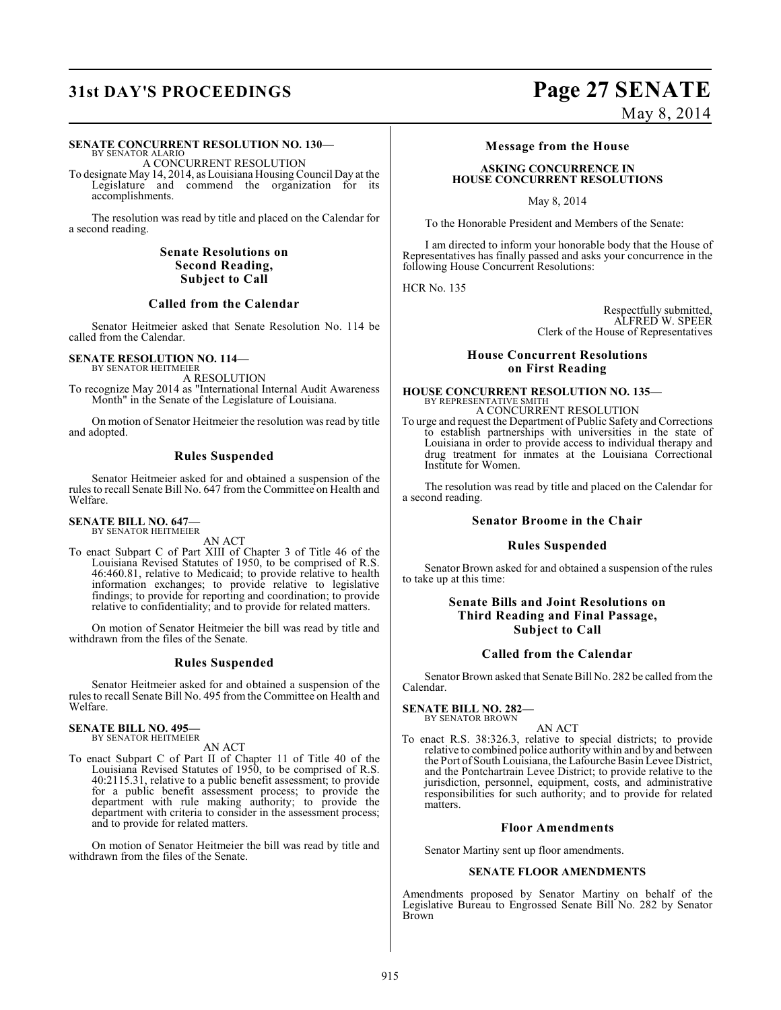## **31st DAY'S PROCEEDINGS Page 27 SENATE**

#### **SENATE CONCURRENT RESOLUTION NO. 130—**

BY SENATOR ALARIO A CONCURRENT RESOLUTION

To designate May 14, 2014, as Louisiana Housing Council Day at the Legislature and commend the organization for its accomplishments.

The resolution was read by title and placed on the Calendar for a second reading.

#### **Senate Resolutions on Second Reading, Subject to Call**

#### **Called from the Calendar**

Senator Heitmeier asked that Senate Resolution No. 114 be called from the Calendar.

**SENATE RESOLUTION NO. 114—** BY SENATOR HEITMEIER

A RESOLUTION

To recognize May 2014 as "International Internal Audit Awareness Month" in the Senate of the Legislature of Louisiana.

On motion of Senator Heitmeier the resolution was read by title and adopted.

### **Rules Suspended**

Senator Heitmeier asked for and obtained a suspension of the rules to recall Senate Bill No. 647 from the Committee on Health and Welfare.

#### **SENATE BILL NO. 647—** BY SENATOR HEITMEIER

AN ACT

To enact Subpart C of Part XIII of Chapter 3 of Title 46 of the Louisiana Revised Statutes of 1950, to be comprised of R.S. 46:460.81, relative to Medicaid; to provide relative to health information exchanges; to provide relative to legislative findings; to provide for reporting and coordination; to provide relative to confidentiality; and to provide for related matters.

On motion of Senator Heitmeier the bill was read by title and withdrawn from the files of the Senate.

### **Rules Suspended**

Senator Heitmeier asked for and obtained a suspension of the rules to recall Senate Bill No. 495 from the Committee on Health and Welfare.

## **SENATE BILL NO. 495—** BY SENATOR HEITMEIER

AN ACT

To enact Subpart C of Part II of Chapter 11 of Title 40 of the Louisiana Revised Statutes of 1950, to be comprised of R.S. 40:2115.31, relative to a public benefit assessment; to provide for a public benefit assessment process; to provide the department with rule making authority; to provide the department with criteria to consider in the assessment process; and to provide for related matters.

On motion of Senator Heitmeier the bill was read by title and withdrawn from the files of the Senate.

# May 8, 2014

**Message from the House**

### **ASKING CONCURRENCE IN HOUSE CONCURRENT RESOLUTIONS**

May 8, 2014

To the Honorable President and Members of the Senate:

I am directed to inform your honorable body that the House of Representatives has finally passed and asks your concurrence in the following House Concurrent Resolutions:

HCR No. 135

Respectfully submitted, ALFRED W. SPEER Clerk of the House of Representatives

### **House Concurrent Resolutions on First Reading**

### **HOUSE CONCURRENT RESOLUTION NO. 135—** BY REPRESENTATIVE SMITH A CONCURRENT RESOLUTION

To urge and request the Department of Public Safety and Corrections to establish partnerships with universities in the state of Louisiana in order to provide access to individual therapy and drug treatment for inmates at the Louisiana Correctional Institute for Women.

The resolution was read by title and placed on the Calendar for a second reading.

### **Senator Broome in the Chair**

#### **Rules Suspended**

Senator Brown asked for and obtained a suspension of the rules to take up at this time:

### **Senate Bills and Joint Resolutions on Third Reading and Final Passage, Subject to Call**

#### **Called from the Calendar**

Senator Brown asked that Senate Bill No. 282 be called from the Calendar.

#### **SENATE BILL NO. 282—**

BY SENATOR BROWN AN ACT

To enact R.S. 38:326.3, relative to special districts; to provide relative to combined police authority within and by and between the Port of South Louisiana, the Lafourche Basin Levee District, and the Pontchartrain Levee District; to provide relative to the jurisdiction, personnel, equipment, costs, and administrative responsibilities for such authority; and to provide for related matters.

#### **Floor Amendments**

Senator Martiny sent up floor amendments.

#### **SENATE FLOOR AMENDMENTS**

Amendments proposed by Senator Martiny on behalf of the Legislative Bureau to Engrossed Senate Bill No. 282 by Senator Brown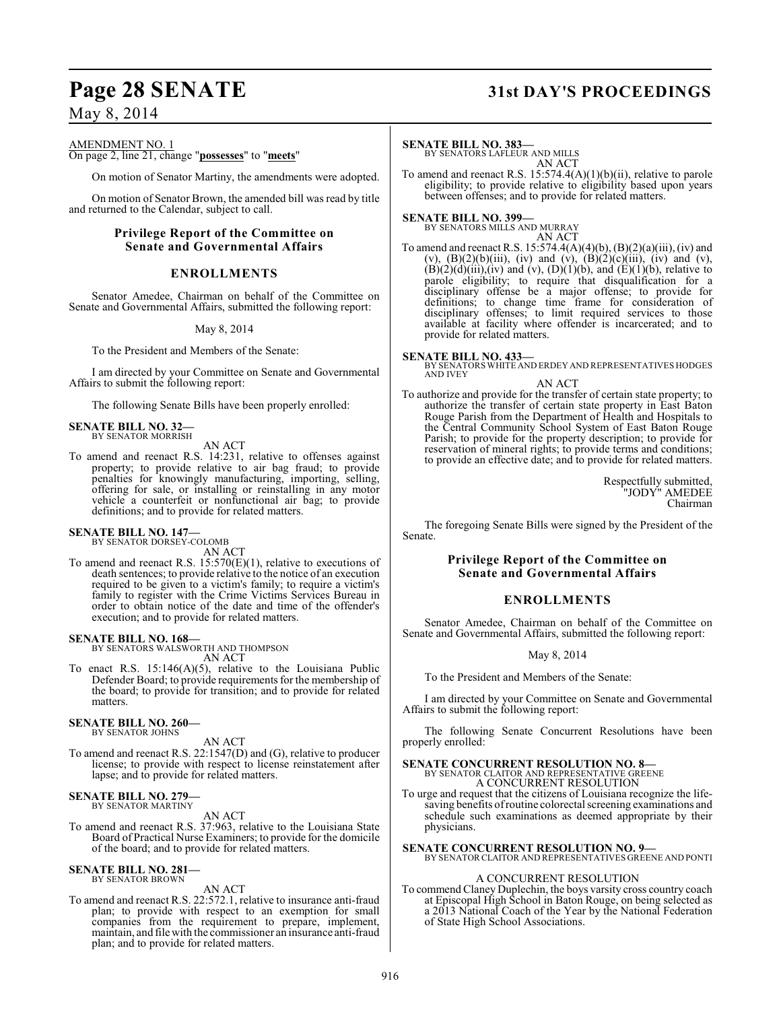## **Page 28 SENATE 31st DAY'S PROCEEDINGS**

### May 8, 2014

AMENDMENT NO. 1

On page 2, line 21, change "**possesses**" to "**meets**"

On motion of Senator Martiny, the amendments were adopted.

On motion of Senator Brown, the amended bill was read by title and returned to the Calendar, subject to call.

#### **Privilege Report of the Committee on Senate and Governmental Affairs**

#### **ENROLLMENTS**

Senator Amedee, Chairman on behalf of the Committee on Senate and Governmental Affairs, submitted the following report:

#### May 8, 2014

To the President and Members of the Senate:

I am directed by your Committee on Senate and Governmental Affairs to submit the following report:

The following Senate Bills have been properly enrolled:

#### **SENATE BILL NO. 32—** BY SENATOR MORRISH

AN ACT

To amend and reenact R.S. 14:231, relative to offenses against property; to provide relative to air bag fraud; to provide penalties for knowingly manufacturing, importing, selling, offering for sale, or installing or reinstalling in any motor vehicle a counterfeit or nonfunctional air bag; to provide definitions; and to provide for related matters.

## **SENATE BILL NO. 147—** BY SENATOR DORSEY-COLOMB

AN ACT

To amend and reenact R.S.  $15:570(E)(1)$ , relative to executions of death sentences; to provide relative to the notice of an execution required to be given to a victim's family; to require a victim's family to register with the Crime Victims Services Bureau in order to obtain notice of the date and time of the offender's execution; and to provide for related matters.

**SENATE BILL NO. 168—** BY SENATORS WALSWORTH AND THOMPSON AN ACT

To enact R.S.  $15:146(A)(5)$ , relative to the Louisiana Public Defender Board; to provide requirements for the membership of the board; to provide for transition; and to provide for related matters.

#### **SENATE BILL NO. 260—** BY SENATOR JOHNS

AN ACT

To amend and reenact R.S. 22:1547(D) and (G), relative to producer license; to provide with respect to license reinstatement after lapse; and to provide for related matters.

#### **SENATE BILL NO. 279—** BY SENATOR MARTINY

AN ACT

To amend and reenact R.S. 37:963, relative to the Louisiana State Board of Practical Nurse Examiners; to provide for the domicile of the board; and to provide for related matters.

#### **SENATE BILL NO. 281—** BY SENATOR BROWN

#### AN ACT

To amend and reenact R.S. 22:572.1, relative to insurance anti-fraud plan; to provide with respect to an exemption for small companies from the requirement to prepare, implement, maintain, and file with the commissioner an insurance anti-fraud plan; and to provide for related matters.

#### **SENATE BILL NO. 383—**

BY SENATORS LAFLEUR AND MILLS AN ACT

To amend and reenact R.S. 15:574.4(A)(1)(b)(ii), relative to parole eligibility; to provide relative to eligibility based upon years between offenses; and to provide for related matters.

#### **SENATE BILL NO. 399—**

BY SENATORS MILLS AND MURRAY

AN ACT To amend and reenact R.S. 15:574.4(A)(4)(b), (B)(2)(a)(iii), (iv) and (v),  $(B)(2)(b)(iii)$ , (iv) and (v),  $(B)(2)(c)(iii)$ , (iv) and (v),  $(B)(2)(d)(iii)$ , (iv) and (v),  $(D)(1)(b)$ , and  $(E)(1)(b)$ , relative to parole eligibility; to require that disqualification for a disciplinary offense be a major offense; to provide for definitions; to change time frame for consideration of disciplinary offenses; to limit required services to those available at facility where offender is incarcerated; and to provide for related matters.

**SENATE BILL NO. 433—** BY SENATORS WHITE AND ERDEY AND REPRESENTATIVES HODGES AND IVEY

AN ACT

To authorize and provide for the transfer of certain state property; to authorize the transfer of certain state property in East Baton Rouge Parish from the Department of Health and Hospitals to the Central Community School System of East Baton Rouge Parish; to provide for the property description; to provide for reservation of mineral rights; to provide terms and conditions; to provide an effective date; and to provide for related matters.

> Respectfully submitted, "JODY" AMEDEE Chairman

The foregoing Senate Bills were signed by the President of the Senate.

### **Privilege Report of the Committee on Senate and Governmental Affairs**

#### **ENROLLMENTS**

Senator Amedee, Chairman on behalf of the Committee on Senate and Governmental Affairs, submitted the following report:

#### May 8, 2014

To the President and Members of the Senate:

I am directed by your Committee on Senate and Governmental Affairs to submit the following report:

The following Senate Concurrent Resolutions have been properly enrolled:

### **SENATE CONCURRENT RESOLUTION NO. 8—** BY SENATOR CLAITOR AND REPRESENTATIVE GREENE A CONCURRENT RESOLUTION

To urge and request that the citizens of Louisiana recognize the lifesaving benefits of routine colorectal screening examinations and schedule such examinations as deemed appropriate by their physicians.

#### **SENATE CONCURRENT RESOLUTION NO. 9—** BY SENATOR CLAITOR AND REPRESENTATIVES GREENE AND PONTI

#### A CONCURRENT RESOLUTION

To commend Claney Duplechin, the boys varsity cross country coach at Episcopal High School in Baton Rouge, on being selected as a 2013 National Coach of the Year by the National Federation of State High School Associations.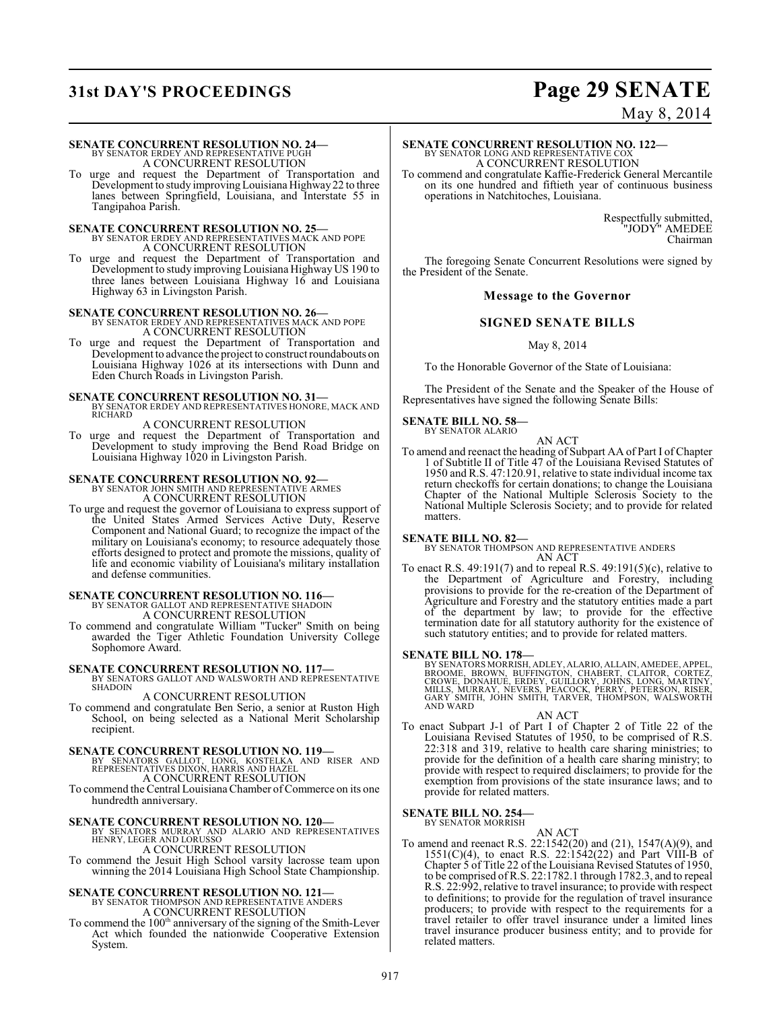## **31st DAY'S PROCEEDINGS Page 29 SENATE**

# May 8, 2014

### **SENATE CONCURRENT RESOLUTION NO. 24—**

BY SENATOR ERDEY AND REPRESENTATIVE PUGH A CONCURRENT RESOLUTION

To urge and request the Department of Transportation and Development to study improving Louisiana Highway22 to three lanes between Springfield, Louisiana, and Interstate 55 in Tangipahoa Parish.

### **SENATE CONCURRENT RESOLUTION NO. 25—** BY SENATOR ERDEY AND REPRESENTATIVES MACK AND POPE A CONCURRENT RESOLUTION

To urge and request the Department of Transportation and Development to study improving Louisiana HighwayUS 190 to three lanes between Louisiana Highway 16 and Louisiana Highway 63 in Livingston Parish.

### **SENATE CONCURRENT RESOLUTION NO. 26—** BY SENATOR ERDEY AND REPRESENTATIVES MACK AND POPE A CONCURRENT RESOLUTION

To urge and request the Department of Transportation and Development to advance the project to construct roundabouts on Louisiana Highway 1026 at its intersections with Dunn and Eden Church Roads in Livingston Parish.

## **SENATE CONCURRENT RESOLUTION NO. 31—** BY SENATOR ERDEY AND REPRESENTATIVES HONORE, MACK AND

RICHARD A CONCURRENT RESOLUTION

To urge and request the Department of Transportation and Development to study improving the Bend Road Bridge on Louisiana Highway 1020 in Livingston Parish.

### **SENATE CONCURRENT RESOLUTION NO. 92—** BY SENATOR JOHN SMITH AND REPRESENTATIVE ARMES A CONCURRENT RESOLUTION

To urge and request the governor of Louisiana to express support of the United States Armed Services Active Duty, Reserve Component and National Guard; to recognize the impact of the military on Louisiana's economy; to resource adequately those efforts designed to protect and promote the missions, quality of life and economic viability of Louisiana's military installation and defense communities.

### **SENATE CONCURRENT RESOLUTION NO. 116—**

BY SENATOR GALLOT AND REPRESENTATIVE SHADOIN A CONCURRENT RESOLUTION

To commend and congratulate William "Tucker" Smith on being awarded the Tiger Athletic Foundation University College Sophomore Award.

#### **SENATE CONCURRENT RESOLUTION NO. 117—**

BY SENATORS GALLOT AND WALSWORTH AND REPRESENTATIVE SHADOIN

### A CONCURRENT RESOLUTION

To commend and congratulate Ben Serio, a senior at Ruston High School, on being selected as a National Merit Scholarship recipient.

**SENATE CONCURRENT RESOLUTION NO. 119—**<br>BY SENATORS GALLOT, LONG, KOSTELKA AND RISER AND<br>REPRESENTATIVES DIXON, HARRIS AND HAZEL A CONCURRENT RESOLUTION

To commend the Central Louisiana Chamber of Commerce on its one hundredth anniversary.

#### **SENATE CONCURRENT RESOLUTION NO. 120—**

BY SENATORS MURRAY AND ALARIO AND REPRESENTATIVES HENRY, LEGER AND LORUSSO

A CONCURRENT RESOLUTION

To commend the Jesuit High School varsity lacrosse team upon winning the 2014 Louisiana High School State Championship.

# **SENATE CONCURRENT RESOLUTION NO. 121—**<br>BY SENATOR THOMPSON AND REPRESENTATIVE ANDERS A CONCURRENT RESOLUTION

To commend the 100<sup>th</sup> anniversary of the signing of the Smith-Lever Act which founded the nationwide Cooperative Extension System.

### **SENATE CONCURRENT RESOLUTION NO. 122—** BY SENATOR LONG AND REPRESENTATIVE COX A CONCURRENT RESOLUTION

To commend and congratulate Kaffie-Frederick General Mercantile on its one hundred and fiftieth year of continuous business operations in Natchitoches, Louisiana.

> Respectfully submitted, "JODY" AMEDEE Chairman

The foregoing Senate Concurrent Resolutions were signed by the President of the Senate.

#### **Message to the Governor**

### **SIGNED SENATE BILLS**

#### May 8, 2014

To the Honorable Governor of the State of Louisiana:

The President of the Senate and the Speaker of the House of Representatives have signed the following Senate Bills:

## **SENATE BILL NO. 58—** BY SENATOR ALARIO

AN ACT

To amend and reenact the heading of Subpart AA of Part I of Chapter 1 of Subtitle II of Title 47 of the Louisiana Revised Statutes of 1950 and R.S. 47:120.91, relative to state individual income tax return checkoffs for certain donations; to change the Louisiana Chapter of the National Multiple Sclerosis Society to the National Multiple Sclerosis Society; and to provide for related matters.

#### **SENATE BILL NO. 82—**

BY SENATOR THOMPSON AND REPRESENTATIVE ANDERS AN ACT

To enact R.S. 49:191(7) and to repeal R.S. 49:191(5)(c), relative to the Department of Agriculture and Forestry, including provisions to provide for the re-creation of the Department of Agriculture and Forestry and the statutory entities made a part of the department by law; to provide for the effective termination date for all statutory authority for the existence of such statutory entities; and to provide for related matters.

**SENATE BILL NO. 178—**<br>BY SENATORS MORRISH, ADLEY, ALARIO, ALLAIN, AMEDEE, APPEL,<br>BROOME, BROWN, BUFFINGTON, CHABERT, CLAITOR, CORTEZ,<br>CROWE, DONAHUE, ERDEY, GUILLORY, JOHNS, LONG, MARTINY,<br>MILLS, MURRAY, NEVERS, PEACOCK, GARY SMIT

AN ACT

To enact Subpart J-1 of Part I of Chapter 2 of Title 22 of the Louisiana Revised Statutes of 1950, to be comprised of R.S. 22:318 and 319, relative to health care sharing ministries; to provide for the definition of a health care sharing ministry; to provide with respect to required disclaimers; to provide for the exemption from provisions of the state insurance laws; and to provide for related matters.

#### **SENATE BILL NO. 254—** BY SENATOR MORRISH

AN ACT To amend and reenact R.S. 22:1542(20) and (21), 1547(A)(9), and  $1551(C)(4)$ , to enact R.S.  $22:1542(22)$  and Part VIII-B of Chapter 5 of Title 22 of the Louisiana Revised Statutes of 1950, to be comprised of R.S. 22:1782.1 through 1782.3, and to repeal R.S. 22:992, relative to travel insurance; to provide with respect to definitions; to provide for the regulation of travel insurance producers; to provide with respect to the requirements for a travel retailer to offer travel insurance under a limited lines travel insurance producer business entity; and to provide for related matters.